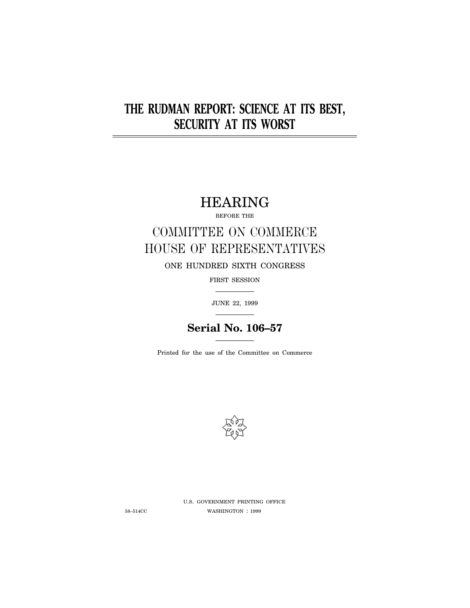# **THE RUDMAN REPORT: SCIENCE AT ITS BEST, SECURITY AT ITS WORST**

HEARING

BEFORE THE

# COMMITTEE ON COMMERCE HOUSE OF REPRESENTATIVES

ONE HUNDRED SIXTH CONGRESS

FIRST SESSION

JUNE 22, 1999

## **Serial No. 106–57**

Printed for the use of the Committee on Commerce



U.S. GOVERNMENT PRINTING OFFICE 58–514CC WASHINGTON : 1999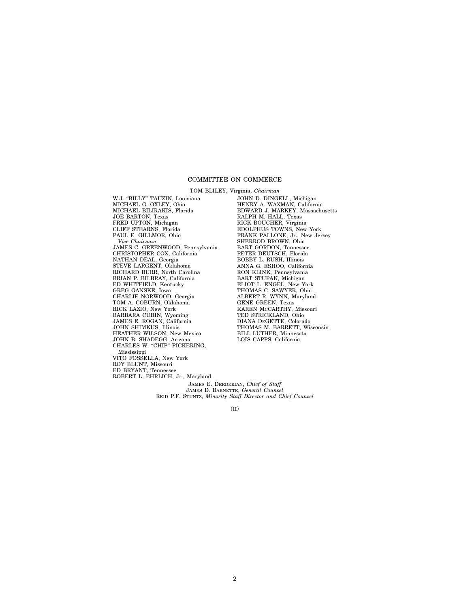## COMMITTEE ON COMMERCE

TOM BLILEY, Virginia, *Chairman* W.J. "BILLY" TAUZIN, Louisiana MICHAEL G. OXLEY, Ohio MICHAEL BILIRAKIS, Florida JOE BARTON, Texas FRED UPTON, Michigan CLIFF STEARNS, Florida PAUL E. GILLMOR, Ohio *Vice Chairman* JAMES C. GREENWOOD, Pennsylvania CHRISTOPHER COX, California NATHAN DEAL, Georgia STEVE LARGENT, Oklahoma RICHARD BURR, North Carolina BRIAN P. BILBRAY, California ED WHITFIELD, Kentucky GREG GANSKE, Iowa CHARLIE NORWOOD, Georgia TOM A. COBURN, Oklahoma RICK LAZIO, New York BARBARA CUBIN, Wyoming JAMES E. ROGAN, California JOHN SHIMKUS, Illinois HEATHER WILSON, New Mexico JOHN B. SHADEGG, Arizona CHARLES W. "CHIP" PICKERING, Mississippi VITO FOSSELLA, New York ROY BLUNT, Missouri ED BRYANT, Tennessee ROBERT L. EHRLICH, Jr., Maryland

JOHN D. DINGELL, Michigan HENRY A. WAXMAN, California EDWARD J. MARKEY, Massachusetts RALPH M. HALL, Texas RICK BOUCHER, Virginia EDOLPHUS TOWNS, New York FRANK PALLONE, Jr., New Jersey SHERROD BROWN, Ohio BART GORDON, Tennessee PETER DEUTSCH, Florida BOBBY L. RUSH, Illinois ANNA G. ESHOO, California RON KLINK, Pennsylvania BART STUPAK, Michigan ELIOT L. ENGEL, New York THOMAS C. SAWYER, Ohio ALBERT R. WYNN, Maryland GENE GREEN, Texas KAREN MCCARTHY, Missouri TED STRICKLAND, Ohio DIANA DEGETTE, Colorado THOMAS M. BARRETT, Wisconsin BILL LUTHER, Minnesota LOIS CAPPS, California

JAMES E. DERDERIAN, *Chief of Staff* JAMES D. BARNETTE, *General Counsel* REID P.F. STUNTZ, *Minority Staff Director and Chief Counsel*

 $(TI)$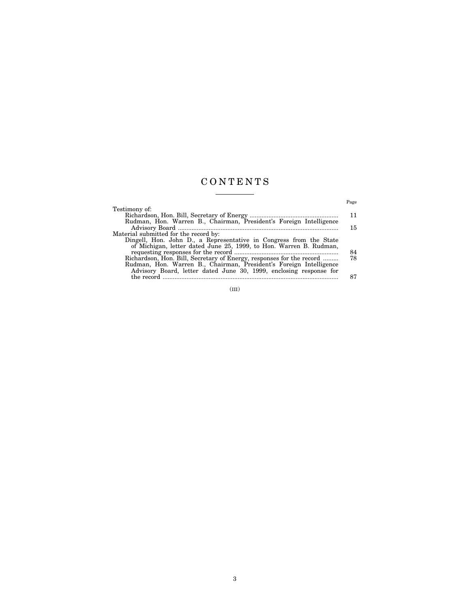## C O N T E N T S

|                                                                      | Page |
|----------------------------------------------------------------------|------|
| Testimony of:                                                        |      |
|                                                                      | 11   |
| Rudman, Hon. Warren B., Chairman, President's Foreign Intelligence   |      |
|                                                                      | 15   |
| Material submitted for the record by:                                |      |
| Dingell, Hon. John D., a Representative in Congress from the State   |      |
| of Michigan, letter dated June 25, 1999, to Hon. Warren B. Rudman,   |      |
|                                                                      | 84   |
| Richardson, Hon. Bill, Secretary of Energy, responses for the record | 78   |
| Rudman, Hon. Warren B., Chairman, President's Foreign Intelligence   |      |
| Advisory Board, letter dated June 30, 1999, enclosing response for   |      |
| the record.                                                          | 87   |

(III)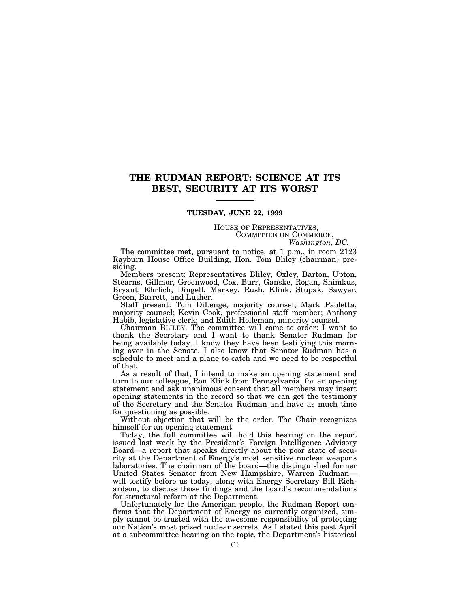## **THE RUDMAN REPORT: SCIENCE AT ITS BEST, SECURITY AT ITS WORST**

## **TUESDAY, JUNE 22, 1999**

HOUSE OF REPRESENTATIVES, COMMITTEE ON COMMERCE, *Washington, DC.*

The committee met, pursuant to notice, at 1 p.m., in room 2123 Rayburn House Office Building, Hon. Tom Bliley (chairman) presiding.

Members present: Representatives Bliley, Oxley, Barton, Upton, Stearns, Gillmor, Greenwood, Cox, Burr, Ganske, Rogan, Shimkus, Bryant, Ehrlich, Dingell, Markey, Rush, Klink, Stupak, Sawyer, Green, Barrett, and Luther.

Staff present: Tom DiLenge, majority counsel; Mark Paoletta, majority counsel; Kevin Cook, professional staff member; Anthony Habib, legislative clerk; and Edith Holleman, minority counsel.

Chairman BLILEY. The committee will come to order: I want to thank the Secretary and I want to thank Senator Rudman for being available today. I know they have been testifying this morning over in the Senate. I also know that Senator Rudman has a schedule to meet and a plane to catch and we need to be respectful of that.

As a result of that, I intend to make an opening statement and turn to our colleague, Ron Klink from Pennsylvania, for an opening statement and ask unanimous consent that all members may insert opening statements in the record so that we can get the testimony of the Secretary and the Senator Rudman and have as much time for questioning as possible.

Without objection that will be the order. The Chair recognizes himself for an opening statement.

Today, the full committee will hold this hearing on the report issued last week by the President's Foreign Intelligence Advisory Board—a report that speaks directly about the poor state of security at the Department of Energy's most sensitive nuclear weapons laboratories. The chairman of the board—the distinguished former United States Senator from New Hampshire, Warren Rudman will testify before us today, along with Energy Secretary Bill Richardson, to discuss those findings and the board's recommendations for structural reform at the Department.

Unfortunately for the American people, the Rudman Report confirms that the Department of Energy as currently organized, simply cannot be trusted with the awesome responsibility of protecting our Nation's most prized nuclear secrets. As I stated this past April at a subcommittee hearing on the topic, the Department's historical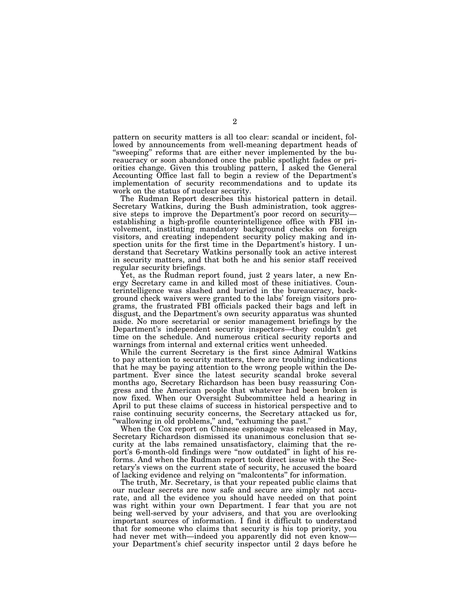pattern on security matters is all too clear: scandal or incident, followed by announcements from well-meaning department heads of "sweeping" reforms that are either never implemented by the bureaucracy or soon abandoned once the public spotlight fades or priorities change. Given this troubling pattern, I asked the General Accounting Office last fall to begin a review of the Department's implementation of security recommendations and to update its work on the status of nuclear security.

The Rudman Report describes this historical pattern in detail. Secretary Watkins, during the Bush administration, took aggressive steps to improve the Department's poor record on security establishing a high-profile counterintelligence office with FBI involvement, instituting mandatory background checks on foreign visitors, and creating independent security policy making and inspection units for the first time in the Department's history. I understand that Secretary Watkins personally took an active interest in security matters, and that both he and his senior staff received regular security briefings.

Yet, as the Rudman report found, just 2 years later, a new Energy Secretary came in and killed most of these initiatives. Counterintelligence was slashed and buried in the bureaucracy, background check waivers were granted to the labs' foreign visitors programs, the frustrated FBI officials packed their bags and left in disgust, and the Department's own security apparatus was shunted aside. No more secretarial or senior management briefings by the Department's independent security inspectors—they couldn't get time on the schedule. And numerous critical security reports and warnings from internal and external critics went unheeded.

While the current Secretary is the first since Admiral Watkins to pay attention to security matters, there are troubling indications that he may be paying attention to the wrong people within the Department. Ever since the latest security scandal broke several months ago, Secretary Richardson has been busy reassuring Congress and the American people that whatever had been broken is now fixed. When our Oversight Subcommittee held a hearing in April to put these claims of success in historical perspective and to raise continuing security concerns, the Secretary attacked us for, ''wallowing in old problems,'' and, ''exhuming the past.''

When the Cox report on Chinese espionage was released in May, Secretary Richardson dismissed its unanimous conclusion that security at the labs remained unsatisfactory, claiming that the report's 6-month-old findings were ''now outdated'' in light of his reforms. And when the Rudman report took direct issue with the Secretary's views on the current state of security, he accused the board of lacking evidence and relying on ''malcontents'' for information.

The truth, Mr. Secretary, is that your repeated public claims that our nuclear secrets are now safe and secure are simply not accurate, and all the evidence you should have needed on that point was right within your own Department. I fear that you are not being well-served by your advisers, and that you are overlooking important sources of information. I find it difficult to understand that for someone who claims that security is his top priority, you had never met with—indeed you apparently did not even know your Department's chief security inspector until 2 days before he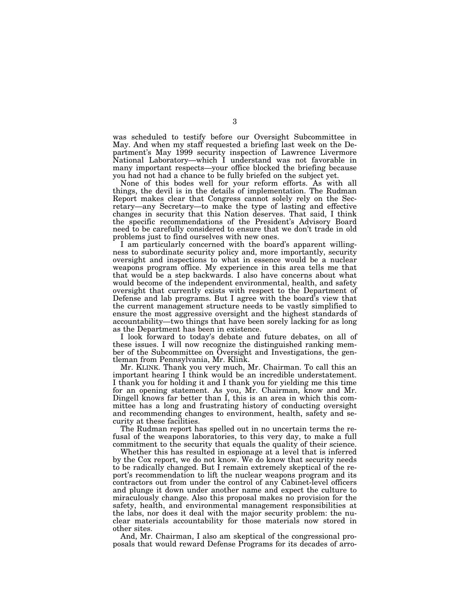was scheduled to testify before our Oversight Subcommittee in May. And when my staff requested a briefing last week on the Department's May 1999 security inspection of Lawrence Livermore National Laboratory—which I understand was not favorable in many important respects—your office blocked the briefing because you had not had a chance to be fully briefed on the subject yet.

None of this bodes well for your reform efforts. As with all things, the devil is in the details of implementation. The Rudman Report makes clear that Congress cannot solely rely on the Secretary—any Secretary—to make the type of lasting and effective changes in security that this Nation deserves. That said, I think the specific recommendations of the President's Advisory Board need to be carefully considered to ensure that we don't trade in old problems just to find ourselves with new ones.

I am particularly concerned with the board's apparent willingness to subordinate security policy and, more importantly, security oversight and inspections to what in essence would be a nuclear weapons program office. My experience in this area tells me that that would be a step backwards. I also have concerns about what would become of the independent environmental, health, and safety oversight that currently exists with respect to the Department of Defense and lab programs. But I agree with the board's view that the current management structure needs to be vastly simplified to ensure the most aggressive oversight and the highest standards of accountability—two things that have been sorely lacking for as long as the Department has been in existence.

I look forward to today's debate and future debates, on all of these issues. I will now recognize the distinguished ranking member of the Subcommittee on Oversight and Investigations, the gentleman from Pennsylvania, Mr. Klink.

Mr. KLINK. Thank you very much, Mr. Chairman. To call this an important hearing I think would be an incredible understatement. I thank you for holding it and I thank you for yielding me this time for an opening statement. As you, Mr. Chairman, know and Mr. Dingell knows far better than I, this is an area in which this committee has a long and frustrating history of conducting oversight and recommending changes to environment, health, safety and security at these facilities.

The Rudman report has spelled out in no uncertain terms the refusal of the weapons laboratories, to this very day, to make a full commitment to the security that equals the quality of their science.

Whether this has resulted in espionage at a level that is inferred by the Cox report, we do not know. We do know that security needs to be radically changed. But I remain extremely skeptical of the report's recommendation to lift the nuclear weapons program and its contractors out from under the control of any Cabinet-level officers and plunge it down under another name and expect the culture to miraculously change. Also this proposal makes no provision for the safety, health, and environmental management responsibilities at the labs, nor does it deal with the major security problem: the nuclear materials accountability for those materials now stored in other sites.

And, Mr. Chairman, I also am skeptical of the congressional proposals that would reward Defense Programs for its decades of arro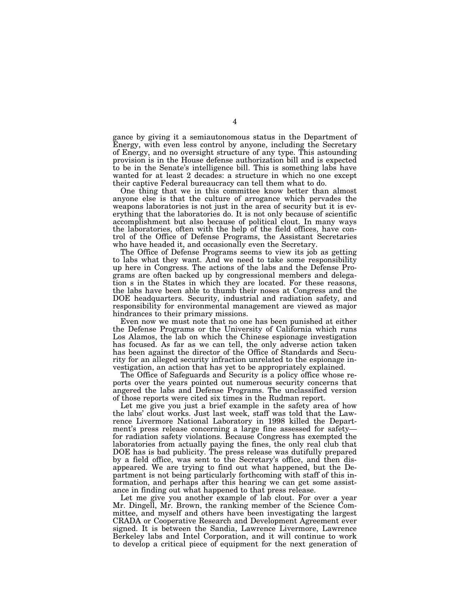gance by giving it a semiautonomous status in the Department of Energy, with even less control by anyone, including the Secretary of Energy, and no oversight structure of any type. This astounding provision is in the House defense authorization bill and is expected to be in the Senate's intelligence bill. This is something labs have wanted for at least 2 decades: a structure in which no one except their captive Federal bureaucracy can tell them what to do.

One thing that we in this committee know better than almost anyone else is that the culture of arrogance which pervades the weapons laboratories is not just in the area of security but it is everything that the laboratories do. It is not only because of scientific accomplishment but also because of political clout. In many ways the laboratories, often with the help of the field offices, have control of the Office of Defense Programs, the Assistant Secretaries who have headed it, and occasionally even the Secretary.

The Office of Defense Programs seems to view its job as getting to labs what they want. And we need to take some responsibility up here in Congress. The actions of the labs and the Defense Programs are often backed up by congressional members and delegation s in the States in which they are located. For these reasons, the labs have been able to thumb their noses at Congress and the DOE headquarters. Security, industrial and radiation safety, and responsibility for environmental management are viewed as major hindrances to their primary missions.

Even now we must note that no one has been punished at either the Defense Programs or the University of California which runs Los Alamos, the lab on which the Chinese espionage investigation has focused. As far as we can tell, the only adverse action taken has been against the director of the Office of Standards and Security for an alleged security infraction unrelated to the espionage investigation, an action that has yet to be appropriately explained.

The Office of Safeguards and Security is a policy office whose reports over the years pointed out numerous security concerns that angered the labs and Defense Programs. The unclassified version of those reports were cited six times in the Rudman report.

Let me give you just a brief example in the safety area of how the labs' clout works. Just last week, staff was told that the Lawrence Livermore National Laboratory in 1998 killed the Department's press release concerning a large fine assessed for safety for radiation safety violations. Because Congress has exempted the laboratories from actually paying the fines, the only real club that DOE has is bad publicity. The press release was dutifully prepared by a field office, was sent to the Secretary's office, and then disappeared. We are trying to find out what happened, but the Department is not being particularly forthcoming with staff of this information, and perhaps after this hearing we can get some assistance in finding out what happened to that press release.

Let me give you another example of lab clout. For over a year Mr. Dingell, Mr. Brown, the ranking member of the Science Committee, and myself and others have been investigating the largest CRADA or Cooperative Research and Development Agreement ever signed. It is between the Sandia, Lawrence Livermore, Lawrence Berkeley labs and Intel Corporation, and it will continue to work to develop a critical piece of equipment for the next generation of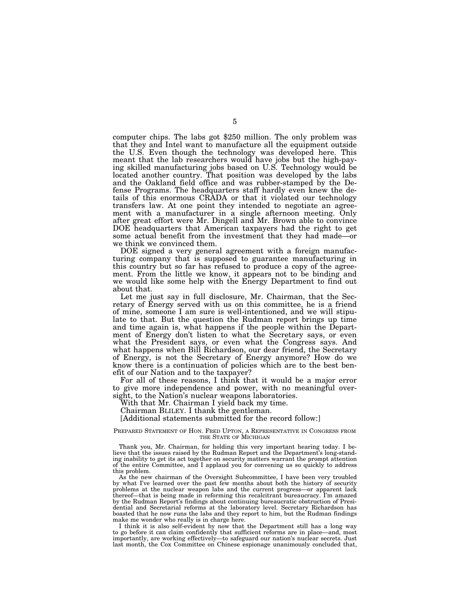computer chips. The labs got \$250 million. The only problem was that they and Intel want to manufacture all the equipment outside the U.S. Even though the technology was developed here. This meant that the lab researchers would have jobs but the high-paying skilled manufacturing jobs based on U.S. Technology would be located another country. That position was developed by the labs and the Oakland field office and was rubber-stamped by the Defense Programs. The headquarters staff hardly even knew the details of this enormous CRADA or that it violated our technology transfers law. At one point they intended to negotiate an agreement with a manufacturer in a single afternoon meeting. Only after great effort were Mr. Dingell and Mr. Brown able to convince DOE headquarters that American taxpayers had the right to get some actual benefit from the investment that they had made—or we think we convinced them.

DOE signed a very general agreement with a foreign manufacturing company that is supposed to guarantee manufacturing in this country but so far has refused to produce a copy of the agreement. From the little we know, it appears not to be binding and we would like some help with the Energy Department to find out about that.

Let me just say in full disclosure, Mr. Chairman, that the Secretary of Energy served with us on this committee, he is a friend of mine, someone I am sure is well-intentioned, and we will stipulate to that. But the question the Rudman report brings up time and time again is, what happens if the people within the Department of Energy don't listen to what the Secretary says, or even what the President says, or even what the Congress says. And what happens when Bill Richardson, our dear friend, the Secretary of Energy, is not the Secretary of Energy anymore? How do we know there is a continuation of policies which are to the best benefit of our Nation and to the taxpayer?

For all of these reasons, I think that it would be a major error to give more independence and power, with no meaningful oversight, to the Nation's nuclear weapons laboratories.

With that Mr. Chairman I yield back my time.

Chairman BLILEY. I thank the gentleman.

[Additional statements submitted for the record follow:]

## PREPARED STATEMENT OF HON. FRED UPTON, A REPRESENTATIVE IN CONGRESS FROM THE STATE OF MICHIGAN

Thank you, Mr. Chairman, for holding this very important hearing today. I believe that the issues raised by the Rudman Report and the Department's long-standing inability to get its act together on security matters warrant the prompt attention of the entire Committee, and I applaud you for convening us so quickly to address this problem.

As the new chairman of the Oversight Subcommittee, I have been very troubled by what I've learned over the past few months about both the history of security problems at the nuclear weapon labs and the current progress—or apparent lack thereof—that is being made in reforming this recalcitrant bureaucracy. I'm amazed by the Rudman Report's findings about continuing bureaucratic obstruction of Presidential and Secretarial reforms at the laboratory level. Secretary Richardson has boasted that he now runs the labs and they report to him, but the Rudman findings make me wonder who really is in charge here.

I think it is also self-evident by now that the Department still has a long way to go before it can claim confidently that sufficient reforms are in place—and, most importantly, are working effectively—to safeguard our nation's nuclear secrets. Just last month, the Cox Committee on Chinese espionage unanimously concluded that,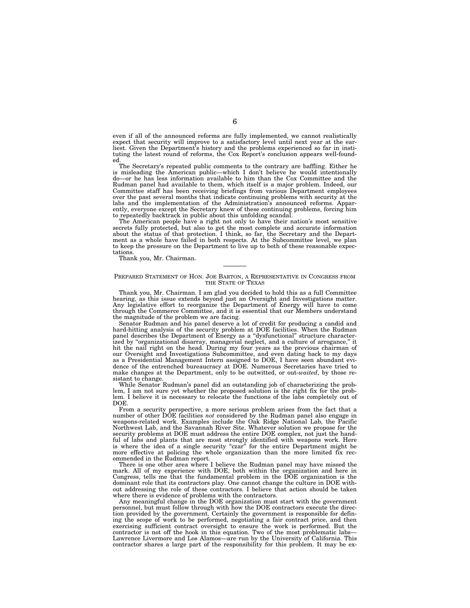even if all of the announced reforms are fully implemented, we cannot realistically expect that security will improve to a satisfactory level until next year at the ear-liest. Given the Department's history and the problems experienced so far in instituting the latest round of reforms, the Cox Report's conclusion appears well-founded.

The Secretary's repeated public comments to the contrary are baffling. Either he is misleading the American public—which I don't believe he would intentionally do—or he has less information available to him than the Cox Committee and the Rudman panel had available to them, which itself is a major problem. Indeed, our Committee staff has been receiving briefings from various Department employees over the past several months that indicate continuing problems with security at the labs and the implementation of the Administration's announced reforms. Apparently, everyone except the Secretary knew of these continuing problems, forcing him to repeatedly backtrack in public about this unfolding scandal.

The American people have a right not only to have their nation's most sensitive secrets fully protected, but also to get the most complete and accurate information about the status of that protection. I think, so far, the Secretary and the Department as a whole have failed in both respects. At the Subcommittee level, we plan to keep the pressure on the Department to live up to both of these reasonable expectations.

Thank you, Mr. Chairman.

### PREPARED STATEMENT OF HON. JOE BARTON, A REPRESENTATIVE IN CONGRESS FROM THE STATE OF TEXAS

Thank you, Mr. Chairman. I am glad you decided to hold this as a full Committee hearing, as this issue extends beyond just an Oversight and Investigations matter. Any legislative effort to reorganize the Department of Energy will have to come through the Commerce Committee, and it is essential that our Members understand the magnitude of the problem we are facing.

Senator Rudman and his panel deserve a lot of credit for producing a candid and hard-hitting analysis of the security problem at DOE facilities. When the Rudman panel describes the Department of Energy as a ''dysfunctional'' structure characterized by ''organizational disarray, managerial neglect, and a culture of arrogance,'' it hit the nail right on the head. During my four years as the previous chairman of our Oversight and Investigations Subcommittee, and even dating back to my days as a Presidential Management Intern assigned to DOE, I have seen abundant evidence of the entrenched bureaucracy at DOE. Numerous Secretaries have tried to make changes at the Department, only to be outwitted, or out-*waited*, by those resistant to change.

While Senator Rudman's panel did an outstanding job of characterizing the problem, I am not sure yet whether the proposed solution is the right fix for the problem. I believe it is necessary to relocate the functions of the labs completely out of DOE.

From a security perspective, a more serious problem arises from the fact that a number of other DOE facilities *not* considered by the Rudman panel also engage in weapons-related work. Examples include the Oak Ridge National Lab, the Pacific Northwest Lab, and the Savannah River Site. Whatever solution we propose for the security problems at DOE must address the entire DOE complex, not just the handful of labs and plants that are most strongly identified with weapons work. Here is where the idea of a single security "czar" for the entire Department might be more effective at policing the whole organization than the more limited fix recommended in the Rudman report.

There is one other area where I believe the Rudman panel may have missed the mark. All of my experience with DOE, both within the organization and here in Congress, tells me that the fundamental problem in the DOE organization is the dominant role that its contractors play. One cannot change the culture in DOE without addressing the role of these contractors. I believe that action should be taken where there is evidence of problems with the contractors.

Any meaningful change in the DOE organization must start with the government personnel, but must follow through with how the DOE contractors execute the direction provided by the government. Certainly the government is responsible for defining the scope of work to be performed, negotiating a fair contract price, and then exercising sufficient contract oversight to ensure the work is performed. But the contractor is not off the hook in this equation. Two of the most problematic labs— Lawrence Livermore and Los Alamos—are run by the University of California. This contractor shares a large part of the responsibility for this problem. It may be ex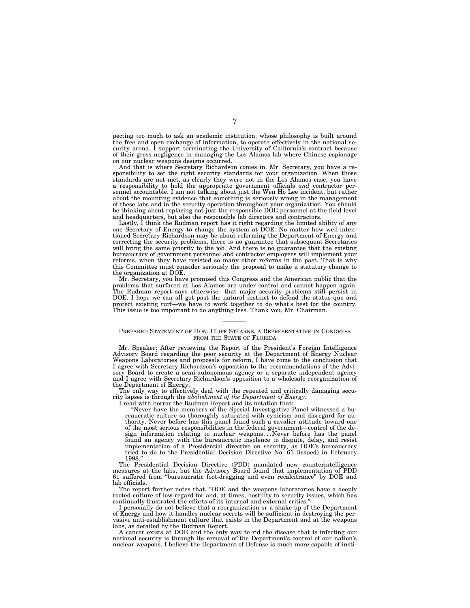pecting too much to ask an academic institution, whose philosophy is built around the free and open exchange of information, to operate effectively in the national security arena. I support terminating the University of California's contract because of their gross negligence in managing the Los Alamos lab where Chinese espionage on our nuclear weapons designs occurred.

And that is where Secretary Richardson comes in. Mr. Secretary, you have a responsibility to set the right security standards for your organization. When those standards are not met, as clearly they were not in the Los Alamos case, you have a responsibility to hold the appropriate government officials *and* contractor personnel accountable. I am not talking about just the Wen Ho Lee incident, but rather about the mounting evidence that something is seriously wrong in the management of these labs and in the security operation throughout your organization. You should be thinking about replacing not just the responsible DOE personnel at the field level and headquarters, but also the responsible lab directors and contractors.

Lastly, I think the Rudman report has it right regarding the limited ability of any one Secretary of Energy to change the system at DOE. No matter how well-intentioned Secretary Richardson may be about reforming the Department of Energy and correcting the security problems, there is no guarantee that subsequent Secretaries will bring the same priority to the job. And there is no guarantee that the existing bureaucracy of government personnel and contractor employees will implement your reforms, when they have resisted so many other reforms in the past. That is why this Committee must consider seriously the proposal to make a statutory change to the organization at DOE.

Mr. Secretary, you have promised this Congress and the American public that the problems that surfaced at Los Alamos are under control and cannot happen again.<br>The Budman wave data Los Alamos are under control and cannot happen again. The Rudman report says otherwise—that major security problems still persist in DOE. I hope we can all get past the natural instinct to defend the status quo and protect existing turf—we have to work together to do what's best for the country. This issue is too important to do anything less. Thank you, Mr. Chairman.

## PREPARED STATEMENT OF HON. CLIFF STEARNS, A REPRESENTATIVE IN CONGRESS FROM THE STATE OF FLORIDA

Mr. Speaker: After reviewing the Report of the President's Foreign Intelligence Advisory Board regarding the poor security at the Department of Energy Nuclear Weapons Laboratories and proposals for reform, I have come to the conclusion that I agree with Secretary Richardson's opposition to the recommendations of the Advisory Board to create a semi-autonomous agency or a separate independent agency and I agree with Secretary Richardson's opposition to a wholesale reorganization of the Department of Energy.

The only way to effectively deal with the repeated and critically damaging security lapses is through the *abolishment of the Department of Energy.*

I read with horror the Rudman Report and its notation that:

''Never have the members of the Special Investigative Panel witnessed a bureaucratic culture so thoroughly saturated with cynicism and disregard for authority. Never before has this panel found such a cavalier attitude toward one of the most serious responsibilities in the federal government—control of the design information relating to nuclear weapons... Never before has the panel found an agency with the bureaucratic insolence to dispute, delay, and resist implementation of a Presidential directive on security, as DOE's bureaucracy tried to do to the Presidential Decision Directive No. 61 (issued) in February 1998.''

The Presidential Decision Directive (PDD) mandated new counterintelligence measures at the labs, but the Advisory Board found that implementation of PDD 61 suffered from ''bureaucratic foot-dragging and even recalcitrance'' by DOE and lab officials.

The report further notes that, ''DOE and the weapons laboratories have a deeply rooted culture of low regard for and, at times, hostility to security issues, which has continually frustrated the efforts of its internal and external critics.

I personally do not believe that a reorganization or a shake-up of the Department of Energy and how it handles nuclear secrets will be sufficient in destroying the pervasive anti-establishment culture that exists in the Department and at the weapons labs, as detailed by the Rudman Report.

A cancer exists at DOE and the only way to rid the disease that is infecting our national security is through its removal of the Department's control of our nation's nuclear weapons. I believe the Department of Defense is much more capable of insti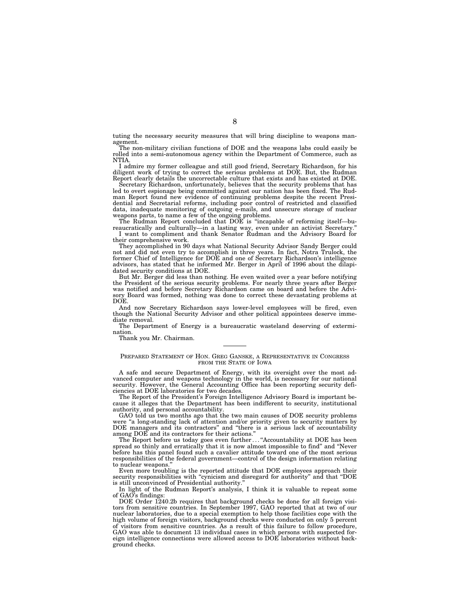tuting the necessary security measures that will bring discipline to weapons management. The non-military civilian functions of DOE and the weapons labs could easily be

rolled into a semi-autonomous agency within the Department of Commerce, such as NTIA.

I admire my former colleague and still good friend, Secretary Richardson, for his diligent work of trying to correct the serious problems at DOE. But, the Rudman Report clearly details the uncorrectable culture that exists and has existed at DOE.

Secretary Richardson, unfortunately, believes that the security problems that has led to overt espionage being committed against our nation has been fixed. The Rudman Report found new evidence of continuing problems despite the recent Presidential and Secretarial reforms, including poor control of restricted and classified data, inadequate monitoring of outgoing e-mails, and unsecure storage of nuclear weapons parts, to name a few of the ongoing problems.

The Rudman Report concluded that DOE is ''incapable of reforming itself—bureaucratically and culturally—in a lasting way, even under an activist Secretary.''

I want to compliment and thank Senator Rudman and the Advisory Board for their comprehensive work.

They accomplished in 90 days what National Security Advisor Sandy Berger could not and did not even try to accomplish in three years. In fact, Notra Trulock, the former Chief of Intelligence for DOE and one of Secretary Richardson's intelligence advisors, has stated that he informed Mr. Berger in April of 1996 about the dilapidated security conditions at DOE.

But Mr. Berger did less than nothing. He even waited over a year before notifying the President of the serious security problems. For nearly three years after Berger was notified and before Secretary Richardson came on board and before the Advisory Board was formed, nothing was done to correct these devastating problems at DOE.

And now Secretary Richardson says lower-level employees will be fired, even though the National Security Advisor and other political appointees deserve immediate removal.

The Department of Energy is a bureaucratic wasteland deserving of extermination.

Thank you Mr. Chairman.

## PREPARED STATEMENT OF HON. GREG GANSKE, A REPRESENTATIVE IN CONGRESS FROM THE STATE OF IOWA

A safe and secure Department of Energy, with its oversight over the most advanced computer and weapons technology in the world, is necessary for our national security. However, the General Accounting Office has been reporting security deficiencies at DOE laboratories for two decades.

The Report of the President's Foreign Intelligence Advisory Board is important because it alleges that the Department has been indifferent to security, institutional authority, and personal accountability.

GAO told us two months ago that the two main causes of DOE security problems were "a long-standing lack of attention and/or priority given to security matters by DOE managers and its contractors" and "there is a serious lack of accountability among DOE and its contractors for their actions.''

The Report before us today goes even further... "Accountability at DOE has been spread so thinly and erratically that it is now almost impossible to find'' and ''Never before has this panel found such a cavalier attitude toward one of the most serious responsibilities of the federal government—control of the design information relating to nuclear weapons.

Even more troubling is the reported attitude that DOE employees approach their security responsibilities with ''cynicism and disregard for authority'' and that ''DOE is still unconvinced of Presidential authority.

In light of the Rudman Report's analysis, I think it is valuable to repeat some of GAO's findings:

DOE Order 1240.2b requires that background checks be done for all foreign visitors from sensitive countries. In September 1997, GAO reported that at two of our nuclear laboratories, due to a special exemption to help those facilities cope with the high volume of foreign visitors, background checks were conducted on only 5 percent of visitors from sensitive countries. As a result of this failure to follow procedure, GAO was able to document 13 individual cases in which persons with suspected foreign intelligence connections were allowed access to DOE laboratories without background checks.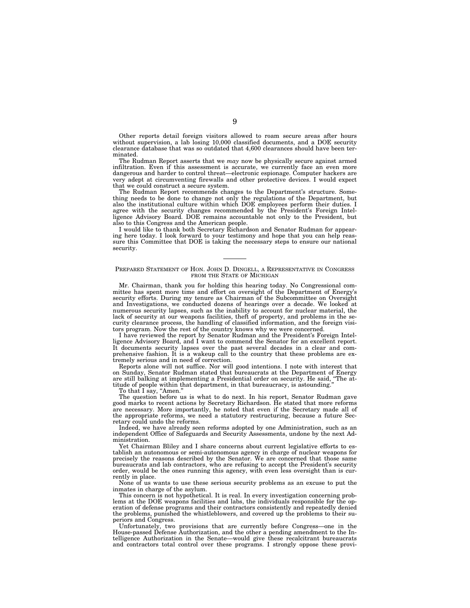Other reports detail foreign visitors allowed to roam secure areas after hours without supervision, a lab losing 10,000 classified documents, and a DOE security clearance database that was so outdated that 4,600 clearances should have been terminated.

The Rudman Report asserts that we *may* now be physically secure against armed infiltration. Even if this assessment is accurate, we currently face an even more dangerous and harder to control threat—electronic espionage. Computer hackers are very adept at circumventing firewalls and other protective devices. I would expect that we could construct a secure system.

The Rudman Report recommends changes to the Department's structure. Something needs to be done to change not only the regulations of the Department, but also the institutional culture within which DOE employees perform their duties. I agree with the security changes recommended by the President's Foreign Intelligence Advisory Board. DOE remains accountable not only to the President, but also to this Congress and the American people.

I would like to thank both Secretary Richardson and Senator Rudman for appearing here today. I look forward to your testimony and hope that you can help reassure this Committee that DOE is taking the necessary steps to ensure our national security.

## PREPARED STATEMENT OF HON. JOHN D. DINGELL, A REPRESENTATIVE IN CONGRESS FROM THE STATE OF MICHIGAN

Mr. Chairman, thank you for holding this hearing today. No Congressional committee has spent more time and effort on oversight of the Department of Energy's security efforts. During my tenure as Chairman of the Subcommittee on Oversight and Investigations, we conducted dozens of hearings over a decade. We looked at numerous security lapses, such as the inability to account for nuclear material, the lack of security at our weapons facilities, theft of property, and problems in the security clearance process, the handling of classified information, and the foreign visitors program. Now the rest of the country knows why we were concerned.

I have reviewed the report by Senator Rudman and the President's Foreign Intelligence Advisory Board, and I want to commend the Senator for an excellent report. It documents security lapses over the past several decades in a clear and comprehensive fashion. It is a wakeup call to the country that these problems are extremely serious and in need of correction.

Reports alone will not suffice. Nor will good intentions. I note with interest that on Sunday, Senator Rudman stated that bureaucrats at the Department of Energy are still balking at implementing a Presidential order on security. He said, ''The attitude of people within that department, in that bureaucracy, is astounding.''

To that I say, "Amen."

The question before us is what to do next. In his report, Senator Rudman gave good marks to recent actions by Secretary Richardson. He stated that more reforms are necessary. More importantly, he noted that even if the Secretary made all of the appropriate reforms, we need a statutory restructuring, because a future Secretary could undo the reforms.

Indeed, we have already seen reforms adopted by one Administration, such as an independent Office of Safeguards and Security Assessments, undone by the next Administration.

Yet Chairman Bliley and I share concerns about current legislative efforts to establish an autonomous or semi-autonomous agency in charge of nuclear weapons for precisely the reasons described by the Senator. We are concerned that those same bureaucrats and lab contractors, who are refusing to accept the President's security order, would be the ones running this agency, with even less oversight than is currently in place.

None of us wants to use these serious security problems as an excuse to put the inmates in charge of the asylum.

This concern is not hypothetical. It is real. In every investigation concerning problems at the DOE weapons facilities and labs, the individuals responsible for the operation of defense programs and their contractors consistently and repeatedly denied the problems, punished the whistleblowers, and covered up the problems to their superiors and Congress.

Unfortunately, two provisions that are currently before Congress—one in the House-passed Defense Authorization, and the other a pending amendment to the Intelligence Authorization in the Senate—would give these recalcitrant bureaucrats and contractors total control over these programs. I strongly oppose these provi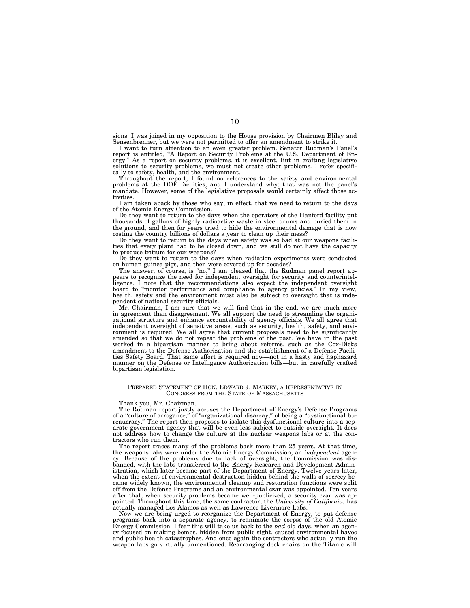sions. I was joined in my opposition to the House provision by Chairmen Bliley and Sensenbrenner, but we were not permitted to offer an amendment to strike it. I want to turn attention to an even greater problem. Senator Rudman's Panel's

report is entitled, ''A Report on Security Problems at the U.S. Department of En-ergy.'' As a report on security problems, it is excellent. But in crafting legislative solutions to security problems, we must not create other problems. I refer specifi-cally to safety, health, and the environment.

Throughout the report, I found no references to the safety and environmental problems at the DOE facilities, and I understand why: that was not the panel's mandate. However, some of the legislative proposals would certainly affect those activities.

I am taken aback by those who say, in effect, that we need to return to the days of the Atomic Energy Commission.

Do they want to return to the days when the operators of the Hanford facility put thousands of gallons of highly radioactive waste in steel drums and buried them in the ground, and then for years tried to hide the environmental damage that is now costing the country billions of dollars a year to clean up their mess?

Do they want to return to the days when safety was so bad at our weapons facilities that every plant had to be closed down, and we still do not have the capacity to produce tritium for our weapons?

Do they want to return to the days when radiation experiments were conducted on human guinea pigs, and then were covered up for decades?

The answer, of course, is "no." I am pleased that the Rudman panel report appears to recognize the need for independent oversight for security and counterintelligence. I note that the recommendations also expect the independent oversight board to ''monitor performance and compliance to agency policies.'' In my view, health, safety and the environment must also be subject to oversight that is independent of national security officials.

Mr. Chairman, I am sure that we will find that in the end, we are much more in agreement than disagreement. We all support the need to streamline the organizational structure and enhance accountability of agency officials. We all agree that independent oversight of sensitive areas, such as security, health, safety, and environment is required. We all agree that current proposals need to be significantly amended so that we do not repeat the problems of the past. We have in the past worked in a bipartisan manner to bring about reforms, such as the Cox-Dicks amendment to the Defense Authorization and the establishment of a Defense Facilities Safety Board. That same effort is required now—not in a hasty and haphazard manner on the Defense or Intelligence Authorization bills—but in carefully crafted bipartisan legislation.

## PREPARED STATEMENT OF HON. EDWARD J. MARKEY, A REPRESENTATIVE IN CONGRESS FROM THE STATE OF MASSACHUSETTS

#### Thank you, Mr. Chairman.

The Rudman report justly accuses the Department of Energy's Defense Programs of a ''culture of arrogance,'' of ''organizational disarray,'' of being a ''dysfunctional bureaucracy.'' The report then proposes to isolate this dysfunctional culture into a separate government agency that will be even less subject to outside oversight. It does not address how to change the culture at the nuclear weapons labs or at the contractors who run them.

The report traces many of the problems back more than 25 years. At that time, the weapons labs were under the Atomic Energy Commission, an *independent* agency. Because of the problems due to lack of oversight, the Commission was disbanded, with the labs transferred to the Energy Research and Development Administration, which later became part of the Department of Energy. Twelve years later, when the extent of environmental destruction hidden behind the walls of secrecy became widely known, the environmental cleanup and restoration functions were split off from the Defense Programs and an environmental czar was appointed. Ten years after that, when security problems became well-publicized, a security czar was appointed. Throughout this time, the same contractor, the *University of California,* has actually managed Los Alamos as well as Lawrence Livermore Labs.

Now we are being urged to reorganize the Department of Energy, to put defense programs back into a separate agency, to reanimate the corpse of the old Atomic Energy Commission. I fear this will take us back to the *bad* old days, when an agency focused on making bombs, hidden from public sight, caused environmental havoc and public health catastrophes. And once again the contractors who actually run the weapon labs go virtually unmentioned. Rearranging deck chairs on the Titanic will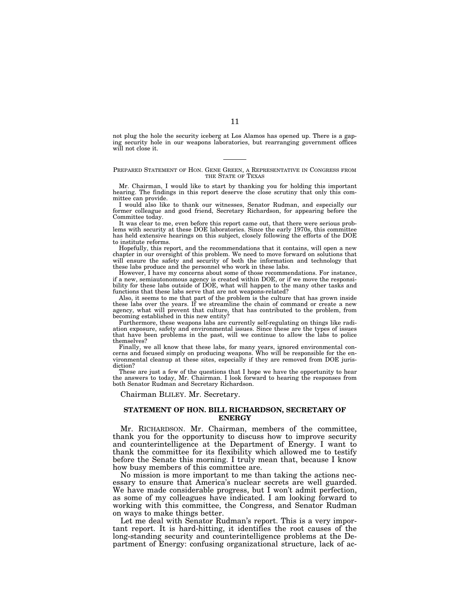not plug the hole the security iceberg at Los Alamos has opened up. There is a gaping security hole in our weapons laboratories, but rearranging government offices will not close it.

## PREPARED STATEMENT OF HON. GENE GREEN, A REPRESENTATIVE IN CONGRESS FROM THE STATE OF TEXAS

Mr. Chairman, I would like to start by thanking you for holding this important hearing. The findings in this report deserve the close scrutiny that only this committee can provide.

I would also like to thank our witnesses, Senator Rudman, and especially our former colleague and good friend, Secretary Richardson, for appearing before the Committee today.

It was clear to me, even before this report came out, that there were serious problems with security at these DOE laboratories. Since the early 1970s, this committee has held extensive hearings on this subject, closely following the efforts of the DOE to institute reforms.

Hopefully, this report, and the recommendations that it contains, will open a new chapter in our oversight of this problem. We need to move forward on solutions that will ensure the safety and security of both the information and technology that these labs produce and the personnel who work in these labs.

However, I have my concerns about some of those recommendations. For instance, if a new, semiautonomous agency is created within DOE, or if we move the responsibility for these labs outside of DOE, what will happen to the many other tasks and functions that these labs serve that are not weapons-related?

Also, it seems to me that part of the problem is the culture that has grown inside these labs over the years. If we streamline the chain of command or create a new agency, what will prevent that culture, that has contributed to the problem, from becoming established in this new entity?

Furthermore, these weapons labs are currently self-regulating on things like radiation exposure, safety and environmental issues. Since these are the types of issues that have been problems in the past, will we continue to allow the labs to police themselves?

Finally, we all know that these labs, for many years, ignored environmental concerns and focused simply on producing weapons. Who will be responsible for the environmental cleanup at these sites, especially if they are removed from DOE jurisdiction?

These are just a few of the questions that I hope we have the opportunity to hear the answers to today, Mr. Chairman. I look forward to hearing the responses from both Senator Rudman and Secretary Richardson.

Chairman BLILEY. Mr. Secretary.

## **STATEMENT OF HON. BILL RICHARDSON, SECRETARY OF ENERGY**

Mr. RICHARDSON. Mr. Chairman, members of the committee, thank you for the opportunity to discuss how to improve security and counterintelligence at the Department of Energy. I want to thank the committee for its flexibility which allowed me to testify before the Senate this morning. I truly mean that, because I know how busy members of this committee are.

No mission is more important to me than taking the actions necessary to ensure that America's nuclear secrets are well guarded. We have made considerable progress, but I won't admit perfection, as some of my colleagues have indicated. I am looking forward to working with this committee, the Congress, and Senator Rudman on ways to make things better.

Let me deal with Senator Rudman's report. This is a very important report. It is hard-hitting, it identifies the root causes of the long-standing security and counterintelligence problems at the Department of Energy: confusing organizational structure, lack of ac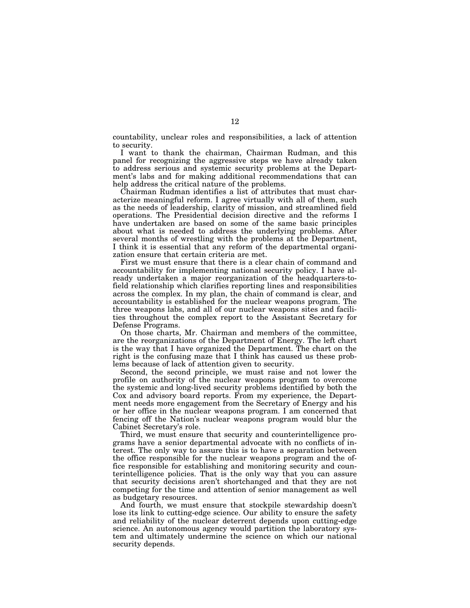countability, unclear roles and responsibilities, a lack of attention to security.

I want to thank the chairman, Chairman Rudman, and this panel for recognizing the aggressive steps we have already taken to address serious and systemic security problems at the Department's labs and for making additional recommendations that can help address the critical nature of the problems.

Chairman Rudman identifies a list of attributes that must characterize meaningful reform. I agree virtually with all of them, such as the needs of leadership, clarity of mission, and streamlined field operations. The Presidential decision directive and the reforms I have undertaken are based on some of the same basic principles about what is needed to address the underlying problems. After several months of wrestling with the problems at the Department, I think it is essential that any reform of the departmental organization ensure that certain criteria are met.

First we must ensure that there is a clear chain of command and accountability for implementing national security policy. I have already undertaken a major reorganization of the headquarters-tofield relationship which clarifies reporting lines and responsibilities across the complex. In my plan, the chain of command is clear, and accountability is established for the nuclear weapons program. The three weapons labs, and all of our nuclear weapons sites and facilities throughout the complex report to the Assistant Secretary for Defense Programs.

On those charts, Mr. Chairman and members of the committee, are the reorganizations of the Department of Energy. The left chart is the way that I have organized the Department. The chart on the right is the confusing maze that I think has caused us these problems because of lack of attention given to security.

Second, the second principle, we must raise and not lower the profile on authority of the nuclear weapons program to overcome the systemic and long-lived security problems identified by both the Cox and advisory board reports. From my experience, the Department needs more engagement from the Secretary of Energy and his or her office in the nuclear weapons program. I am concerned that fencing off the Nation's nuclear weapons program would blur the Cabinet Secretary's role.

Third, we must ensure that security and counterintelligence programs have a senior departmental advocate with no conflicts of interest. The only way to assure this is to have a separation between the office responsible for the nuclear weapons program and the office responsible for establishing and monitoring security and counterintelligence policies. That is the only way that you can assure that security decisions aren't shortchanged and that they are not competing for the time and attention of senior management as well as budgetary resources.

And fourth, we must ensure that stockpile stewardship doesn't lose its link to cutting-edge science. Our ability to ensure the safety and reliability of the nuclear deterrent depends upon cutting-edge science. An autonomous agency would partition the laboratory system and ultimately undermine the science on which our national security depends.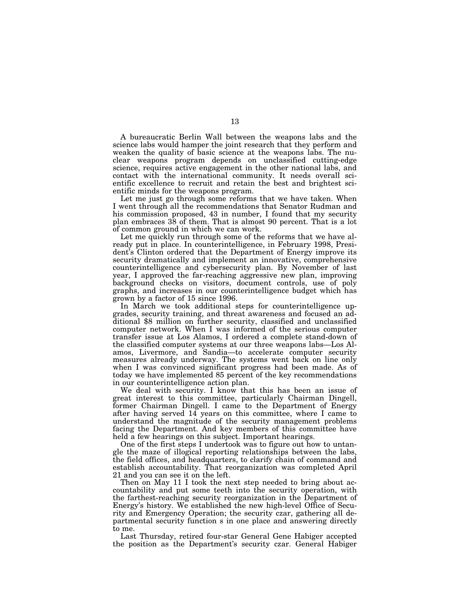A bureaucratic Berlin Wall between the weapons labs and the science labs would hamper the joint research that they perform and weaken the quality of basic science at the weapons labs. The nuclear weapons program depends on unclassified cutting-edge science, requires active engagement in the other national labs, and contact with the international community. It needs overall scientific excellence to recruit and retain the best and brightest scientific minds for the weapons program.

Let me just go through some reforms that we have taken. When I went through all the recommendations that Senator Rudman and his commission proposed, 43 in number, I found that my security plan embraces 38 of them. That is almost 90 percent. That is a lot of common ground in which we can work.

Let me quickly run through some of the reforms that we have already put in place. In counterintelligence, in February 1998, President's Clinton ordered that the Department of Energy improve its security dramatically and implement an innovative, comprehensive counterintelligence and cybersecurity plan. By November of last year, I approved the far-reaching aggressive new plan, improving background checks on visitors, document controls, use of poly graphs, and increases in our counterintelligence budget which has grown by a factor of 15 since 1996.

In March we took additional steps for counterintelligence upgrades, security training, and threat awareness and focused an additional \$8 million on further security, classified and unclassified computer network. When I was informed of the serious computer transfer issue at Los Alamos, I ordered a complete stand-down of the classified computer systems at our three weapons labs—Los Alamos, Livermore, and Sandia—to accelerate computer security measures already underway. The systems went back on line only when I was convinced significant progress had been made. As of today we have implemented 85 percent of the key recommendations in our counterintelligence action plan.

We deal with security. I know that this has been an issue of great interest to this committee, particularly Chairman Dingell, former Chairman Dingell. I came to the Department of Energy after having served 14 years on this committee, where I came to understand the magnitude of the security management problems facing the Department. And key members of this committee have held a few hearings on this subject. Important hearings.

One of the first steps I undertook was to figure out how to untangle the maze of illogical reporting relationships between the labs, the field offices, and headquarters, to clarify chain of command and establish accountability. That reorganization was completed April 21 and you can see it on the left.

Then on May 11 I took the next step needed to bring about accountability and put some teeth into the security operation, with the farthest-reaching security reorganization in the Department of Energy's history. We established the new high-level Office of Security and Emergency Operation; the security czar, gathering all departmental security function s in one place and answering directly to me.

Last Thursday, retired four-star General Gene Habiger accepted the position as the Department's security czar. General Habiger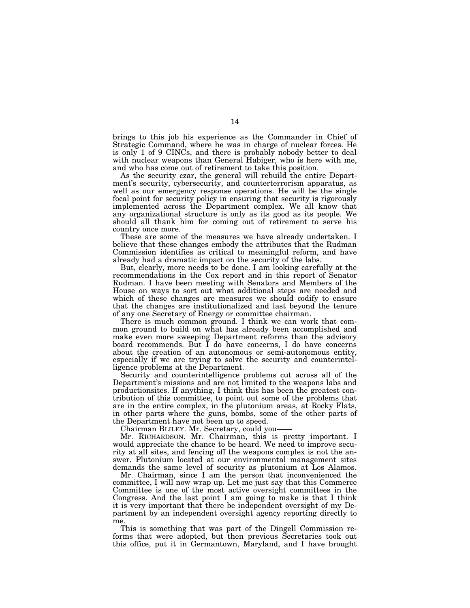brings to this job his experience as the Commander in Chief of Strategic Command, where he was in charge of nuclear forces. He is only 1 of 9 CINCs, and there is probably nobody better to deal with nuclear weapons than General Habiger, who is here with me, and who has come out of retirement to take this position.

As the security czar, the general will rebuild the entire Department's security, cybersecurity, and counterterrorism apparatus, as well as our emergency response operations. He will be the single focal point for security policy in ensuring that security is rigorously implemented across the Department complex. We all know that any organizational structure is only as its good as its people. We should all thank him for coming out of retirement to serve his country once more.

These are some of the measures we have already undertaken. I believe that these changes embody the attributes that the Rudman Commission identifies as critical to meaningful reform, and have already had a dramatic impact on the security of the labs.

But, clearly, more needs to be done. I am looking carefully at the recommendations in the Cox report and in this report of Senator Rudman. I have been meeting with Senators and Members of the House on ways to sort out what additional steps are needed and which of these changes are measures we should codify to ensure that the changes are institutionalized and last beyond the tenure of any one Secretary of Energy or committee chairman.

There is much common ground. I think we can work that common ground to build on what has already been accomplished and make even more sweeping Department reforms than the advisory board recommends. But I do have concerns, I do have concerns about the creation of an autonomous or semi-autonomous entity, especially if we are trying to solve the security and counterintelligence problems at the Department.

Security and counterintelligence problems cut across all of the Department's missions and are not limited to the weapons labs and productionsites. If anything, I think this has been the greatest contribution of this committee, to point out some of the problems that are in the entire complex, in the plutonium areas, at Rocky Flats, in other parts where the guns, bombs, some of the other parts of the Department have not been up to speed.

Chairman BLILEY. Mr. Secretary, could you——

Mr. RICHARDSON. Mr. Chairman, this is pretty important. I would appreciate the chance to be heard. We need to improve security at all sites, and fencing off the weapons complex is not the answer. Plutonium located at our environmental management sites demands the same level of security as plutonium at Los Alamos.

Mr. Chairman, since I am the person that inconvenienced the committee, I will now wrap up. Let me just say that this Commerce Committee is one of the most active oversight committees in the Congress. And the last point I am going to make is that I think it is very important that there be independent oversight of my Department by an independent oversight agency reporting directly to me.

This is something that was part of the Dingell Commission reforms that were adopted, but then previous Secretaries took out this office, put it in Germantown, Maryland, and I have brought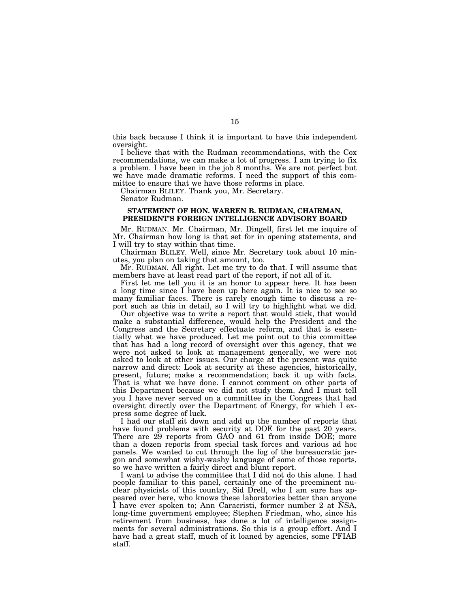this back because I think it is important to have this independent oversight.

I believe that with the Rudman recommendations, with the Cox recommendations, we can make a lot of progress. I am trying to fix a problem. I have been in the job 8 months. We are not perfect but we have made dramatic reforms. I need the support of this committee to ensure that we have those reforms in place.

Chairman BLILEY. Thank you, Mr. Secretary.

Senator Rudman.

## **STATEMENT OF HON. WARREN B. RUDMAN, CHAIRMAN, PRESIDENT'S FOREIGN INTELLIGENCE ADVISORY BOARD**

Mr. RUDMAN. Mr. Chairman, Mr. Dingell, first let me inquire of Mr. Chairman how long is that set for in opening statements, and I will try to stay within that time.

Chairman BLILEY. Well, since Mr. Secretary took about 10 minutes, you plan on taking that amount, too.

Mr. RUDMAN. All right. Let me try to do that. I will assume that members have at least read part of the report, if not all of it.

First let me tell you it is an honor to appear here. It has been a long time since I have been up here again. It is nice to see so many familiar faces. There is rarely enough time to discuss a report such as this in detail, so I will try to highlight what we did.

Our objective was to write a report that would stick, that would make a substantial difference, would help the President and the Congress and the Secretary effectuate reform, and that is essentially what we have produced. Let me point out to this committee that has had a long record of oversight over this agency, that we were not asked to look at management generally, we were not asked to look at other issues. Our charge at the present was quite narrow and direct: Look at security at these agencies, historically, present, future; make a recommendation; back it up with facts. That is what we have done. I cannot comment on other parts of this Department because we did not study them. And I must tell you I have never served on a committee in the Congress that had oversight directly over the Department of Energy, for which I express some degree of luck.

I had our staff sit down and add up the number of reports that have found problems with security at DOE for the past 20 years. There are 29 reports from GAO and 61 from inside DOE; more than a dozen reports from special task forces and various ad hoc panels. We wanted to cut through the fog of the bureaucratic jargon and somewhat wishy-washy language of some of those reports, so we have written a fairly direct and blunt report.

I want to advise the committee that I did not do this alone. I had people familiar to this panel, certainly one of the preeminent nuclear physicists of this country, Sid Drell, who I am sure has appeared over here, who knows these laboratories better than anyone I have ever spoken to; Ann Caracristi, former number 2 at NSA, long-time government employee; Stephen Friedman, who, since his retirement from business, has done a lot of intelligence assignments for several administrations. So this is a group effort. And I have had a great staff, much of it loaned by agencies, some PFIAB staff.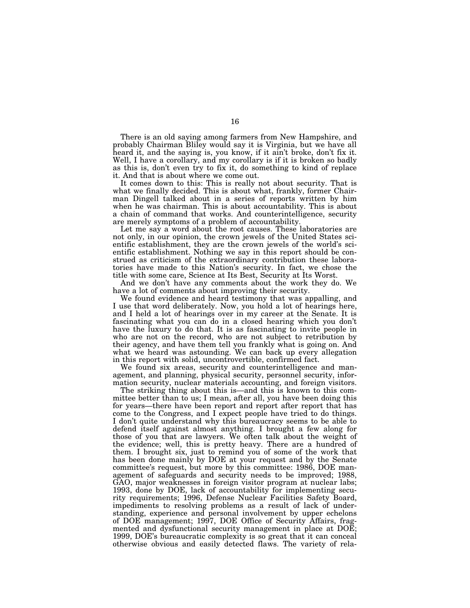There is an old saying among farmers from New Hampshire, and probably Chairman Bliley would say it is Virginia, but we have all heard it, and the saying is, you know, if it ain't broke, don't fix it. Well, I have a corollary, and my corollary is if it is broken so badly as this is, don't even try to fix it, do something to kind of replace it. And that is about where we come out.

It comes down to this: This is really not about security. That is what we finally decided. This is about what, frankly, former Chairman Dingell talked about in a series of reports written by him when he was chairman. This is about accountability. This is about a chain of command that works. And counterintelligence, security are merely symptoms of a problem of accountability.

Let me say a word about the root causes. These laboratories are not only, in our opinion, the crown jewels of the United States scientific establishment, they are the crown jewels of the world's scientific establishment. Nothing we say in this report should be construed as criticism of the extraordinary contribution these laboratories have made to this Nation's security. In fact, we chose the title with some care, Science at Its Best, Security at Its Worst.

And we don't have any comments about the work they do. We have a lot of comments about improving their security.

We found evidence and heard testimony that was appalling, and I use that word deliberately. Now, you hold a lot of hearings here, and I held a lot of hearings over in my career at the Senate. It is fascinating what you can do in a closed hearing which you don't have the luxury to do that. It is as fascinating to invite people in who are not on the record, who are not subject to retribution by their agency, and have them tell you frankly what is going on. And what we heard was astounding. We can back up every allegation in this report with solid, uncontrovertible, confirmed fact.

We found six areas, security and counterintelligence and management, and planning, physical security, personnel security, information security, nuclear materials accounting, and foreign visitors.

The striking thing about this is—and this is known to this committee better than to us; I mean, after all, you have been doing this for years—there have been report and report after report that has come to the Congress, and I expect people have tried to do things. I don't quite understand why this bureaucracy seems to be able to defend itself against almost anything. I brought a few along for those of you that are lawyers. We often talk about the weight of the evidence; well, this is pretty heavy. There are a hundred of them. I brought six, just to remind you of some of the work that has been done mainly by DOE at your request and by the Senate committee's request, but more by this committee: 1986, DOE management of safeguards and security needs to be improved; 1988, GAO, major weaknesses in foreign visitor program at nuclear labs; 1993, done by DOE, lack of accountability for implementing security requirements; 1996, Defense Nuclear Facilities Safety Board, impediments to resolving problems as a result of lack of understanding, experience and personal involvement by upper echelons of DOE management; 1997, DOE Office of Security Affairs, fragmented and dysfunctional security management in place at DOE; 1999, DOE's bureaucratic complexity is so great that it can conceal otherwise obvious and easily detected flaws. The variety of rela-

16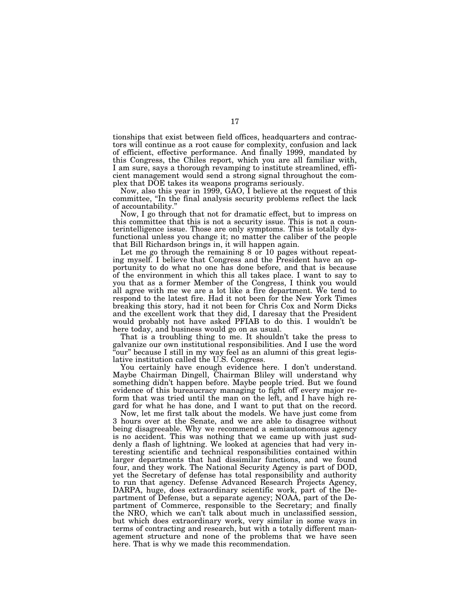tionships that exist between field offices, headquarters and contractors will continue as a root cause for complexity, confusion and lack of efficient, effective performance. And finally 1999, mandated by this Congress, the Chiles report, which you are all familiar with, I am sure, says a thorough revamping to institute streamlined, efficient management would send a strong signal throughout the complex that DOE takes its weapons programs seriously.

Now, also this year in 1999, GAO, I believe at the request of this committee, "In the final analysis security problems reflect the lack of accountability.''

Now, I go through that not for dramatic effect, but to impress on this committee that this is not a security issue. This is not a counterintelligence issue. Those are only symptoms. This is totally dysfunctional unless you change it; no matter the caliber of the people that Bill Richardson brings in, it will happen again.

Let me go through the remaining 8 or 10 pages without repeating myself. I believe that Congress and the President have an opportunity to do what no one has done before, and that is because of the environment in which this all takes place. I want to say to you that as a former Member of the Congress, I think you would all agree with me we are a lot like a fire department. We tend to respond to the latest fire. Had it not been for the New York Times breaking this story, had it not been for Chris Cox and Norm Dicks and the excellent work that they did, I daresay that the President would probably not have asked PFIAB to do this. I wouldn't be here today, and business would go on as usual.

That is a troubling thing to me. It shouldn't take the press to galvanize our own institutional responsibilities. And I use the word 'our" because I still in my way feel as an alumni of this great legislative institution called the U.S. Congress.

You certainly have enough evidence here. I don't understand. Maybe Chairman Dingell, Chairman Bliley will understand why something didn't happen before. Maybe people tried. But we found evidence of this bureaucracy managing to fight off every major reform that was tried until the man on the left, and I have high regard for what he has done, and I want to put that on the record.

Now, let me first talk about the models. We have just come from 3 hours over at the Senate, and we are able to disagree without being disagreeable. Why we recommend a semiautonomous agency is no accident. This was nothing that we came up with just suddenly a flash of lightning. We looked at agencies that had very interesting scientific and technical responsibilities contained within larger departments that had dissimilar functions, and we found four, and they work. The National Security Agency is part of DOD, yet the Secretary of defense has total responsibility and authority to run that agency. Defense Advanced Research Projects Agency, DARPA, huge, does extraordinary scientific work, part of the Department of Defense, but a separate agency; NOAA, part of the Department of Commerce, responsible to the Secretary; and finally the NRO, which we can't talk about much in unclassified session, but which does extraordinary work, very similar in some ways in terms of contracting and research, but with a totally different management structure and none of the problems that we have seen here. That is why we made this recommendation.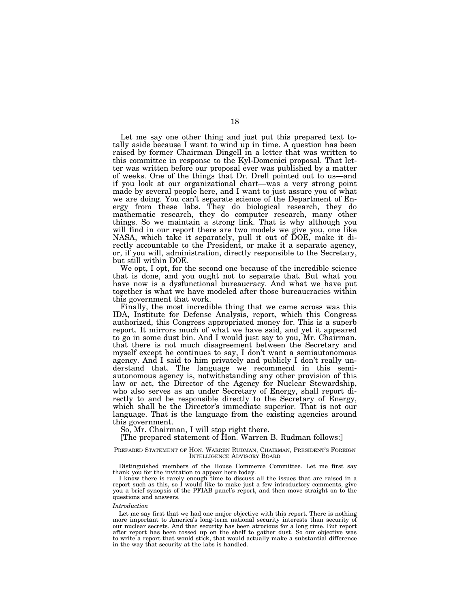Let me say one other thing and just put this prepared text totally aside because I want to wind up in time. A question has been raised by former Chairman Dingell in a letter that was written to this committee in response to the Kyl-Domenici proposal. That letter was written before our proposal ever was published by a matter of weeks. One of the things that Dr. Drell pointed out to us—and if you look at our organizational chart—was a very strong point made by several people here, and I want to just assure you of what we are doing. You can't separate science of the Department of Energy from these labs. They do biological research, they do mathematic research, they do computer research, many other things. So we maintain a strong link. That is why although you will find in our report there are two models we give you, one like NASA, which take it separately, pull it out of DOE, make it directly accountable to the President, or make it a separate agency, or, if you will, administration, directly responsible to the Secretary, but still within DOE.

We opt, I opt, for the second one because of the incredible science that is done, and you ought not to separate that. But what you have now is a dysfunctional bureaucracy. And what we have put together is what we have modeled after those bureaucracies within this government that work.

Finally, the most incredible thing that we came across was this IDA, Institute for Defense Analysis, report, which this Congress authorized, this Congress appropriated money for. This is a superb report. It mirrors much of what we have said, and yet it appeared to go in some dust bin. And I would just say to you, Mr. Chairman, that there is not much disagreement between the Secretary and myself except he continues to say, I don't want a semiautonomous agency. And I said to him privately and publicly I don't really understand that. The language we recommend in this semiautonomous agency is, notwithstanding any other provision of this law or act, the Director of the Agency for Nuclear Stewardship, who also serves as an under Secretary of Energy, shall report directly to and be responsible directly to the Secretary of Energy, which shall be the Director's immediate superior. That is not our language. That is the language from the existing agencies around this government.

So, Mr. Chairman, I will stop right there.

[The prepared statement of Hon. Warren B. Rudman follows:]

## PREPARED STATEMENT OF HON. WARREN RUDMAN, CHAIRMAN, PRESIDENT'S FOREIGN INTELLIGENCE ADVISORY BOARD

Distinguished members of the House Commerce Committee. Let me first say thank you for the invitation to appear here today.

I know there is rarely enough time to discuss all the issues that are raised in a report such as this, so I would like to make just a few introductory comments, give you a brief synopsis of the PFIAB panel's report, and then move straight on to the questions and answers.

#### *Introduction*

Let me say first that we had one major objective with this report. There is nothing more important to America's long-term national security interests than security of our nuclear secrets. And that security has been atrocious for a long time. But report after report has been tossed up on the shelf to gather dust. So our objective was to write a report that would stick, that would actually make a substantial difference in the way that security at the labs is handled.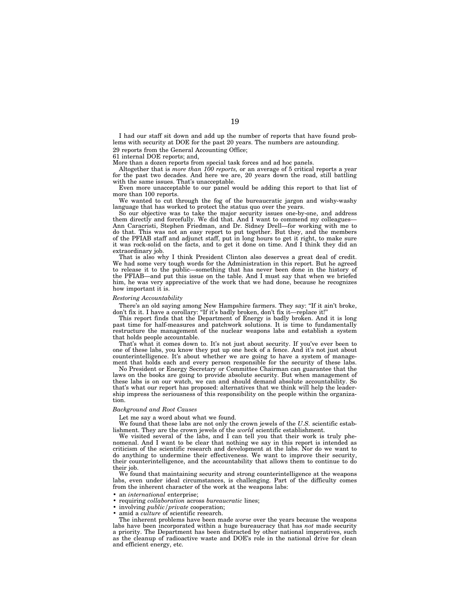I had our staff sit down and add up the number of reports that have found problems with security at DOE for the past 20 years. The numbers are astounding. 29 reports from the General Accounting Office;

61 internal DOE reports; and,

More than a dozen reports from special task forces and ad hoc panels.

Altogether that is *more than 100 reports,* or an average of 5 critical reports a year for the past two decades. And here we are, 20 years down the road, still battling with the same issues. That's unacceptable.

Even more unacceptable to our panel would be adding this report to that list of more than 100 reports.

We wanted to cut through the fog of the bureaucratic jargon and wishy-washy language that has worked to protect the status quo over the years.

So our objective was to take the major security issues one-by-one, and address them directly and forcefully. We did that. And I want to commend my colleagues— Ann Caracristi, Stephen Friedman, and Dr. Sidney Drell—for working with me to do that. This was not an easy report to put together. But they, and the members of the PFIAB staff and adjunct staff, put in long hours to get it right, to make sure it was rock-solid on the facts, and to get it done on time. And I think they did an extraordinary job.

That is also why I think President Clinton also deserves a great deal of credit. We had some very tough words for the Administration in this report. But he agreed to release it to the public—something that has never been done in the history of the PFIAB—and put this issue on the table. And I must say that when we briefed him, he was very appreciative of the work that we had done, because he recognizes how important it is.

### *Restoring Accountability*

There's an old saying among New Hampshire farmers. They say: ''If it ain't broke, don't fix it. I have a corollary: ''If it's badly broken, don't fix it—replace it!''

This report finds that the Department of Energy is badly broken. And it is long past time for half-measures and patchwork solutions. It is time to fundamentally restructure the management of the nuclear weapons labs and establish a system that holds people accountable.

That's what it comes down to. It's not just about security. If you've ever been to one of these labs, you know they put up one heck of a fence. And it's not just about counterintelligence. It's about whether we are going to have a system of management that holds each and every person responsible for the security of these labs.

No President or Energy Secretary or Committee Chairman can guarantee that the laws on the books are going to provide absolute security. But when management of these labs is on our watch, we can and should demand absolute accountability. So that's what our report has proposed: alternatives that we think will help the leadership impress the seriousness of this responsibility on the people within the organization.

## *Background and Root Causes*

Let me say a word about what we found.

We found that these labs are not only the crown jewels of the *U.S.* scientific establishment. They are the crown jewels of the *world* scientific establishment.

We visited several of the labs, and I can tell you that their work is truly phenomenal. And I want to be clear that nothing we say in this report is intended as criticism of the scientific research and development at the labs. Nor do we want to do anything to undermine their effectiveness. We want to improve their security, their counterintelligence, and the accountability that allows them to continue to do their *job*.

We found that maintaining security and strong counterintelligence at the weapons labs, even under ideal circumstances, is challenging. Part of the difficulty comes from the inherent character of the work at the weapons labs:

- an *international* enterprise;
- requiring *collaboration* across *bureaucratic* lines;
- involving *public/private* cooperation;
- amid a *culture* of scientific research.

The inherent problems have been made *worse* over the years because the weapons labs have been incorporated within a huge bureaucracy that has *not* made security a priority. The Department has been distracted by other national imperatives, such as the cleanup of radioactive waste and DOE's role in the national drive for clean and efficient energy, etc.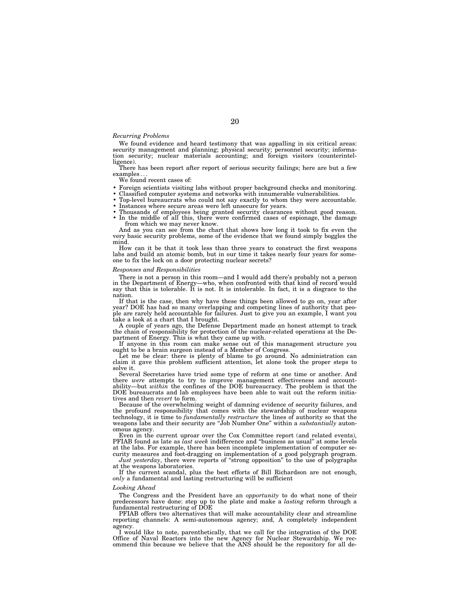## *Recurring Problems*

We found evidence and heard testimony that was appalling in six critical areas: security management and planning; physical security; personnel security; informa-tion security; nuclear materials accounting; and foreign visitors (counterintelligence).

There has been report after report of serious security failings; here are but a few

We found recent cases of:

- 
- 
- 
- 
- Foreign scientists visiting labs without proper background checks and monitoring.<br>• Classified computer systems and networks with innumerable vulnerabilities.<br>• Top-level bureaucrats who could not say exactly to whom the from which we may never know.

And as you can see from the chart that shows how long it took to fix even the very basic security problems, some of the evidence that we found simply boggles the mind.

How can it be that it took less than three years to construct the first weapons labs and build an atomic bomb, but in our time it takes nearly four years for someone to fix the lock on a door protecting nuclear secrets?

## *Responses and Responsibilities*

There is not a person in this room—and I would add there's probably not a person in the Department of Energy—who, when confronted with that kind of record would say that this is tolerable. It is not. It is intolerable. In fact, it is a disgrace to the nation.

If that is the case, then why have these things been allowed to go on, year after year? DOE has had so many overlapping and competing lines of authority that people are rarely held accountable for failures. Just to give you an example, I want you take a look at a chart that I brought.

A couple of years ago, the Defense Department made an honest attempt to track the chain of responsibility for protection of the nuclear-related operations at the Department of Energy. This is what they came up with.

If anyone in this room can make sense out of this management structure you ought to be a brain surgeon instead of a Member of Congress.

Let me be clear: there is plenty of blame to go around. No administration can claim it gave this problem sufficient attention, let alone took the proper steps to solve it.

Several Secretaries have tried some type of reform at one time or another. And there *were* attempts to try to improve management effectiveness and account-ability—but *within* the confines of the DOE bureaucracy. The problem is that the DOE bureaucrats and lab employees have been able to wait out the reform initiatives and then *revert* to form.

Because of the overwhelming weight of damning evidence of security failures, and the profound responsibility that comes with the stewardship of nuclear weapons technology, it is time to *fundamentally restructure* the lines of authority so that the weapons labs and their security are ''Job Number One'' within a *substantially* autonomous agency.

Even in the current uproar over the Cox Committee report (and related events), PFIAB found as late as *last week* indifference and ''business as usual'' at some levels at the labs. For example, there has been incomplete implementation of computer security measures and foot-dragging on implementation of a good polygraph program.

*Just yesterday*, there were reports of "strong opposition" to the use of polygraphs at the weapons laboratories.

If the current scandal, plus the best efforts of Bill Richardson are not enough, *only* a fundamental and lasting restructuring will be sufficient

## *Looking Ahead*

The Congress and the President have an *opportunity* to do what none of their predecessors have done: step up to the plate and make a *lasting* reform through a fundamental restructuring of DOE

PFIAB offers two alternatives that will make accountability clear and streamline reporting channels: A semi-autonomous agency; and, A completely independent agency.

I would like to note, parenthetically, that we call for the integration of the DOE Office of Naval Reactors into the new Agency for Nuclear Stewardship. We recommend this because we believe that the ANS should be the repository for all de-

## 20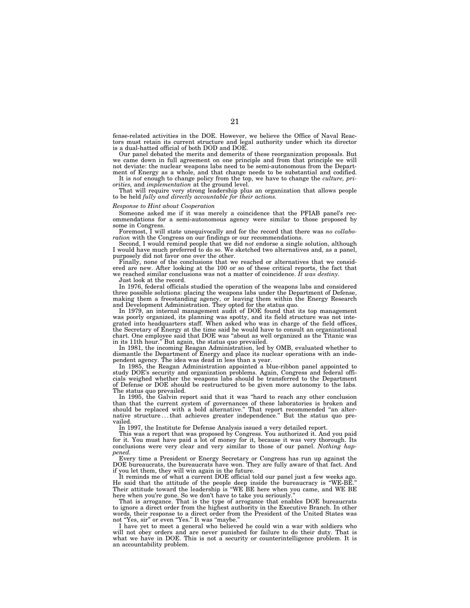fense-related activities in the DOE. However, we believe the Office of Naval Reactors must retain its current structure and legal authority under which its director is a dual-hatted official of both DOD and DOE.

Our panel debated the merits and demerits of these reorganization proposals. But we came down in full agreement on one principle and from that principle we will not deviate: the nuclear weapons labs need to be semi-autonomous from the Department of Energy as a whole, and that change needs to be substantial and codified.

It is *not* enough to change policy from the top, we have to change the *culture, pri-orities,* and *implementation* at the ground level.

That will require very strong leadership plus an organization that allows people to be held *fully and directly accountable for their actions.*

## *Response to Hint about Cooperation*

Someone asked me if it was merely a coincidence that the PFIAB panel's recommendations for a semi-autonomous agency were similar to those proposed by some in Congress.

Foremost, I will state unequivocally and for the record that there was *no collaboration* with the Congress on our findings or our recommendations.

Second, I would remind people that we did *not* endorse a single solution, although I would have much preferred to do so. We sketched two alternatives and, as a panel, purposely did not favor one over the other.

Finally, none of the conclusions that we reached or alternatives that we considered are new. After looking at the 100 or so of these critical reports, the fact that we reached similar conclusions was not a matter of coincidence. *It was destiny.*

Just look at the record.

In 1976, federal officials studied the operation of the weapons labs and considered three possible solutions: placing the weapons labs under the Department of Defense, making them a freestanding agency, or leaving them within the Energy Research and Development Administration. They opted for the status quo.

In 1979, an internal management audit of DOE found that its top management was poorly organized, its planning was spotty, and its field structure was not integrated into headquarters staff. When asked who was in charge of the field offices, the Secretary of Energy at the time said he would have to consult an organizational chart. One employee said that DOE was ''about as well organized as the Titanic was in its 11th hour.'' But again, the status quo prevailed.

In 1981, the incoming Reagan Administration, led by OMB, evaluated whether to dismantle the Department of Energy and place its nuclear operations with an independent agency. The idea was dead in less than a year.

In 1985, the Reagan Administration appointed a blue-ribbon panel appointed to study DOE's security and organization problems. Again, Congress and federal officials weighed whether the weapons labs should be transferred to the Department of Defense or DOE should be restructured to be given more autonomy to the labs. The status quo prevailed.

In 1995, the Galvin report said that it was ''hard to reach any other conclusion than that the current system of governances of these laboratories is broken and should be replaced with a bold alternative.'' That report recommended ''an alternative structure...that achieves greater independence.'' But the status quo prevailed.

In 1997, the Institute for Defense Analysis issued a very detailed report.

This was a report that was proposed by Congress. You authorized it. And you paid for it. You must have paid a lot of money for it, because it was very thorough. Its conclusions were very clear and very similar to those of our panel. *Nothing happened.*

Every time a President or Energy Secretary or Congress has run up against the DOE bureaucrats, the bureaucrats have won. They are fully aware of that fact. And if you let them, they will win again in the future.

It reminds me of what a current DOE official told our panel just a few weeks ago. He said that the attitude of the people deep inside the bureaucracy is ''WE-BE.'' Their attitude toward the leadership is ''WE BE here when you came, and WE BE here when you're gone. So we don't have to take you seriously.

That is arrogance. That is the type of arrogance that enables DOE bureaucrats to ignore a direct order from the highest authority in the Executive Branch. In other words, their response to a direct order from the President of the United States was not "Yes, sir" or even "Yes." It was "maybe.'

I have yet to meet a general who believed he could win a war with soldiers who will not obey orders and are never punished for failure to do their duty. That is what we have in DOE. This is not a security or counterintelligence problem. It is an accountability problem.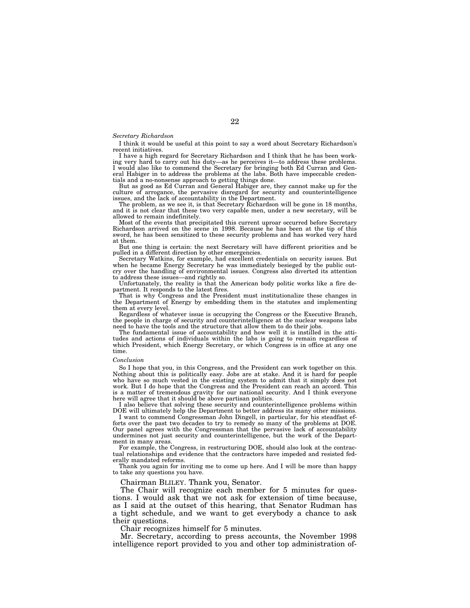## *Secretary Richardson*

I think it would be useful at this point to say a word about Secretary Richardson's recent initiatives.

I have a high regard for Secretary Richardson and I think that he has been working very hard to carry out his duty—as he perceives it—to address these problems. I would also like to commend the Secretary for bringing both Ed Curran and General Habiger in to address the problems at the labs. Both have impeccable credentials and a no-nonsense approach to getting things done.

But as good as Ed Curran and General Habiger are, they cannot make up for the culture of arrogance, the pervasive disregard for security and counterintelligence issues, and the lack of accountability in the Department.

The problem, as we see it, is that Secretary Richardson will be gone in 18 months, and it is not clear that these two very capable men, under a new secretary, will be allowed to remain indefinitely.

Most of the events that precipitated this current uproar occurred before Secretary Richardson arrived on the scene in 1998. Because he has been at the tip of this sword, he has been sensitized to these security problems and has worked very hard at them.

But one thing is certain: the next Secretary will have different priorities and be pulled in a different direction by other emergencies.

Secretary Watkins, for example, had excellent credentials on security issues. But when he became Energy Secretary he was immediately besieged by the public outcry over the handling of environmental issues. Congress also diverted its attention to address these issues—and rightly so.

Unfortunately, the reality is that the American body politic works like a fire department. It responds to the latest fires.

That is why Congress and the President must institutionalize these changes in the Department of Energy by embedding them in the statutes and implementing them at every level.

Regardless of whatever issue is occupying the Congress or the Executive Branch, the people in charge of security and counterintelligence at the nuclear weapons labs need to have the tools and the structure that allow them to do their jobs.

The fundamental issue of accountability and how well it is instilled in the attitudes and actions of individuals within the labs is going to remain regardless of which President, which Energy Secretary, or which Congress is in office at any one time.

### *Conclusion*

So I hope that you, in this Congress, and the President can work together on this. Nothing about this is politically easy. Jobs are at stake. And it is hard for people who have so much vested in the existing system to admit that it simply does not work. But I do hope that the Congress and the President can reach an accord. This is a matter of tremendous gravity for our national security. And I think everyone here will agree that it should be above partisan politics.

I also believe that solving these security and counterintelligence problems within DOE will ultimately help the Department to better address its many other missions.

I want to commend Congressman John Dingell, in particular, for his steadfast efforts over the past two decades to try to remedy so many of the problems at DOE. Our panel agrees with the Congressman that the pervasive lack of accountability undermines not just security and counterintelligence, but the work of the Department in many areas.

For example, the Congress, in restructuring DOE, should also look at the contractual relationships and evidence that the contractors have impeded and resisted federally mandated reforms.

Thank you again for inviting me to come up here. And I will be more than happy to take any questions you have.

Chairman BLILEY. Thank you, Senator.

The Chair will recognize each member for 5 minutes for questions. I would ask that we not ask for extension of time because, as I said at the outset of this hearing, that Senator Rudman has a tight schedule, and we want to get everybody a chance to ask their questions.

Chair recognizes himself for 5 minutes.

Mr. Secretary, according to press accounts, the November 1998 intelligence report provided to you and other top administration of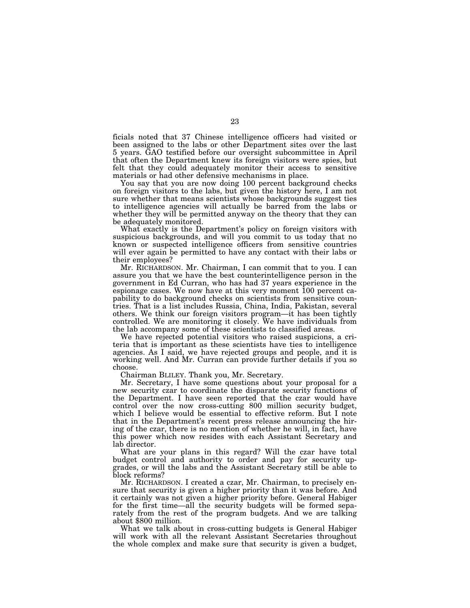ficials noted that 37 Chinese intelligence officers had visited or been assigned to the labs or other Department sites over the last 5 years. GAO testified before our oversight subcommittee in April that often the Department knew its foreign visitors were spies, but felt that they could adequately monitor their access to sensitive materials or had other defensive mechanisms in place.

You say that you are now doing 100 percent background checks on foreign visitors to the labs, but given the history here, I am not sure whether that means scientists whose backgrounds suggest ties to intelligence agencies will actually be barred from the labs or whether they will be permitted anyway on the theory that they can be adequately monitored.

What exactly is the Department's policy on foreign visitors with suspicious backgrounds, and will you commit to us today that no known or suspected intelligence officers from sensitive countries will ever again be permitted to have any contact with their labs or their employees?

Mr. RICHARDSON. Mr. Chairman, I can commit that to you. I can assure you that we have the best counterintelligence person in the government in Ed Curran, who has had 37 years experience in the espionage cases. We now have at this very moment 100 percent capability to do background checks on scientists from sensitive countries. That is a list includes Russia, China, India, Pakistan, several others. We think our foreign visitors program—it has been tightly controlled. We are monitoring it closely. We have individuals from the lab accompany some of these scientists to classified areas.

We have rejected potential visitors who raised suspicions, a criteria that is important as these scientists have ties to intelligence agencies. As I said, we have rejected groups and people, and it is working well. And Mr. Curran can provide further details if you so choose.

Chairman BLILEY. Thank you, Mr. Secretary.

Mr. Secretary, I have some questions about your proposal for a new security czar to coordinate the disparate security functions of the Department. I have seen reported that the czar would have control over the now cross-cutting 800 million security budget, which I believe would be essential to effective reform. But I note that in the Department's recent press release announcing the hiring of the czar, there is no mention of whether he will, in fact, have this power which now resides with each Assistant Secretary and lab director.

What are your plans in this regard? Will the czar have total budget control and authority to order and pay for security upgrades, or will the labs and the Assistant Secretary still be able to block reforms?

Mr. RICHARDSON. I created a czar, Mr. Chairman, to precisely ensure that security is given a higher priority than it was before. And it certainly was not given a higher priority before. General Habiger for the first time—all the security budgets will be formed separately from the rest of the program budgets. And we are talking about \$800 million.

What we talk about in cross-cutting budgets is General Habiger will work with all the relevant Assistant Secretaries throughout the whole complex and make sure that security is given a budget,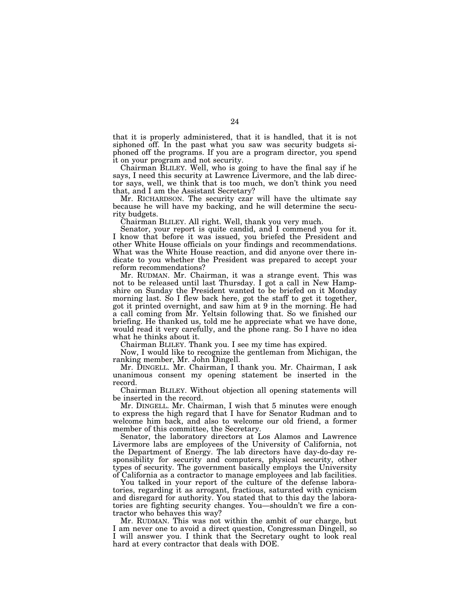that it is properly administered, that it is handled, that it is not siphoned off. In the past what you saw was security budgets siphoned off the programs. If you are a program director, you spend it on your program and not security.

Chairman BLILEY. Well, who is going to have the final say if he says, I need this security at Lawrence Livermore, and the lab director says, well, we think that is too much, we don't think you need that, and I am the Assistant Secretary?

Mr. RICHARDSON. The security czar will have the ultimate say because he will have my backing, and he will determine the security budgets.

Chairman BLILEY. All right. Well, thank you very much.

Senator, your report is quite candid, and I commend you for it. I know that before it was issued, you briefed the President and other White House officials on your findings and recommendations. What was the White House reaction, and did anyone over there indicate to you whether the President was prepared to accept your reform recommendations?

Mr. RUDMAN. Mr. Chairman, it was a strange event. This was not to be released until last Thursday. I got a call in New Hampshire on Sunday the President wanted to be briefed on it Monday morning last. So I flew back here, got the staff to get it together, got it printed overnight, and saw him at 9 in the morning. He had a call coming from Mr. Yeltsin following that. So we finished our briefing. He thanked us, told me he appreciate what we have done, would read it very carefully, and the phone rang. So I have no idea what he thinks about it.

Chairman BLILEY. Thank you. I see my time has expired.

Now, I would like to recognize the gentleman from Michigan, the ranking member, Mr. John Dingell.

Mr. DINGELL. Mr. Chairman, I thank you. Mr. Chairman, I ask unanimous consent my opening statement be inserted in the record.

Chairman BLILEY. Without objection all opening statements will be inserted in the record.

Mr. DINGELL. Mr. Chairman, I wish that 5 minutes were enough to express the high regard that I have for Senator Rudman and to welcome him back, and also to welcome our old friend, a former member of this committee, the Secretary.

Senator, the laboratory directors at Los Alamos and Lawrence Livermore labs are employees of the University of California, not the Department of Energy. The lab directors have day-do-day responsibility for security and computers, physical security, other types of security. The government basically employs the University of California as a contractor to manage employees and lab facilities.

You talked in your report of the culture of the defense laboratories, regarding it as arrogant, fractious, saturated with cynicism and disregard for authority. You stated that to this day the laboratories are fighting security changes. You—shouldn't we fire a contractor who behaves this way?

Mr. RUDMAN. This was not within the ambit of our charge, but I am never one to avoid a direct question, Congressman Dingell, so I will answer you. I think that the Secretary ought to look real hard at every contractor that deals with DOE.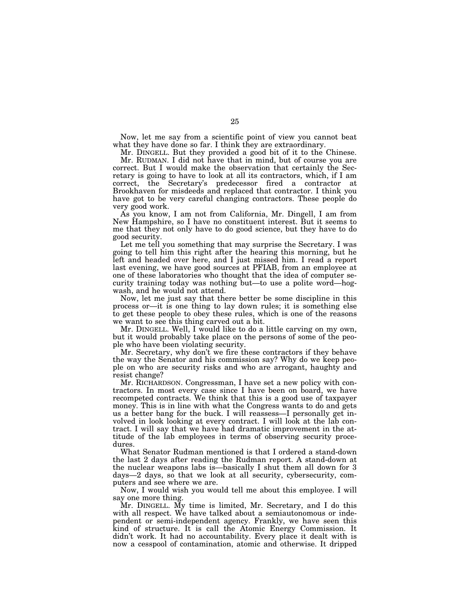Now, let me say from a scientific point of view you cannot beat what they have done so far. I think they are extraordinary.

Mr. DINGELL. But they provided a good bit of it to the Chinese.

Mr. RUDMAN. I did not have that in mind, but of course you are correct. But I would make the observation that certainly the Secretary is going to have to look at all its contractors, which, if I am correct, the Secretary's predecessor fired a contractor at Brookhaven for misdeeds and replaced that contractor. I think you have got to be very careful changing contractors. These people do very good work.

As you know, I am not from California, Mr. Dingell, I am from New Hampshire, so I have no constituent interest. But it seems to me that they not only have to do good science, but they have to do good security.

Let me tell you something that may surprise the Secretary. I was going to tell him this right after the hearing this morning, but he left and headed over here, and I just missed him. I read a report last evening, we have good sources at PFIAB, from an employee at one of these laboratories who thought that the idea of computer security training today was nothing but—to use a polite word—hogwash, and he would not attend.

Now, let me just say that there better be some discipline in this process or—it is one thing to lay down rules; it is something else to get these people to obey these rules, which is one of the reasons we want to see this thing carved out a bit.

Mr. DINGELL. Well, I would like to do a little carving on my own, but it would probably take place on the persons of some of the people who have been violating security.

Mr. Secretary, why don't we fire these contractors if they behave the way the Senator and his commission say? Why do we keep people on who are security risks and who are arrogant, haughty and resist change?

Mr. RICHARDSON. Congressman, I have set a new policy with contractors. In most every case since I have been on board, we have recompeted contracts. We think that this is a good use of taxpayer money. This is in line with what the Congress wants to do and gets us a better bang for the buck. I will reassess—I personally get involved in look looking at every contract. I will look at the lab contract. I will say that we have had dramatic improvement in the attitude of the lab employees in terms of observing security procedures.

What Senator Rudman mentioned is that I ordered a stand-down the last 2 days after reading the Rudman report. A stand-down at the nuclear weapons labs is—basically I shut them all down for 3 days—2 days, so that we look at all security, cybersecurity, computers and see where we are.

Now, I would wish you would tell me about this employee. I will say one more thing.

Mr. DINGELL. My time is limited, Mr. Secretary, and I do this with all respect. We have talked about a semiautonomous or independent or semi-independent agency. Frankly, we have seen this kind of structure. It is call the Atomic Energy Commission. It didn't work. It had no accountability. Every place it dealt with is now a cesspool of contamination, atomic and otherwise. It dripped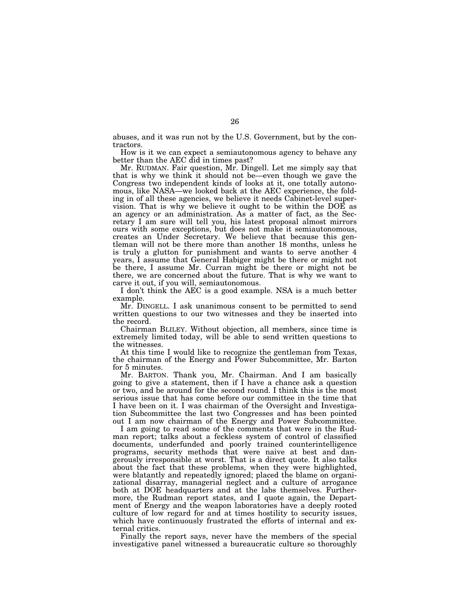abuses, and it was run not by the U.S. Government, but by the contractors.

How is it we can expect a semiautonomous agency to behave any better than the AEC did in times past?

Mr. RUDMAN. Fair question, Mr. Dingell. Let me simply say that that is why we think it should not be—even though we gave the Congress two independent kinds of looks at it, one totally autonomous, like NASA—we looked back at the AEC experience, the folding in of all these agencies, we believe it needs Cabinet-level supervision. That is why we believe it ought to be within the DOE as an agency or an administration. As a matter of fact, as the Secretary I am sure will tell you, his latest proposal almost mirrors ours with some exceptions, but does not make it semiautonomous, creates an Under Secretary. We believe that because this gentleman will not be there more than another 18 months, unless he is truly a glutton for punishment and wants to serve another 4 years, I assume that General Habiger might be there or might not be there, I assume Mr. Curran might be there or might not be there, we are concerned about the future. That is why we want to carve it out, if you will, semiautonomous.

I don't think the AEC is a good example. NSA is a much better example.

Mr. DINGELL. I ask unanimous consent to be permitted to send written questions to our two witnesses and they be inserted into the record.

Chairman BLILEY. Without objection, all members, since time is extremely limited today, will be able to send written questions to the witnesses.

At this time I would like to recognize the gentleman from Texas, the chairman of the Energy and Power Subcommittee, Mr. Barton for 5 minutes.

Mr. BARTON. Thank you, Mr. Chairman. And I am basically going to give a statement, then if I have a chance ask a question or two, and be around for the second round. I think this is the most serious issue that has come before our committee in the time that I have been on it. I was chairman of the Oversight and Investigation Subcommittee the last two Congresses and has been pointed out I am now chairman of the Energy and Power Subcommittee.

I am going to read some of the comments that were in the Rudman report; talks about a feckless system of control of classified documents, underfunded and poorly trained counterintelligence programs, security methods that were naive at best and dangerously irresponsible at worst. That is a direct quote. It also talks about the fact that these problems, when they were highlighted, were blatantly and repeatedly ignored; placed the blame on organizational disarray, managerial neglect and a culture of arrogance both at DOE headquarters and at the labs themselves. Furthermore, the Rudman report states, and I quote again, the Department of Energy and the weapon laboratories have a deeply rooted culture of low regard for and at times hostility to security issues, which have continuously frustrated the efforts of internal and external critics.

Finally the report says, never have the members of the special investigative panel witnessed a bureaucratic culture so thoroughly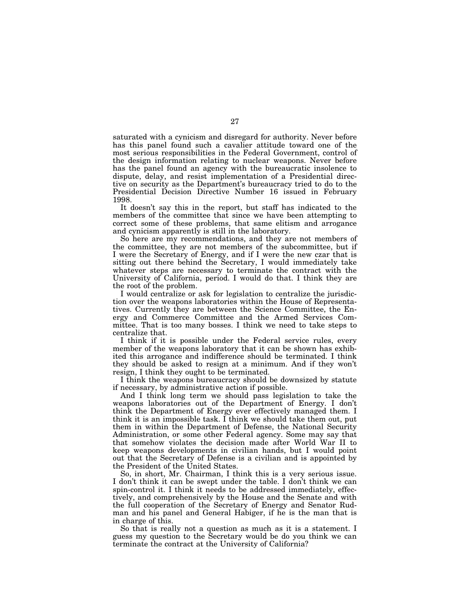saturated with a cynicism and disregard for authority. Never before has this panel found such a cavalier attitude toward one of the most serious responsibilities in the Federal Government, control of the design information relating to nuclear weapons. Never before has the panel found an agency with the bureaucratic insolence to dispute, delay, and resist implementation of a Presidential directive on security as the Department's bureaucracy tried to do to the Presidential Decision Directive Number 16 issued in February 1998.

It doesn't say this in the report, but staff has indicated to the members of the committee that since we have been attempting to correct some of these problems, that same elitism and arrogance and cynicism apparently is still in the laboratory.

So here are my recommendations, and they are not members of the committee, they are not members of the subcommittee, but if I were the Secretary of Energy, and if I were the new czar that is sitting out there behind the Secretary, I would immediately take whatever steps are necessary to terminate the contract with the University of California, period. I would do that. I think they are the root of the problem.

I would centralize or ask for legislation to centralize the jurisdiction over the weapons laboratories within the House of Representatives. Currently they are between the Science Committee, the Energy and Commerce Committee and the Armed Services Committee. That is too many bosses. I think we need to take steps to centralize that.

I think if it is possible under the Federal service rules, every member of the weapons laboratory that it can be shown has exhibited this arrogance and indifference should be terminated. I think they should be asked to resign at a minimum. And if they won't resign, I think they ought to be terminated.

I think the weapons bureaucracy should be downsized by statute if necessary, by administrative action if possible.

And I think long term we should pass legislation to take the weapons laboratories out of the Department of Energy. I don't think the Department of Energy ever effectively managed them. I think it is an impossible task. I think we should take them out, put them in within the Department of Defense, the National Security Administration, or some other Federal agency. Some may say that that somehow violates the decision made after World War II to keep weapons developments in civilian hands, but I would point out that the Secretary of Defense is a civilian and is appointed by the President of the United States.

So, in short, Mr. Chairman, I think this is a very serious issue. I don't think it can be swept under the table. I don't think we can spin-control it. I think it needs to be addressed immediately, effectively, and comprehensively by the House and the Senate and with the full cooperation of the Secretary of Energy and Senator Rudman and his panel and General Habiger, if he is the man that is in charge of this.

So that is really not a question as much as it is a statement. I guess my question to the Secretary would be do you think we can terminate the contract at the University of California?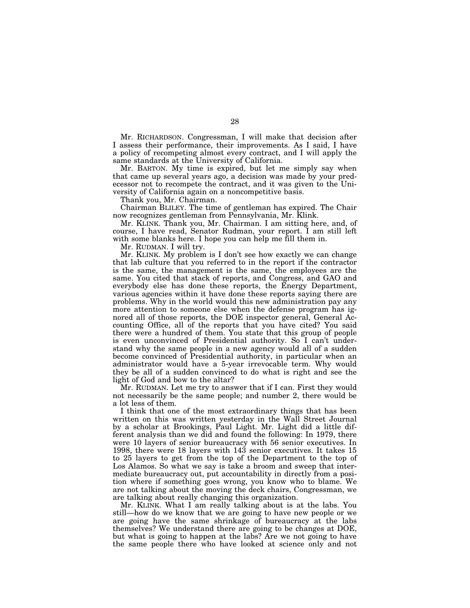Mr. RICHARDSON. Congressman, I will make that decision after I assess their performance, their improvements. As I said, I have a policy of recompeting almost every contract, and I will apply the same standards at the University of California.

Mr. BARTON. My time is expired, but let me simply say when that came up several years ago, a decision was made by your predecessor not to recompete the contract, and it was given to the University of California again on a noncompetitive basis.

Thank you, Mr. Chairman.

Chairman BLILEY. The time of gentleman has expired. The Chair now recognizes gentleman from Pennsylvania, Mr. Klink.

Mr. KLINK. Thank you, Mr. Chairman. I am sitting here, and, of course, I have read, Senator Rudman, your report. I am still left with some blanks here. I hope you can help me fill them in.

Mr. RUDMAN. I will try.

Mr. KLINK. My problem is I don't see how exactly we can change that lab culture that you referred to in the report if the contractor is the same, the management is the same, the employees are the same. You cited that stack of reports, and Congress, and GAO and everybody else has done these reports, the Energy Department, various agencies within it have done these reports saying there are problems. Why in the world would this new administration pay any more attention to someone else when the defense program has ignored all of those reports, the DOE inspector general, General Accounting Office, all of the reports that you have cited? You said there were a hundred of them. You state that this group of people is even unconvinced of Presidential authority. So I can't understand why the same people in a new agency would all of a sudden become convinced of Presidential authority, in particular when an administrator would have a 5-year irrevocable term. Why would they be all of a sudden convinced to do what is right and see the light of God and bow to the altar?

Mr. RUDMAN. Let me try to answer that if I can. First they would not necessarily be the same people; and number 2, there would be a lot less of them.

I think that one of the most extraordinary things that has been written on this was written yesterday in the Wall Street Journal by a scholar at Brookings, Paul Light. Mr. Light did a little different analysis than we did and found the following: In 1979, there were 10 layers of senior bureaucracy with 56 senior executives. In 1998, there were 18 layers with 143 senior executives. It takes 15 to 25 layers to get from the top of the Department to the top of Los Alamos. So what we say is take a broom and sweep that intermediate bureaucracy out, put accountability in directly from a position where if something goes wrong, you know who to blame. We are not talking about the moving the deck chairs, Congressman, we are talking about really changing this organization.

Mr. KLINK. What I am really talking about is at the labs. You still—how do we know that we are going to have new people or we are going have the same shrinkage of bureaucracy at the labs themselves? We understand there are going to be changes at DOE, but what is going to happen at the labs? Are we not going to have the same people there who have looked at science only and not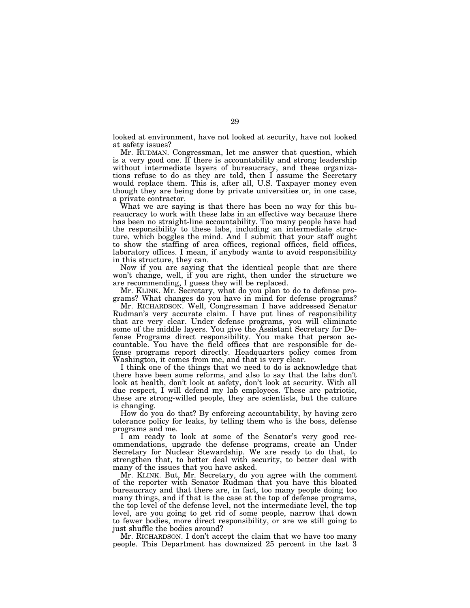looked at environment, have not looked at security, have not looked at safety issues?

Mr. RUDMAN. Congressman, let me answer that question, which is a very good one. If there is accountability and strong leadership without intermediate layers of bureaucracy, and these organizations refuse to do as they are told, then I assume the Secretary would replace them. This is, after all, U.S. Taxpayer money even though they are being done by private universities or, in one case, a private contractor.

What we are saying is that there has been no way for this bureaucracy to work with these labs in an effective way because there has been no straight-line accountability. Too many people have had the responsibility to these labs, including an intermediate structure, which boggles the mind. And I submit that your staff ought to show the staffing of area offices, regional offices, field offices, laboratory offices. I mean, if anybody wants to avoid responsibility in this structure, they can.

Now if you are saying that the identical people that are there won't change, well, if you are right, then under the structure we are recommending, I guess they will be replaced.

Mr. KLINK. Mr. Secretary, what do you plan to do to defense programs? What changes do you have in mind for defense programs?

Mr. RICHARDSON. Well, Congressman I have addressed Senator Rudman's very accurate claim. I have put lines of responsibility that are very clear. Under defense programs, you will eliminate some of the middle layers. You give the Assistant Secretary for Defense Programs direct responsibility. You make that person accountable. You have the field offices that are responsible for defense programs report directly. Headquarters policy comes from Washington, it comes from me, and that is very clear.

I think one of the things that we need to do is acknowledge that there have been some reforms, and also to say that the labs don't look at health, don't look at safety, don't look at security. With all due respect, I will defend my lab employees. These are patriotic, these are strong-willed people, they are scientists, but the culture is changing.

How do you do that? By enforcing accountability, by having zero tolerance policy for leaks, by telling them who is the boss, defense programs and me.

I am ready to look at some of the Senator's very good recommendations, upgrade the defense programs, create an Under Secretary for Nuclear Stewardship. We are ready to do that, to strengthen that, to better deal with security, to better deal with many of the issues that you have asked.

Mr. KLINK. But, Mr. Secretary, do you agree with the comment of the reporter with Senator Rudman that you have this bloated bureaucracy and that there are, in fact, too many people doing too many things, and if that is the case at the top of defense programs, the top level of the defense level, not the intermediate level, the top level, are you going to get rid of some people, narrow that down to fewer bodies, more direct responsibility, or are we still going to just shuffle the bodies around?

Mr. RICHARDSON. I don't accept the claim that we have too many people. This Department has downsized 25 percent in the last 3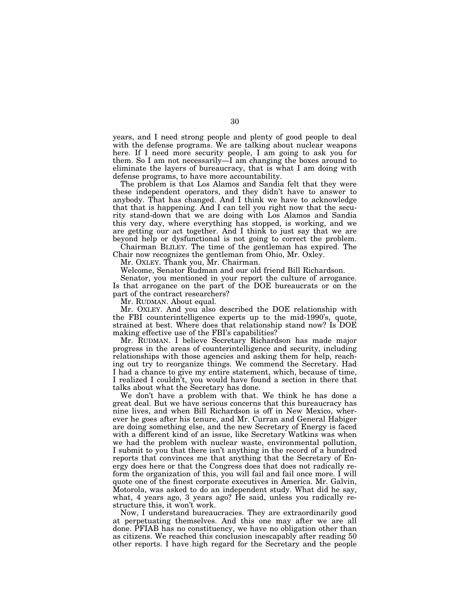years, and I need strong people and plenty of good people to deal with the defense programs. We are talking about nuclear weapons here. If I need more security people, I am going to ask you for them. So I am not necessarily—I am changing the boxes around to eliminate the layers of bureaucracy, that is what I am doing with defense programs, to have more accountability.

The problem is that Los Alamos and Sandia felt that they were these independent operators, and they didn't have to answer to anybody. That has changed. And I think we have to acknowledge that that is happening. And I can tell you right now that the security stand-down that we are doing with Los Alamos and Sandia this very day, where everything has stopped, is working, and we are getting our act together. And I think to just say that we are beyond help or dysfunctional is not going to correct the problem.

Chairman BLILEY. The time of the gentleman has expired. The Chair now recognizes the gentleman from Ohio, Mr. Oxley.

Mr. OXLEY. Thank you, Mr. Chairman.

Welcome, Senator Rudman and our old friend Bill Richardson.

Senator, you mentioned in your report the culture of arrogance. Is that arrogance on the part of the DOE bureaucrats or on the part of the contract researchers?

Mr. RUDMAN. About equal.

Mr. OXLEY. And you also described the DOE relationship with the FBI counterintelligence experts up to the mid-1990's, quote, strained at best. Where does that relationship stand now? Is DOE making effective use of the FBI's capabilities?

Mr. RUDMAN. I believe Secretary Richardson has made major progress in the areas of counterintelligence and security, including relationships with those agencies and asking them for help, reaching out try to reorganize things. We commend the Secretary. Had I had a chance to give my entire statement, which, because of time, I realized I couldn't, you would have found a section in there that talks about what the Secretary has done.

We don't have a problem with that. We think he has done a great deal. But we have serious concerns that this bureaucracy has nine lives, and when Bill Richardson is off in New Mexico, wherever he goes after his tenure, and Mr. Curran and General Habiger are doing something else, and the new Secretary of Energy is faced with a different kind of an issue, like Secretary Watkins was when we had the problem with nuclear waste, environmental pollution, I submit to you that there isn't anything in the record of a hundred reports that convinces me that anything that the Secretary of Energy does here or that the Congress does that does not radically reform the organization of this, you will fail and fail once more. I will quote one of the finest corporate executives in America. Mr. Galvin, Motorola, was asked to do an independent study. What did he say, what, 4 years ago, 3 years ago? He said, unless you radically restructure this, it won't work.

Now, I understand bureaucracies. They are extraordinarily good at perpetuating themselves. And this one may after we are all done. PFIAB has no constituency, we have no obligation other than as citizens. We reached this conclusion inescapably after reading 50 other reports. I have high regard for the Secretary and the people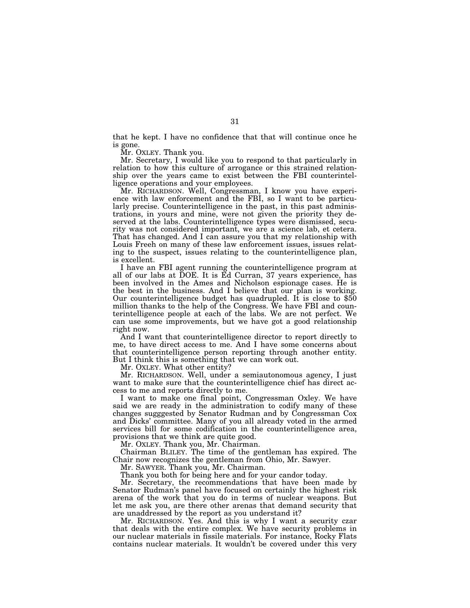that he kept. I have no confidence that that will continue once he is gone.

Mr. OXLEY. Thank you.

Mr. Secretary, I would like you to respond to that particularly in relation to how this culture of arrogance or this strained relationship over the years came to exist between the FBI counterintelligence operations and your employees.

Mr. RICHARDSON. Well, Congressman, I know you have experience with law enforcement and the FBI, so I want to be particularly precise. Counterintelligence in the past, in this past administrations, in yours and mine, were not given the priority they deserved at the labs. Counterintelligence types were dismissed, security was not considered important, we are a science lab, et cetera. That has changed. And I can assure you that my relationship with Louis Freeh on many of these law enforcement issues, issues relating to the suspect, issues relating to the counterintelligence plan, is excellent.

I have an FBI agent running the counterintelligence program at all of our labs at DOE. It is Ed Curran, 37 years experience, has been involved in the Ames and Nicholson espionage cases. He is the best in the business. And I believe that our plan is working. Our counterintelligence budget has quadrupled. It is close to \$50 million thanks to the help of the Congress. We have FBI and counterintelligence people at each of the labs. We are not perfect. We can use some improvements, but we have got a good relationship right now.

And I want that counterintelligence director to report directly to me, to have direct access to me. And I have some concerns about that counterintelligence person reporting through another entity. But I think this is something that we can work out.

Mr. OXLEY. What other entity?

Mr. RICHARDSON. Well, under a semiautonomous agency, I just want to make sure that the counterintelligence chief has direct access to me and reports directly to me.

I want to make one final point, Congressman Oxley. We have said we are ready in the administration to codify many of these changes sugggested by Senator Rudman and by Congressman Cox and Dicks' committee. Many of you all already voted in the armed services bill for some codification in the counterintelligence area, provisions that we think are quite good.

Mr. OXLEY. Thank you, Mr. Chairman.

Chairman BLILEY. The time of the gentleman has expired. The Chair now recognizes the gentleman from Ohio, Mr. Sawyer.

Mr. SAWYER. Thank you, Mr. Chairman.

Thank you both for being here and for your candor today.

Mr. Secretary, the recommendations that have been made by Senator Rudman's panel have focused on certainly the highest risk arena of the work that you do in terms of nuclear weapons. But let me ask you, are there other arenas that demand security that are unaddressed by the report as you understand it?

Mr. RICHARDSON. Yes. And this is why I want a security czar that deals with the entire complex. We have security problems in our nuclear materials in fissile materials. For instance, Rocky Flats contains nuclear materials. It wouldn't be covered under this very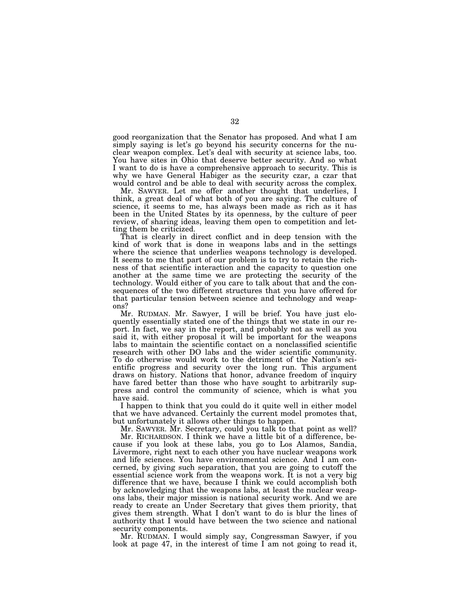good reorganization that the Senator has proposed. And what I am simply saying is let's go beyond his security concerns for the nuclear weapon complex. Let's deal with security at science labs, too. You have sites in Ohio that deserve better security. And so what I want to do is have a comprehensive approach to security. This is why we have General Habiger as the security czar, a czar that would control and be able to deal with security across the complex.

Mr. SAWYER. Let me offer another thought that underlies, I think, a great deal of what both of you are saying. The culture of science, it seems to me, has always been made as rich as it has been in the United States by its openness, by the culture of peer review, of sharing ideas, leaving them open to competition and letting them be criticized.

That is clearly in direct conflict and in deep tension with the kind of work that is done in weapons labs and in the settings where the science that underlies weapons technology is developed. It seems to me that part of our problem is to try to retain the richness of that scientific interaction and the capacity to question one another at the same time we are protecting the security of the technology. Would either of you care to talk about that and the consequences of the two different structures that you have offered for that particular tension between science and technology and weapons?

Mr. RUDMAN. Mr. Sawyer, I will be brief. You have just eloquently essentially stated one of the things that we state in our report. In fact, we say in the report, and probably not as well as you said it, with either proposal it will be important for the weapons labs to maintain the scientific contact on a nonclassified scientific research with other DO labs and the wider scientific community. To do otherwise would work to the detriment of the Nation's scientific progress and security over the long run. This argument draws on history. Nations that honor, advance freedom of inquiry have fared better than those who have sought to arbitrarily suppress and control the community of science, which is what you have said.

I happen to think that you could do it quite well in either model that we have advanced. Certainly the current model promotes that, but unfortunately it allows other things to happen.

Mr. SAWYER. Mr. Secretary, could you talk to that point as well?

Mr. RICHARDSON. I think we have a little bit of a difference, because if you look at these labs, you go to Los Alamos, Sandia, Livermore, right next to each other you have nuclear weapons work and life sciences. You have environmental science. And I am concerned, by giving such separation, that you are going to cutoff the essential science work from the weapons work. It is not a very big difference that we have, because I think we could accomplish both by acknowledging that the weapons labs, at least the nuclear weapons labs, their major mission is national security work. And we are ready to create an Under Secretary that gives them priority, that gives them strength. What I don't want to do is blur the lines of authority that I would have between the two science and national security components.

Mr. RUDMAN. I would simply say, Congressman Sawyer, if you look at page 47, in the interest of time I am not going to read it,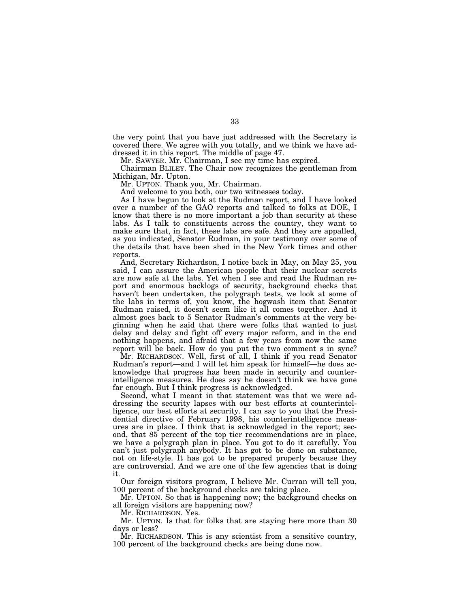the very point that you have just addressed with the Secretary is covered there. We agree with you totally, and we think we have addressed it in this report. The middle of page 47.

Mr. SAWYER. Mr. Chairman, I see my time has expired.

Chairman BLILEY. The Chair now recognizes the gentleman from Michigan, Mr. Upton.

Mr. UPTON. Thank you, Mr. Chairman.

And welcome to you both, our two witnesses today.

As I have begun to look at the Rudman report, and I have looked over a number of the GAO reports and talked to folks at DOE, I know that there is no more important a job than security at these labs. As I talk to constituents across the country, they want to make sure that, in fact, these labs are safe. And they are appalled, as you indicated, Senator Rudman, in your testimony over some of the details that have been shed in the New York times and other reports.

And, Secretary Richardson, I notice back in May, on May 25, you said, I can assure the American people that their nuclear secrets are now safe at the labs. Yet when I see and read the Rudman report and enormous backlogs of security, background checks that haven't been undertaken, the polygraph tests, we look at some of the labs in terms of, you know, the hogwash item that Senator Rudman raised, it doesn't seem like it all comes together. And it almost goes back to 5 Senator Rudman's comments at the very beginning when he said that there were folks that wanted to just delay and delay and fight off every major reform, and in the end nothing happens, and afraid that a few years from now the same report will be back. How do you put the two comment s in sync?

Mr. RICHARDSON. Well, first of all, I think if you read Senator Rudman's report—and I will let him speak for himself—he does acknowledge that progress has been made in security and counterintelligence measures. He does say he doesn't think we have gone far enough. But I think progress is acknowledged.

Second, what I meant in that statement was that we were addressing the security lapses with our best efforts at counterintelligence, our best efforts at security. I can say to you that the Presidential directive of February 1998, his counterintelligence measures are in place. I think that is acknowledged in the report; second, that 85 percent of the top tier recommendations are in place, we have a polygraph plan in place. You got to do it carefully. You can't just polygraph anybody. It has got to be done on substance, not on life-style. It has got to be prepared properly because they are controversial. And we are one of the few agencies that is doing it.

Our foreign visitors program, I believe Mr. Curran will tell you, 100 percent of the background checks are taking place.

Mr. UPTON. So that is happening now; the background checks on all foreign visitors are happening now?

Mr. RICHARDSON. Yes.

Mr. UPTON. Is that for folks that are staying here more than 30 days or less?

Mr. RICHARDSON. This is any scientist from a sensitive country, 100 percent of the background checks are being done now.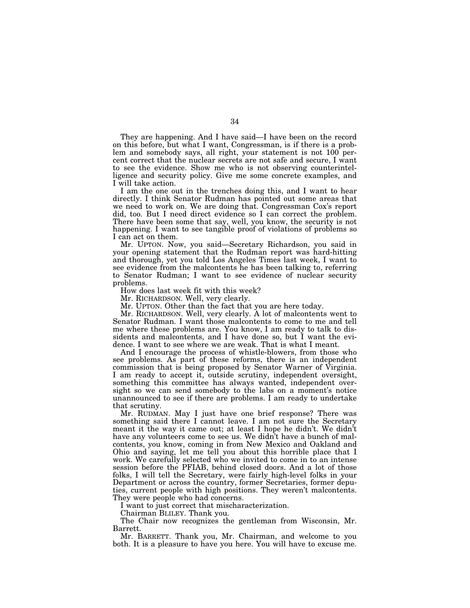They are happening. And I have said—I have been on the record on this before, but what I want, Congressman, is if there is a problem and somebody says, all right, your statement is not 100 percent correct that the nuclear secrets are not safe and secure, I want to see the evidence. Show me who is not observing counterintelligence and security policy. Give me some concrete examples, and I will take action.

I am the one out in the trenches doing this, and I want to hear directly. I think Senator Rudman has pointed out some areas that we need to work on. We are doing that. Congressman Cox's report did, too. But I need direct evidence so I can correct the problem. There have been some that say, well, you know, the security is not happening. I want to see tangible proof of violations of problems so I can act on them.

Mr. UPTON. Now, you said—Secretary Richardson, you said in your opening statement that the Rudman report was hard-hitting and thorough, yet you told Los Angeles Times last week, I want to see evidence from the malcontents he has been talking to, referring to Senator Rudman; I want to see evidence of nuclear security problems.

How does last week fit with this week?

Mr. RICHARDSON. Well, very clearly.

Mr. UPTON. Other than the fact that you are here today.

Mr. RICHARDSON. Well, very clearly. A lot of malcontents went to Senator Rudman. I want those malcontents to come to me and tell me where these problems are. You know, I am ready to talk to dissidents and malcontents, and I have done so, but I want the evidence. I want to see where we are weak. That is what I meant.

And I encourage the process of whistle-blowers, from those who see problems. As part of these reforms, there is an independent commission that is being proposed by Senator Warner of Virginia. I am ready to accept it, outside scrutiny, independent oversight, something this committee has always wanted, independent oversight so we can send somebody to the labs on a moment's notice unannounced to see if there are problems. I am ready to undertake that scrutiny.

Mr. RUDMAN. May I just have one brief response? There was something said there I cannot leave. I am not sure the Secretary meant it the way it came out; at least I hope he didn't. We didn't have any volunteers come to see us. We didn't have a bunch of malcontents, you know, coming in from New Mexico and Oakland and Ohio and saying, let me tell you about this horrible place that I work. We carefully selected who we invited to come in to an intense session before the PFIAB, behind closed doors. And a lot of those folks, I will tell the Secretary, were fairly high-level folks in your Department or across the country, former Secretaries, former deputies, current people with high positions. They weren't malcontents. They were people who had concerns.

I want to just correct that mischaracterization.

Chairman BLILEY. Thank you.

The Chair now recognizes the gentleman from Wisconsin, Mr. Barrett.

Mr. BARRETT. Thank you, Mr. Chairman, and welcome to you both. It is a pleasure to have you here. You will have to excuse me.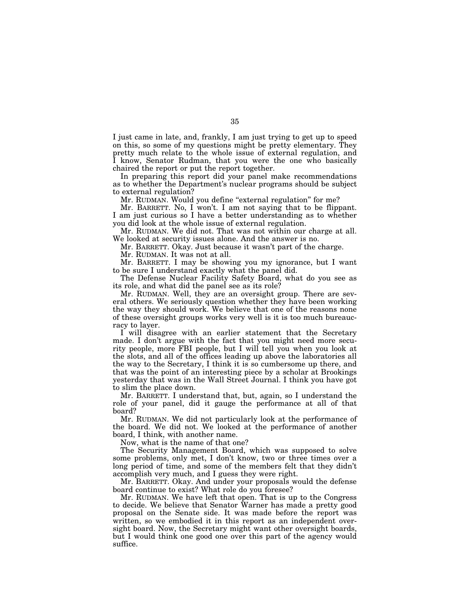I just came in late, and, frankly, I am just trying to get up to speed on this, so some of my questions might be pretty elementary. They pretty much relate to the whole issue of external regulation, and I know, Senator Rudman, that you were the one who basically chaired the report or put the report together.

In preparing this report did your panel make recommendations as to whether the Department's nuclear programs should be subject to external regulation?

Mr. RUDMAN. Would you define "external regulation" for me?

Mr. BARRETT. No, I won't. I am not saying that to be flippant. I am just curious so I have a better understanding as to whether you did look at the whole issue of external regulation.

Mr. RUDMAN. We did not. That was not within our charge at all. We looked at security issues alone. And the answer is no.

Mr. BARRETT. Okay. Just because it wasn't part of the charge.

Mr. RUDMAN. It was not at all.

Mr. BARRETT. I may be showing you my ignorance, but I want to be sure I understand exactly what the panel did.

The Defense Nuclear Facility Safety Board, what do you see as its role, and what did the panel see as its role?

Mr. RUDMAN. Well, they are an oversight group. There are several others. We seriously question whether they have been working the way they should work. We believe that one of the reasons none of these oversight groups works very well is it is too much bureaucracy to layer.

I will disagree with an earlier statement that the Secretary made. I don't argue with the fact that you might need more security people, more FBI people, but I will tell you when you look at the slots, and all of the offices leading up above the laboratories all the way to the Secretary, I think it is so cumbersome up there, and that was the point of an interesting piece by a scholar at Brookings yesterday that was in the Wall Street Journal. I think you have got to slim the place down.

Mr. BARRETT. I understand that, but, again, so I understand the role of your panel, did it gauge the performance at all of that board?

Mr. RUDMAN. We did not particularly look at the performance of the board. We did not. We looked at the performance of another board, I think, with another name.

Now, what is the name of that one?

The Security Management Board, which was supposed to solve some problems, only met, I don't know, two or three times over a long period of time, and some of the members felt that they didn't accomplish very much, and I guess they were right.

Mr. BARRETT. Okay. And under your proposals would the defense board continue to exist? What role do you foresee?

Mr. RUDMAN. We have left that open. That is up to the Congress to decide. We believe that Senator Warner has made a pretty good proposal on the Senate side. It was made before the report was written, so we embodied it in this report as an independent oversight board. Now, the Secretary might want other oversight boards, but I would think one good one over this part of the agency would suffice.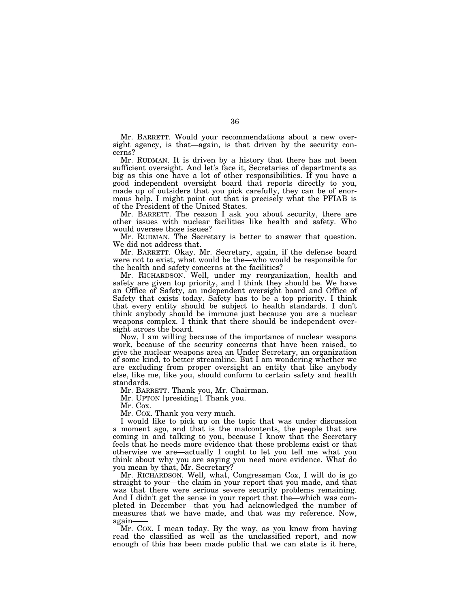Mr. BARRETT. Would your recommendations about a new oversight agency, is that—again, is that driven by the security concerns?

Mr. RUDMAN. It is driven by a history that there has not been sufficient oversight. And let's face it, Secretaries of departments as big as this one have a lot of other responsibilities. If you have a good independent oversight board that reports directly to you, made up of outsiders that you pick carefully, they can be of enormous help. I might point out that is precisely what the PFIAB is of the President of the United States.

Mr. BARRETT. The reason I ask you about security, there are other issues with nuclear facilities like health and safety. Who would oversee those issues?

Mr. RUDMAN. The Secretary is better to answer that question. We did not address that.

Mr. BARRETT. Okay. Mr. Secretary, again, if the defense board were not to exist, what would be the—who would be responsible for the health and safety concerns at the facilities?

Mr. RICHARDSON. Well, under my reorganization, health and safety are given top priority, and I think they should be. We have an Office of Safety, an independent oversight board and Office of Safety that exists today. Safety has to be a top priority. I think that every entity should be subject to health standards. I don't think anybody should be immune just because you are a nuclear weapons complex. I think that there should be independent oversight across the board.

Now, I am willing because of the importance of nuclear weapons work, because of the security concerns that have been raised, to give the nuclear weapons area an Under Secretary, an organization of some kind, to better streamline. But I am wondering whether we are excluding from proper oversight an entity that like anybody else, like me, like you, should conform to certain safety and health standards.

Mr. BARRETT. Thank you, Mr. Chairman.

Mr. UPTON [presiding]. Thank you.

Mr. Cox.

Mr. COX. Thank you very much.

I would like to pick up on the topic that was under discussion a moment ago, and that is the malcontents, the people that are coming in and talking to you, because I know that the Secretary feels that he needs more evidence that these problems exist or that otherwise we are—actually I ought to let you tell me what you think about why you are saying you need more evidence. What do you mean by that, Mr. Secretary?

Mr. RICHARDSON. Well, what, Congressman Cox, I will do is go straight to your—the claim in your report that you made, and that was that there were serious severe security problems remaining. And I didn't get the sense in your report that the—which was completed in December—that you had acknowledged the number of measures that we have made, and that was my reference. Now, again——

Mr. COX. I mean today. By the way, as you know from having read the classified as well as the unclassified report, and now enough of this has been made public that we can state is it here,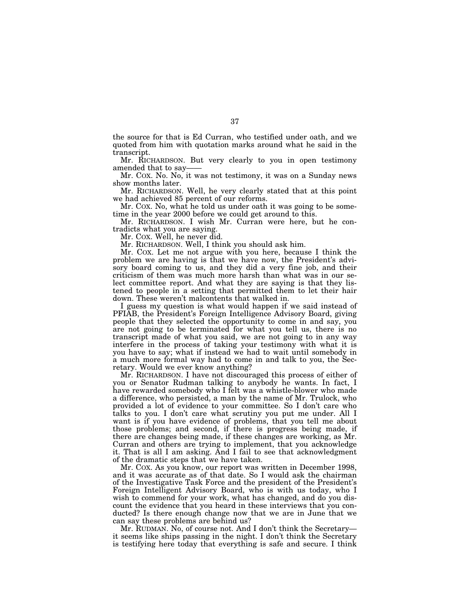the source for that is Ed Curran, who testified under oath, and we quoted from him with quotation marks around what he said in the transcript.

Mr. RICHARDSON. But very clearly to you in open testimony amended that to say-

Mr. COX. No. No, it was not testimony, it was on a Sunday news show months later.

Mr. RICHARDSON. Well, he very clearly stated that at this point we had achieved 85 percent of our reforms.

Mr. COX. No, what he told us under oath it was going to be sometime in the year 2000 before we could get around to this.

Mr. RICHARDSON. I wish Mr. Curran were here, but he contradicts what you are saying.

Mr. COX. Well, he never did.

Mr. RICHARDSON. Well, I think you should ask him.

Mr. COX. Let me not argue with you here, because I think the problem we are having is that we have now, the President's advisory board coming to us, and they did a very fine job, and their criticism of them was much more harsh than what was in our select committee report. And what they are saying is that they listened to people in a setting that permitted them to let their hair down. These weren't malcontents that walked in.

I guess my question is what would happen if we said instead of PFIAB, the President's Foreign Intelligence Advisory Board, giving people that they selected the opportunity to come in and say, you are not going to be terminated for what you tell us, there is no transcript made of what you said, we are not going to in any way interfere in the process of taking your testimony with what it is you have to say; what if instead we had to wait until somebody in a much more formal way had to come in and talk to you, the Secretary. Would we ever know anything?

Mr. RICHARDSON. I have not discouraged this process of either of you or Senator Rudman talking to anybody he wants. In fact, I have rewarded somebody who I felt was a whistle-blower who made a difference, who persisted, a man by the name of Mr. Trulock, who provided a lot of evidence to your committee. So I don't care who talks to you. I don't care what scrutiny you put me under. All I want is if you have evidence of problems, that you tell me about those problems; and second, if there is progress being made, if there are changes being made, if these changes are working, as Mr. Curran and others are trying to implement, that you acknowledge it. That is all I am asking. And I fail to see that acknowledgment of the dramatic steps that we have taken.

Mr. COX. As you know, our report was written in December 1998, and it was accurate as of that date. So I would ask the chairman of the Investigative Task Force and the president of the President's Foreign Intelligent Advisory Board, who is with us today, who I wish to commend for your work, what has changed, and do you discount the evidence that you heard in these interviews that you conducted? Is there enough change now that we are in June that we can say these problems are behind us?

Mr. RUDMAN. No, of course not. And I don't think the Secretary it seems like ships passing in the night. I don't think the Secretary is testifying here today that everything is safe and secure. I think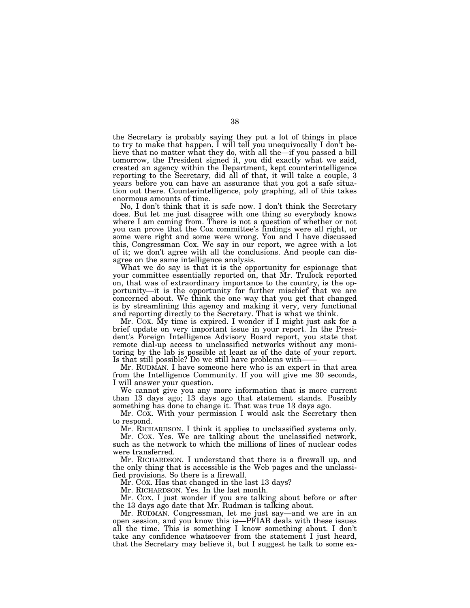the Secretary is probably saying they put a lot of things in place to try to make that happen. I will tell you unequivocally I don't believe that no matter what they do, with all the—if you passed a bill tomorrow, the President signed it, you did exactly what we said, created an agency within the Department, kept counterintelligence reporting to the Secretary, did all of that, it will take a couple, 3 years before you can have an assurance that you got a safe situation out there. Counterintelligence, poly graphing, all of this takes enormous amounts of time.

No, I don't think that it is safe now. I don't think the Secretary does. But let me just disagree with one thing so everybody knows where I am coming from. There is not a question of whether or not you can prove that the Cox committee's findings were all right, or some were right and some were wrong. You and I have discussed this, Congressman Cox. We say in our report, we agree with a lot of it; we don't agree with all the conclusions. And people can disagree on the same intelligence analysis.

What we do say is that it is the opportunity for espionage that your committee essentially reported on, that Mr. Trulock reported on, that was of extraordinary importance to the country, is the opportunity—it is the opportunity for further mischief that we are concerned about. We think the one way that you get that changed is by streamlining this agency and making it very, very functional and reporting directly to the Secretary. That is what we think.

Mr. COX. My time is expired. I wonder if I might just ask for a brief update on very important issue in your report. In the President's Foreign Intelligence Advisory Board report, you state that remote dial-up access to unclassified networks without any monitoring by the lab is possible at least as of the date of your report. Is that still possible? Do we still have problems with-

Mr. RUDMAN. I have someone here who is an expert in that area from the Intelligence Community. If you will give me 30 seconds, I will answer your question.

We cannot give you any more information that is more current than 13 days ago; 13 days ago that statement stands. Possibly something has done to change it. That was true 13 days ago.

Mr. COX. With your permission I would ask the Secretary then to respond.

Mr. RICHARDSON. I think it applies to unclassified systems only.

Mr. COX. Yes. We are talking about the unclassified network, such as the network to which the millions of lines of nuclear codes were transferred.

Mr. RICHARDSON. I understand that there is a firewall up, and the only thing that is accessible is the Web pages and the unclassified provisions. So there is a firewall.

Mr. COX. Has that changed in the last 13 days?

Mr. RICHARDSON. Yes. In the last month.

Mr. COX. I just wonder if you are talking about before or after the 13 days ago date that Mr. Rudman is talking about.

Mr. RUDMAN. Congressman, let me just say—and we are in an open session, and you know this is—PFIAB deals with these issues all the time. This is something I know something about. I don't take any confidence whatsoever from the statement I just heard, that the Secretary may believe it, but I suggest he talk to some ex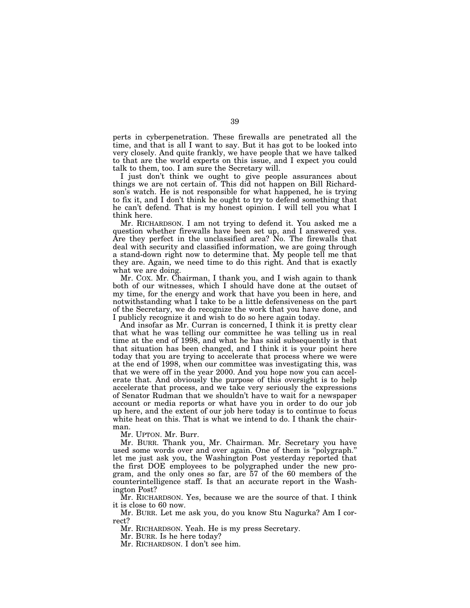perts in cyberpenetration. These firewalls are penetrated all the time, and that is all I want to say. But it has got to be looked into very closely. And quite frankly, we have people that we have talked to that are the world experts on this issue, and I expect you could talk to them, too. I am sure the Secretary will.

I just don't think we ought to give people assurances about things we are not certain of. This did not happen on Bill Richardson's watch. He is not responsible for what happened, he is trying to fix it, and I don't think he ought to try to defend something that he can't defend. That is my honest opinion. I will tell you what I think here.

Mr. RICHARDSON. I am not trying to defend it. You asked me a question whether firewalls have been set up, and I answered yes. Are they perfect in the unclassified area? No. The firewalls that deal with security and classified information, we are going through a stand-down right now to determine that. My people tell me that they are. Again, we need time to do this right. And that is exactly what we are doing.

Mr. COX. Mr. Chairman, I thank you, and I wish again to thank both of our witnesses, which I should have done at the outset of my time, for the energy and work that have you been in here, and notwithstanding what I take to be a little defensiveness on the part of the Secretary, we do recognize the work that you have done, and I publicly recognize it and wish to do so here again today.

And insofar as Mr. Curran is concerned, I think it is pretty clear that what he was telling our committee he was telling us in real time at the end of 1998, and what he has said subsequently is that that situation has been changed, and I think it is your point here today that you are trying to accelerate that process where we were at the end of 1998, when our committee was investigating this, was that we were off in the year 2000. And you hope now you can accelerate that. And obviously the purpose of this oversight is to help accelerate that process, and we take very seriously the expressions of Senator Rudman that we shouldn't have to wait for a newspaper account or media reports or what have you in order to do our job up here, and the extent of our job here today is to continue to focus white heat on this. That is what we intend to do. I thank the chairman.

Mr. UPTON. Mr. Burr.

Mr. BURR. Thank you, Mr. Chairman. Mr. Secretary you have used some words over and over again. One of them is ''polygraph.'' let me just ask you, the Washington Post yesterday reported that the first DOE employees to be polygraphed under the new program, and the only ones so far, are 57 of the 60 members of the counterintelligence staff. Is that an accurate report in the Washington Post?

Mr. RICHARDSON. Yes, because we are the source of that. I think it is close to 60 now.

Mr. BURR. Let me ask you, do you know Stu Nagurka? Am I correct?

Mr. RICHARDSON. Yeah. He is my press Secretary.

Mr. BURR. Is he here today?

Mr. RICHARDSON. I don't see him.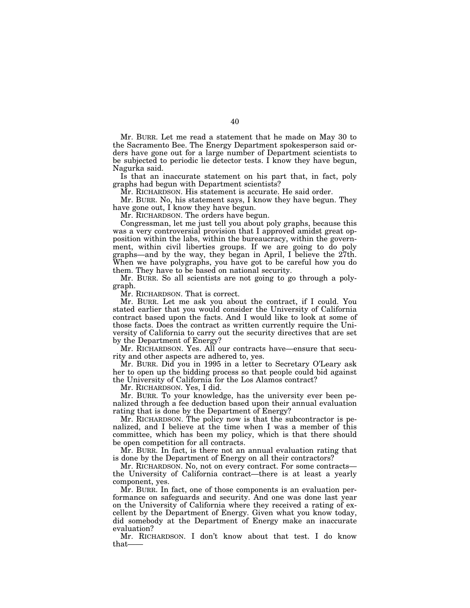Mr. BURR. Let me read a statement that he made on May 30 to the Sacramento Bee. The Energy Department spokesperson said orders have gone out for a large number of Department scientists to be subjected to periodic lie detector tests. I know they have begun, Nagurka said.

Is that an inaccurate statement on his part that, in fact, poly graphs had begun with Department scientists?

Mr. RICHARDSON. His statement is accurate. He said order.

Mr. BURR. No, his statement says, I know they have begun. They have gone out, I know they have begun.

Mr. RICHARDSON. The orders have begun.

Congressman, let me just tell you about poly graphs, because this was a very controversial provision that I approved amidst great opposition within the labs, within the bureaucracy, within the government, within civil liberties groups. If we are going to do poly graphs—and by the way, they began in April, I believe the 27th. When we have polygraphs, you have got to be careful how you do them. They have to be based on national security.

Mr. BURR. So all scientists are not going to go through a polygraph.

Mr. RICHARDSON. That is correct.

Mr. BURR. Let me ask you about the contract, if I could. You stated earlier that you would consider the University of California contract based upon the facts. And I would like to look at some of those facts. Does the contract as written currently require the University of California to carry out the security directives that are set by the Department of Energy?

Mr. RICHARDSON. Yes. All our contracts have—ensure that security and other aspects are adhered to, yes.

Mr. BURR. Did you in 1995 in a letter to Secretary O'Leary ask her to open up the bidding process so that people could bid against the University of California for the Los Alamos contract?

Mr. RICHARDSON. Yes, I did.

Mr. BURR. To your knowledge, has the university ever been penalized through a fee deduction based upon their annual evaluation rating that is done by the Department of Energy?

Mr. RICHARDSON. The policy now is that the subcontractor is penalized, and I believe at the time when I was a member of this committee, which has been my policy, which is that there should be open competition for all contracts.

Mr. BURR. In fact, is there not an annual evaluation rating that is done by the Department of Energy on all their contractors?

Mr. RICHARDSON. No, not on every contract. For some contracts the University of California contract—there is at least a yearly component, yes.

Mr. BURR. In fact, one of those components is an evaluation performance on safeguards and security. And one was done last year on the University of California where they received a rating of excellent by the Department of Energy. Given what you know today, did somebody at the Department of Energy make an inaccurate evaluation?

Mr. RICHARDSON. I don't know about that test. I do know that——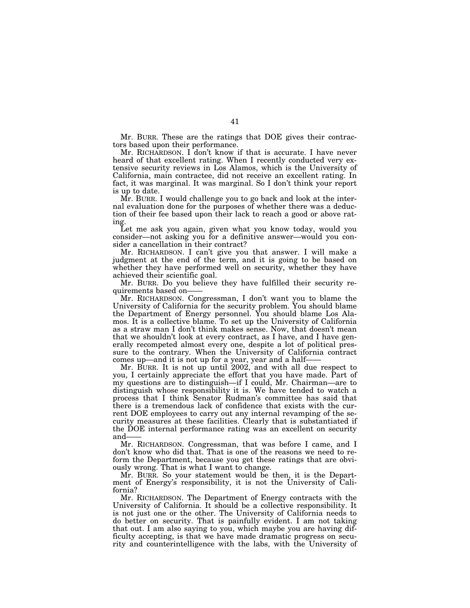Mr. BURR. These are the ratings that DOE gives their contractors based upon their performance.

Mr. RICHARDSON. I don't know if that is accurate. I have never heard of that excellent rating. When I recently conducted very extensive security reviews in Los Alamos, which is the University of California, main contractee, did not receive an excellent rating. In fact, it was marginal. It was marginal. So I don't think your report is up to date.

Mr. BURR. I would challenge you to go back and look at the internal evaluation done for the purposes of whether there was a deduction of their fee based upon their lack to reach a good or above rating.

Let me ask you again, given what you know today, would you consider—not asking you for a definitive answer—would you consider a cancellation in their contract?

Mr. RICHARDSON. I can't give you that answer. I will make a judgment at the end of the term, and it is going to be based on whether they have performed well on security, whether they have achieved their scientific goal.

Mr. BURR. Do you believe they have fulfilled their security requirements based on——

Mr. RICHARDSON. Congressman, I don't want you to blame the University of California for the security problem. You should blame the Department of Energy personnel. You should blame Los Alamos. It is a collective blame. To set up the University of California as a straw man I don't think makes sense. Now, that doesn't mean that we shouldn't look at every contract, as I have, and I have generally recompeted almost every one, despite a lot of political pressure to the contrary. When the University of California contract comes up—and it is not up for a year, year and a half-

Mr. BURR. It is not up until 2002, and with all due respect to you, I certainly appreciate the effort that you have made. Part of my questions are to distinguish—if I could, Mr. Chairman—are to distinguish whose responsibility it is. We have tended to watch a process that I think Senator Rudman's committee has said that there is a tremendous lack of confidence that exists with the current DOE employees to carry out any internal revamping of the security measures at these facilities. Clearly that is substantiated if the DOE internal performance rating was an excellent on security and-

Mr. RICHARDSON. Congressman, that was before I came, and I don't know who did that. That is one of the reasons we need to reform the Department, because you get these ratings that are obviously wrong. That is what I want to change.

Mr. BURR. So your statement would be then, it is the Department of Energy's responsibility, it is not the University of California?

Mr. RICHARDSON. The Department of Energy contracts with the University of California. It should be a collective responsibility. It is not just one or the other. The University of California needs to do better on security. That is painfully evident. I am not taking that out. I am also saying to you, which maybe you are having difficulty accepting, is that we have made dramatic progress on security and counterintelligence with the labs, with the University of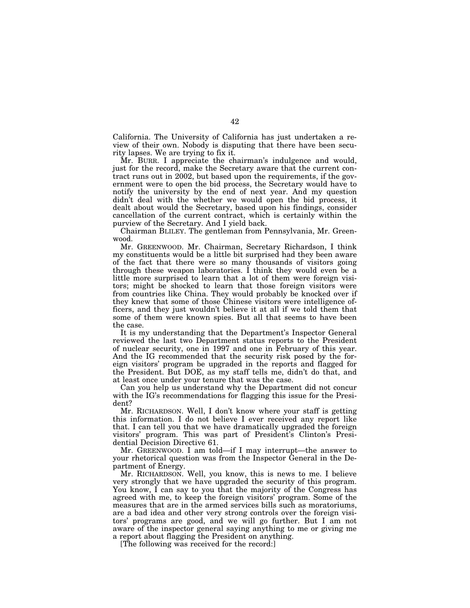California. The University of California has just undertaken a review of their own. Nobody is disputing that there have been security lapses. We are trying to fix it.

Mr. BURR. I appreciate the chairman's indulgence and would, just for the record, make the Secretary aware that the current contract runs out in 2002, but based upon the requirements, if the government were to open the bid process, the Secretary would have to notify the university by the end of next year. And my question didn't deal with the whether we would open the bid process, it dealt about would the Secretary, based upon his findings, consider cancellation of the current contract, which is certainly within the purview of the Secretary. And I yield back.

Chairman BLILEY. The gentleman from Pennsylvania, Mr. Greenwood.

Mr. GREENWOOD. Mr. Chairman, Secretary Richardson, I think my constituents would be a little bit surprised had they been aware of the fact that there were so many thousands of visitors going through these weapon laboratories. I think they would even be a little more surprised to learn that a lot of them were foreign visitors; might be shocked to learn that those foreign visitors were from countries like China. They would probably be knocked over if they knew that some of those Chinese visitors were intelligence officers, and they just wouldn't believe it at all if we told them that some of them were known spies. But all that seems to have been the case.

It is my understanding that the Department's Inspector General reviewed the last two Department status reports to the President of nuclear security, one in 1997 and one in February of this year. And the IG recommended that the security risk posed by the foreign visitors' program be upgraded in the reports and flagged for the President. But DOE, as my staff tells me, didn't do that, and at least once under your tenure that was the case.

Can you help us understand why the Department did not concur with the IG's recommendations for flagging this issue for the President?

Mr. RICHARDSON. Well, I don't know where your staff is getting this information. I do not believe I ever received any report like that. I can tell you that we have dramatically upgraded the foreign visitors' program. This was part of President's Clinton's Presidential Decision Directive 61.

Mr. GREENWOOD. I am told—if I may interrupt—the answer to your rhetorical question was from the Inspector General in the Department of Energy.

Mr. RICHARDSON. Well, you know, this is news to me. I believe very strongly that we have upgraded the security of this program. You know, I can say to you that the majority of the Congress has agreed with me, to keep the foreign visitors' program. Some of the measures that are in the armed services bills such as moratoriums, are a bad idea and other very strong controls over the foreign visitors' programs are good, and we will go further. But I am not aware of the inspector general saying anything to me or giving me a report about flagging the President on anything.

[The following was received for the record:]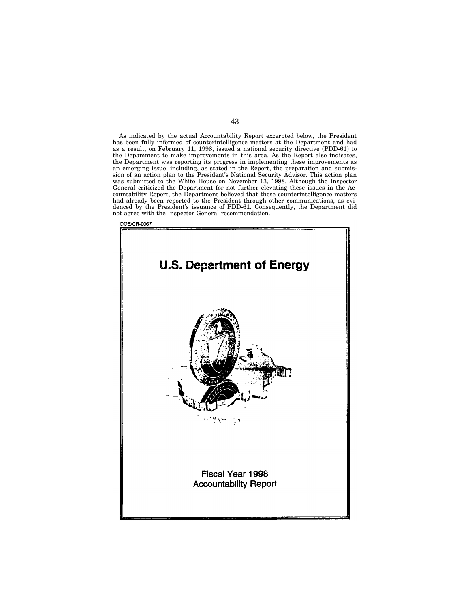As indicated by the actual Accountability Report excerpted below, the President has been fully informed of counterintelligence matters at the Department and had as a result, on February 11, 1998, issued a national security directive (PDD-61) to the Depamment to make improvements in this area. As the Report also indicates, the Department was reporting its progress in implementing these improvements as an emerging issue, including, as stated in the Report, the preparation and submission of an action plan to the President's National Security Advisor. This action plan was submitted to the White House on November 13, 1998. Although the Inspector General criticized the Department for not further elevating these issues in the Accountability Report, the Department believed that these counterintelligence matters had already been reported to the President through other communications, as evidenced by the President's issuance of PDD-61. Consequently, the Department did not agree with the Inspector General recommendation.



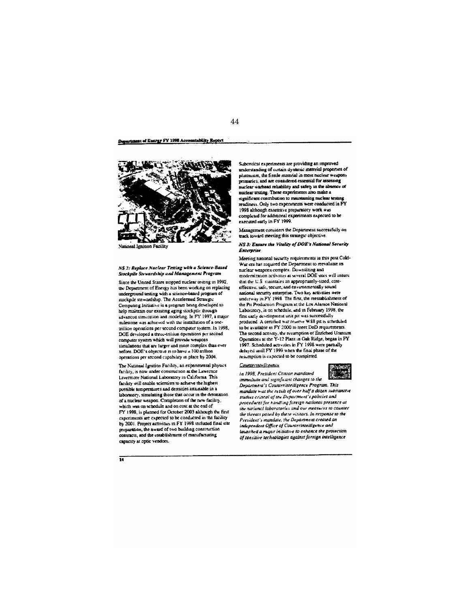Department of Energy FY 1998 Accountability Report



National Ignition Facility

NS 2: Replace Nuclear Testing with a Science-Based Stockpile Stewardship und Management Program

Since the United States stopped nuclear testing in 1992, the Department of Energy has been working on replacing underground testing with a science-based program of stockpile stewardship. The Accelerated Strategic Computing Initiative is a program being developed to help maintain our existing aging stockpile through advanced simulation and modeling. In FY 1997, a major milestone was achieved with the installation of a one trillion operations per second computer system. In 1998, DOE developed a three-triliion operations per second computer system which will provide weapons simulations that are larger and more complex than ever before. DOE's objecuve is to have a 100 inliion operations per second capability in place by 2004.

The National Ignition Facility, an experimental physics facility, is now under construction at the Lawrence Livermore National Laboratory in California This facility will enable scientists to achieve the highest possible temperatures and densities analnable in a laboratory, simulating those that occur in the detonation of a nuclear weapon. Completion of the new facility. which was on schedule and on cost at the end of FY 1998, is planned for October 2003 although the first experiments are expected to be conducted in the facility by 2001. Project activities in FY 1998 included final site preparation, the award of two building construction contracts, and the establishment of manufacturing capacity at optic vendors.

Subcritical experiments are providing an improved understanding of certain dynamic material properties of plutomum, the fissile material in most nuclear weapons primaries, and are considered essential for assessing nuclear warhead reliability and safety in the absence of nuclear testing. These experiments also make a significant contribution to maintaining nuclear testing readiness. Only two experiments were conducted in FY 1998 although extensive preparatory work was completed for additional experiments expected to be executed early in FY 1999.

Management considers the Department successfully on track toward meeting this strategic objective.

NS 3: Ensure the Vitality of DOE's National Security **Énterprise** 

Meeting nanonal security requirements in this post Cold-War era has required the Department to reevaluate its nuclear weapons complex. Downsizing and modernization activities at several DOE sites will ensure that the U.S maintains an appropriately-sized, costeffective, safe, secure, and environmentally sound national security enterprise. Two key activities were underway in FY 1998. The first, the reestablishment of the Pit Production Program at the Los Alamos National Laboratory, is on schedule, and in February 1998, the first early development unit pit was successfully produced. A cerufied war reserve W88 pit is scheduled to be available in FY 2000 to meet DoD requirements. The second activity, the resumption of Enriched Uranium Operations at the Y-12 Plant in Oak Ridge, began in FY 1997. Scheduled activities in FY 1998 were partially delayed until FY 1999 when the final phase of the resumption is expected to be completed.

## Counterintelligence

In 1998, President Clinton mandated



immediate and significant changes to the Department's Counterintelligence Program. This mandate was the result of over half a dozen substantive studies critical of the Department's policies and procedures for handling foreign national presence at the national laboratories and our measures to counter the threats posed by these visitors. In response to the President's mandate, the Department created an independent Office of Counterinteiligence and launched a mayor initiative to enhance the protection of sensitive technologies against foreign intelligence

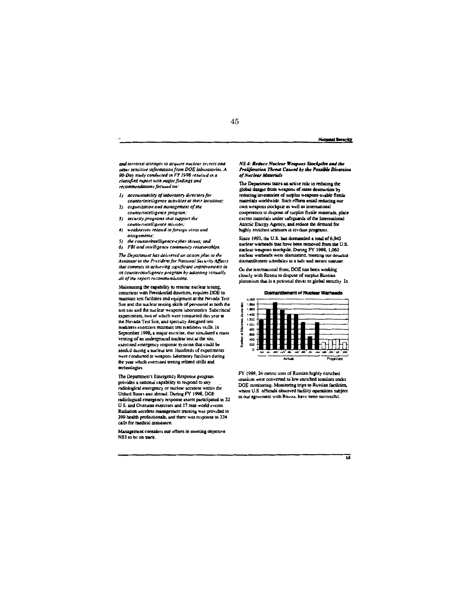45

National Security

and terrorist attempts to acquire nuclear secrets and other sensitive information from DOE laboratories. A 90-Day study conducted in FY 1998 resulted in a classified report with major findings and recommendations focused on:

- 1) accountability of laboratory directors for counterintelligence activities at their locations:
- 2) organization and management of the counterintelligence program:
- 3) security programs that support the counterintelligence mission;
- 4) weaknesses related to foreign visits and assignments:
- 5) the counterinselligence-cyber threat; and
- 6) FBI and intelligence community relationships.

The Department has delivered an action plan to the Assistant to the President for National Security Affairs that commits to achieving significant improvements in its counterintelligence program by adopting virtually all of the report recommendations.

Maintaining the capability to resume nuclear testing. consistent with Presidential direction, requires DOE to maintain test facilities and equipment at the Nevada Test Site and the nuclear testing skills of personnel at both the test site and the nuclear weapons laboratories Subcritical experiments, two of which were conducted this year at the Nevada Test Site, and specially designed test readiness exercises maintain test readiness stulls. In September 1998, a major exercise, that simulated a mass venting of an underground nuclear test at the site, exercised emergency response systems that could be needed during a nuclear test. Hundreds of experiments were conducted at weapons laboratory facilities during the year which exercised testing related skills and technologies

The Department's Emergency Response program provides a national capability to respond to any radiological emergency or nuclear accident within the<br>United States and abroad. During FY 1998, DOE radiological emergency response assets participated in 32 U.S. and Overseas exercises and 17 real-world events. Radiation accident management training was provided to 399 health professionals, and there was response to 224 calls for medical assistance.

Management considers our efforts in meeting objective NS3 to be on track.

NS 4: Reduce Nuclear Weapons Stockpiles and the Proliferation Threat Caused by the Possible Diversion of Naclear Materials

The Department takes an active role in reducing the global danger from weapons of mass destruction by reducing inventories of surplus weapons-usable fissile materials worldwide. Such efforts entail reducing our own weapons stockpite as well as international cooperation to dispose of surplus fissile materials, place excess materials under safeguards of the international Atomic Energy Agency, and reduce the demand for highly enriched uranium in civilian programs.

Since 1993, the U.S. has dismantled a total of 6,942 nuclear warheads that have been removed from the U.S. nuclear weapons stockpile. During FY 1998, 1,062 nuclear watheads were dismantied, meening our detailed dismantlement schedules in a safe and secure manner.

On the international front, DOE has been working closely with Russia to dispose of surplus Russian plutonium that is a potential threat to global security In

**Dismantiement of Nuclear Warheads** 

|                  |       |   | Actual |                    |   |      |     | Projected |            |      |          |    |    |
|------------------|-------|---|--------|--------------------|---|------|-----|-----------|------------|------|----------|----|----|
|                  | o     | м |        | ورست<br><b>IBC</b> | d | i de | 100 | ok.       | <b>CAM</b> | 1000 | $-0.000$ | жů | xx |
|                  | 200   |   |        |                    |   |      |     |           |            |      |          |    |    |
| i in the control | 400   |   |        |                    |   |      |     |           |            |      |          |    |    |
|                  | 800   |   |        |                    |   |      |     |           |            |      |          |    |    |
|                  | acc   |   |        |                    |   |      |     |           |            |      |          |    |    |
| Die Vallen of    | 1.000 |   |        |                    |   |      |     |           |            |      |          |    |    |
|                  | 1,200 |   |        |                    |   |      |     |           |            |      |          |    |    |
| 医腹泻              | 1,400 |   |        |                    |   |      |     |           |            |      |          |    |    |
|                  | 1,000 |   |        |                    |   |      |     |           |            |      |          |    |    |
|                  | 1,500 |   |        |                    |   |      |     |           |            |      |          |    |    |
|                  | 2,300 |   |        |                    |   |      |     |           |            |      |          |    |    |

FY 1998, 24 metric tons of Russian highly enriched uranium were converted to low enriched uranium under DOE monitoring. Monitoring trips to Russian facilities, where U.S officials observed facility operations subject to our agreement with Russia, have been successful.

 $\overline{\mathbf{15}}$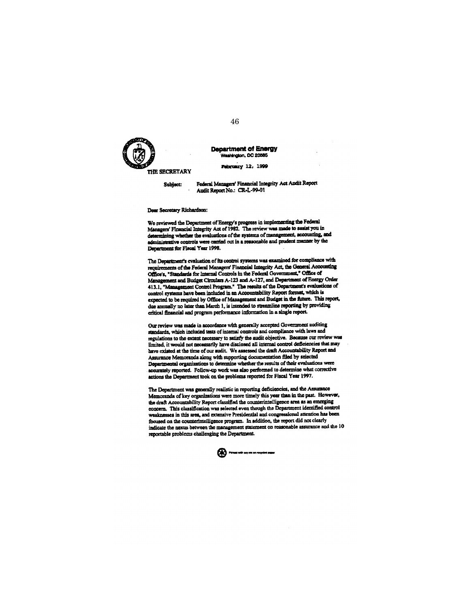

## **Department of Energy** Washington, DC 20585

February 12, 1999

THE SECRETARY

Federal Managers' Financial Integrity Act Audit Report Subject: Audit Report No.: CR-L-99-01

Dear Secretary Richardson:

We reviewed the Department of Energy's progress in implementing the Federal Managers' Financial Integrity Act of 1982. The review was made to assist you in determining whether the evaluations of the systems of management, accounting, and administrative controls were carried out in a reasonable and prudent manner by the Department for Fiscal Year 1998.

The Department's evaluation of its control systems was examined for compliance with requirements of the Federal Managers' Financial Integrity Act, the General Accounting Office's, "Standards for Internal Controls in the Federal Government," Office of Management and Budget Circulars A-123 and A-127, and Department of Energy Order 413.1, "Management Control Program." The results of the Department's evaluations of control systems have been included in an Accountability Report format, which is expected to be required by Office of Management and Budget in the future. This report, due annually no later than March 1, is intended to streamline reporting by providing critical financial and program performance information in a single report.

Our review was made in accordance with generally accepted Government auditing standards, which included tests of internal controls and compliance with laws and regulations to the extent necessary to satisfy the audit objective. Because our review was limited, it would not necessarily have disclosed all internal control deficiencies that may have existed at the time of our audit. We assessed the draft Accountability Report and Assurance Memoranda along with supporting documentation filed by selected Departmental organizations to determine whether the results of their evaluations were accurately reported. Follow-up work was also performed to determine what corrective actions the Department took on the problems reported for Fiscal Year 1997.

The Department was generally realistic in reporting deficiencies, and the Assurance Memoranda of key organizations were more timely this year than in the past. However, the draft Accountability Report classified the counterintelligence area as an emerging concern. This classification was selected even though the Department identified control weaknesses in this area, and extensive Presidential and congressional attention has been focused on the counterintelligence program. In addition, the report did not clearly indicate the nexus between the management statement on reasonable assurance and the 10 reportable problems challenging the Department.

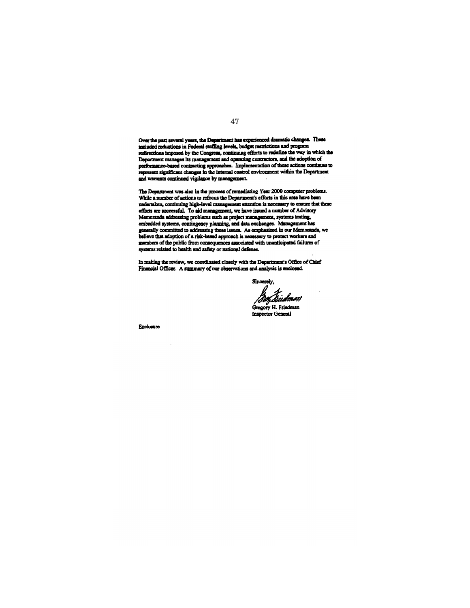Over the past several years, the Department has experienced dramatic changes. These included reductions in Federal staffing levels, budget restrictions and program redirections imposed by the Congress, continuing efforts to redefine the way in which the Department manages its management and operating contractors, and the adoption of performance-based contracting approaches. Implementation of these actions continues to represent significant changes in the internal control environment within the Department and warrants continued vigilance by management.

The Department was also in the process of remediating Year 2000 computer problems.<br>While a number of actions to refocus the Department's efforts in this area have been undertaken, continuing high-level management attention is necessary to ensure that these efforts are successful. To aid management, we have issued a number of Advisory Memoranda addressing problems such as project management, systems testing, embedded systems, contingency planning, and data exchanges. Management has generally committed to addressing these issues. As emphasized in our Memoranda, we believe that adoption of a risk-based approach is necessary to protect workers and members of the public from consequences associated with unanticipated failures of systems related to health and safety or national defense.

In making the review, we coordinated closely with the Department's Office of Chief Financial Officer. A summary of our observations and analysis is enclosed.

Sincerely,

Gregory H. Friedman Inspector General

Enclosure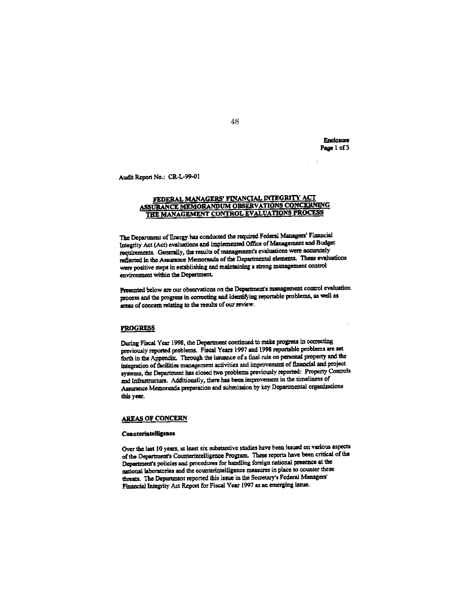Enclosure Page 1 of 3

Audit Report No.: CR-L-99-01

## <u>FEDERAL MANAGERS' FINANCIAL INTEGRITY ACT</u> ASSURANCE MEMORANDUM OBSERVATIONS CONCERNING THE MANAGEMENT CONTROL EVALUATIONS PROCESS

The Department of Energy has conducted the required Federal Managers' Financial Integrity Act (Act) evaluations and implemented Office of Management and Budget requirements. Generally, the results of management's evaluations were accurately reflected in the Assurance Memoranda of the Departmental elements. These evaluations were positive steps in establishing and maintaining a strong management control environment within the Department.

Presented below are our observations on the Department's management control evaluation process and the progress in correcting and identifying reportable problems, as well as areas of concern relating to the results of our review.

## **PROGRESS**

During Fiscal Year 1998, the Department continued to make progress in correcting previously reported problems. Fiscal Years 1997 and 1998 reportable problems are set forth in the Appendix. Through the issuance of a final rule on personal property and the integration of facilities management activities and improvement of financial and project systems, the Department has closed two problems previously reported: Property Controls and Infrastructure. Additionally, there has been improvement in the timeliness of Assurance Memoranda preparation and submission by key Departmental organizations this year.

# **AREAS OF CONCERN**

#### Counterintelligence

Over the last 10 years, at least six substantive studies have been issued on various aspects of the Department's Counterintelligence Program. These reports have been critical of the Department's policies and procedures for handling foreign national presence at the national laboratories and the counterintelligence measures in place to counter these threats. The Department reported this issue in the Secretary's Federal Managers' Financial Integrity Act Report for Fiscal Year 1997 as an emerging issue.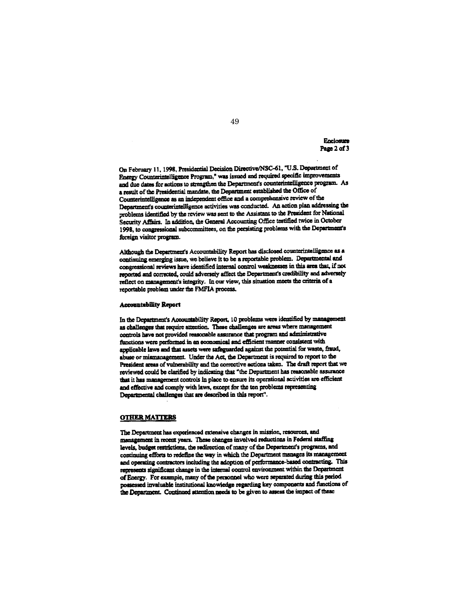Enclosure Page 2 of 3

On February 11, 1998, Presidential Decision Directive/NSC-61, "U.S. Department of Energy Counterintelligence Program," was issued and required specific improvements and due dates for actions to strengthen the Department's counterintelligence program. As a result of the Presidential mandate, the Department established the Office of Counterintelligence as an independent office and a comprehensive review of the Department's counterintelligence activities was conducted. An action plan addressing the problems identified by the review was sent to the Assistant to the President for National Security Affairs. In addition, the General Accounting Office testified twice in October 1998, to congressional subcommittees, on the persisting problems with the Department's foreign visitor program.

Although the Department's Accountability Report has disclosed counterintelligence as a continuing emerging issue, we believe it to be a reportable problem. Departmental and congressional reviews have identified internal control weaknesses in this area that. if not reported and corrected, could adversely affect the Department's credibility and adversely reflect on management's integrity. In our view, this situation meets the criteria of a reportable problem under the FMFIA process.

## **Accountability Report**

In the Department's Accountability Report, 10 problems were identified by management as challenges that require attention. These challenges are areas where management controls have not provided reasonable assurance that program and administrative functions were performed in an economical and efficient manner consistent with applicable laws and that assets were safeguarded against the potential for waste, fraud, abuse or mismanagement. Under the Act, the Department is required to report to the President areas of vulnerability and the corrective actions taken. The draft report that we reviewed could be clarified by indicating that "the Department has reasonable assurance that it has management controls in place to ensure its operational activities are efficient and effective and comply with laws, except for the ten problems representing Departmental challenges that are described in this report".

## **OTHER MATTERS**

The Department has experienced extensive changes in mission, resources, and management in recent years. These changes involved reductions in Federal staffing levels, budget restrictions, the redirection of many of the Department's programs, and continuing efforts to redefine the way in which the Department manages its management and operating contractors including the adoption of performance-based contracting. This represents significant change in the internal control environment within the Department of Energy. For example, many of the personnel who were separated during this period possessed invaluable institutional knowledge regarding key components and functions of the Department. Continued attention needs to be given to assess the impact of these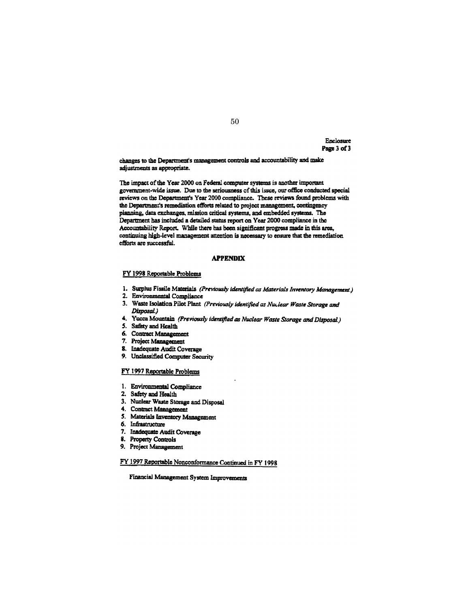Enclosure Page 3 of 3

changes to the Department's management controls and accountability and make adjustments as appropriate.

The impact of the Year 2000 on Federal computer systems is another important government-wide issue. Due to the seriousness of this issue, our office conducted special reviews on the Department's Year 2000 compliance. These reviews found problems with the Department's remediation efforts related to project management, contingency planning, data exchanges, mission critical systems, and embedded systems. The Department has included a detailed status report on Year 2000 compliance in the Accountability Report. While there has been significant progress made in this area, continuing high-level management attention is necessary to ensure that the remediation efforts are successful.

## **APPENDIX**

## FY 1998 Reportable Problems

- 1. Surplus Fissile Materials (Previously identified as Materials Inventory Management.)
- 2. Environmental Compliance
- 3. Waste Isolation Pilot Plant (Previously identified as Nuclear Waste Storage and Disposal.)
- 4. Yucca Mountain (Previously identified as Nuclear Waste Storage and Disposal.)
- 5. Safety and Health
- 6. Contract Management
- 7. Project Management
- 8. Inadequate Audit Coverage
- 9. Unclassified Computer Security

## FY 1997 Reportable Problems

- 1. Environmental Compliance
- 2. Safety and Health
- 3. Nuclear Waste Storage and Disposal
- 4. Contract Management
- 5. Materials Inventory Management
- 6. Infrastructure
- 7. Inadequate Audit Coverage
- 8. Property Controls
- 9. Project Management

FY 1997 Reportable Nonconformance Continued in FY 1998

Financial Management System Improvements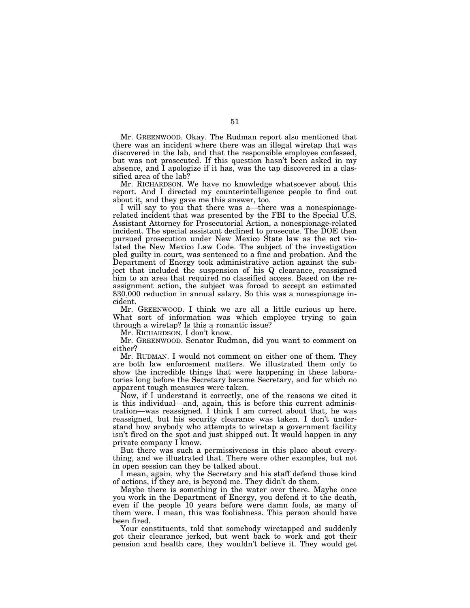Mr. GREENWOOD. Okay. The Rudman report also mentioned that there was an incident where there was an illegal wiretap that was discovered in the lab, and that the responsible employee confessed, but was not prosecuted. If this question hasn't been asked in my absence, and I apologize if it has, was the tap discovered in a classified area of the lab?

Mr. RICHARDSON. We have no knowledge whatsoever about this report. And I directed my counterintelligence people to find out about it, and they gave me this answer, too.

I will say to you that there was a—there was a nonespionagerelated incident that was presented by the FBI to the Special U.S. Assistant Attorney for Prosecutorial Action, a nonespionage-related incident. The special assistant declined to prosecute. The DOE then pursued prosecution under New Mexico State law as the act violated the New Mexico Law Code. The subject of the investigation pled guilty in court, was sentenced to a fine and probation. And the Department of Energy took administrative action against the subject that included the suspension of his Q clearance, reassigned him to an area that required no classified access. Based on the reassignment action, the subject was forced to accept an estimated \$30,000 reduction in annual salary. So this was a nonespionage incident.

Mr. GREENWOOD. I think we are all a little curious up here. What sort of information was which employee trying to gain through a wiretap? Is this a romantic issue?

Mr. RICHARDSON. I don't know.

Mr. GREENWOOD. Senator Rudman, did you want to comment on either?

Mr. RUDMAN. I would not comment on either one of them. They are both law enforcement matters. We illustrated them only to show the incredible things that were happening in these laboratories long before the Secretary became Secretary, and for which no apparent tough measures were taken.

Now, if I understand it correctly, one of the reasons we cited it is this individual—and, again, this is before this current administration—was reassigned. I think I am correct about that, he was reassigned, but his security clearance was taken. I don't understand how anybody who attempts to wiretap a government facility isn't fired on the spot and just shipped out. It would happen in any private company I know.

But there was such a permissiveness in this place about everything, and we illustrated that. There were other examples, but not in open session can they be talked about.

I mean, again, why the Secretary and his staff defend those kind of actions, if they are, is beyond me. They didn't do them.

Maybe there is something in the water over there. Maybe once you work in the Department of Energy, you defend it to the death, even if the people 10 years before were damn fools, as many of them were. I mean, this was foolishness. This person should have been fired.

Your constituents, told that somebody wiretapped and suddenly got their clearance jerked, but went back to work and got their pension and health care, they wouldn't believe it. They would get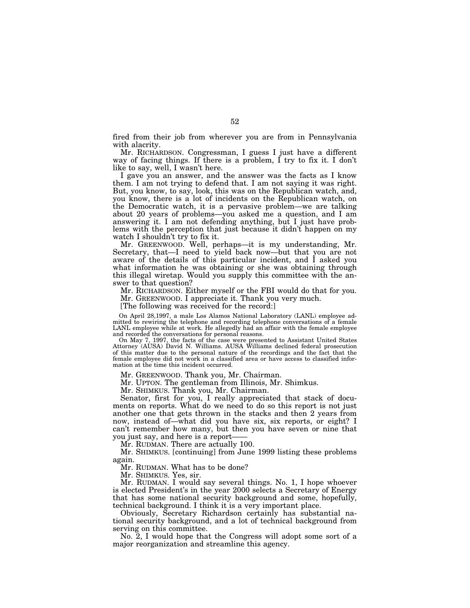fired from their job from wherever you are from in Pennsylvania with alacrity.

Mr. RICHARDSON. Congressman, I guess I just have a different way of facing things. If there is a problem, I try to fix it. I don't like to say, well, I wasn't here.

I gave you an answer, and the answer was the facts as I know them. I am not trying to defend that. I am not saying it was right. But, you know, to say, look, this was on the Republican watch, and, you know, there is a lot of incidents on the Republican watch, on the Democratic watch, it is a pervasive problem—we are talking about 20 years of problems—you asked me a question, and I am answering it. I am not defending anything, but I just have problems with the perception that just because it didn't happen on my watch I shouldn't try to fix it.

Mr. GREENWOOD. Well, perhaps—it is my understanding, Mr. Secretary, that—I need to yield back now—but that you are not aware of the details of this particular incident, and I asked you what information he was obtaining or she was obtaining through this illegal wiretap. Would you supply this committee with the answer to that question?

Mr. RICHARDSON. Either myself or the FBI would do that for you.

Mr. GREENWOOD. I appreciate it. Thank you very much.

[The following was received for the record:]

On April 28,1997, a male Los Alamos National Laboratory (LANL) employee admitted to rewiring the telephone and recording telephone conversations of a female LANL employee while at work. He allegedly had an affair with the female employee and recorded the conversations for personal reasons.

On May 7, 1997, the facts of the case were presented to Assistant United States Attorney (AUSA) David N. Williams. AUSA Williams declined federal prosecution of this matter due to the personal nature of the recordings and the fact that the female employee did not work in a classified area or have access to classified information at the time this incident occurred.

Mr. GREENWOOD. Thank you, Mr. Chairman.

Mr. UPTON. The gentleman from Illinois, Mr. Shimkus.

Mr. SHIMKUS. Thank you, Mr. Chairman.

Senator, first for you, I really appreciated that stack of documents on reports. What do we need to do so this report is not just another one that gets thrown in the stacks and then 2 years from now, instead of—what did you have six, six reports, or eight? I can't remember how many, but then you have seven or nine that you just say, and here is a report——

Mr. RUDMAN. There are actually 100.

Mr. SHIMKUS. [continuing] from June 1999 listing these problems again.

Mr. RUDMAN. What has to be done?

Mr. SHIMKUS. Yes, sir.

Mr. RUDMAN. I would say several things. No. 1, I hope whoever is elected President's in the year 2000 selects a Secretary of Energy that has some national security background and some, hopefully, technical background. I think it is a very important place.

Obviously, Secretary Richardson certainly has substantial national security background, and a lot of technical background from serving on this committee.

No. 2, I would hope that the Congress will adopt some sort of a major reorganization and streamline this agency.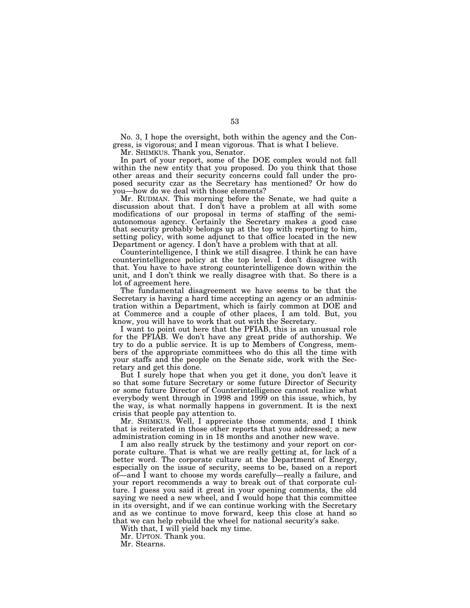No. 3, I hope the oversight, both within the agency and the Congress, is vigorous; and I mean vigorous. That is what I believe.

Mr. SHIMKUS. Thank you, Senator.

In part of your report, some of the DOE complex would not fall within the new entity that you proposed. Do you think that those other areas and their security concerns could fall under the proposed security czar as the Secretary has mentioned? Or how do you—how do we deal with those elements?

Mr. RUDMAN. This morning before the Senate, we had quite a discussion about that. I don't have a problem at all with some modifications of our proposal in terms of staffing of the semiautonomous agency. Certainly the Secretary makes a good case that security probably belongs up at the top with reporting to him, setting policy, with some adjunct to that office located in the new Department or agency. I don't have a problem with that at all.

Counterintelligence, I think we still disagree. I think he can have counterintelligence policy at the top level. I don't disagree with that. You have to have strong counterintelligence down within the unit, and I don't think we really disagree with that. So there is a lot of agreement here.

The fundamental disagreement we have seems to be that the Secretary is having a hard time accepting an agency or an administration within a Department, which is fairly common at DOE and at Commerce and a couple of other places, I am told. But, you know, you will have to work that out with the Secretary.

I want to point out here that the PFIAB, this is an unusual role for the PFIAB. We don't have any great pride of authorship. We try to do a public service. It is up to Members of Congress, members of the appropriate committees who do this all the time with your staffs and the people on the Senate side, work with the Secretary and get this done.

But I surely hope that when you get it done, you don't leave it so that some future Secretary or some future Director of Security or some future Director of Counterintelligence cannot realize what everybody went through in 1998 and 1999 on this issue, which, by the way, is what normally happens in government. It is the next crisis that people pay attention to.

Mr. SHIMKUS. Well, I appreciate those comments, and I think that is reiterated in those other reports that you addressed; a new administration coming in in 18 months and another new wave.

I am also really struck by the testimony and your report on corporate culture. That is what we are really getting at, for lack of a better word. The corporate culture at the Department of Energy, especially on the issue of security, seems to be, based on a report of—and I want to choose my words carefully—really a failure, and your report recommends a way to break out of that corporate culture. I guess you said it great in your opening comments, the old saying we need a new wheel, and I would hope that this committee in its oversight, and if we can continue working with the Secretary and as we continue to move forward, keep this close at hand so that we can help rebuild the wheel for national security's sake.

With that, I will yield back my time.

Mr. UPTON. Thank you.

Mr. Stearns.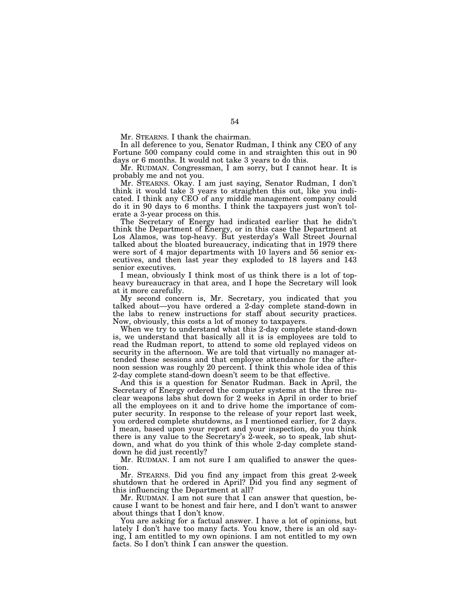Mr. STEARNS. I thank the chairman.

In all deference to you, Senator Rudman, I think any CEO of any Fortune 500 company could come in and straighten this out in 90 days or 6 months. It would not take 3 years to do this.

Mr. RUDMAN. Congressman, I am sorry, but I cannot hear. It is probably me and not you.

Mr. STEARNS. Okay. I am just saying, Senator Rudman, I don't think it would take 3 years to straighten this out, like you indicated. I think any CEO of any middle management company could do it in 90 days to 6 months. I think the taxpayers just won't tolerate a 3-year process on this.

The Secretary of Energy had indicated earlier that he didn't think the Department of Energy, or in this case the Department at Los Alamos, was top-heavy. But yesterday's Wall Street Journal talked about the bloated bureaucracy, indicating that in 1979 there were sort of 4 major departments with 10 layers and 56 senior executives, and then last year they exploded to 18 layers and 143 senior executives.

I mean, obviously I think most of us think there is a lot of topheavy bureaucracy in that area, and I hope the Secretary will look at it more carefully.

My second concern is, Mr. Secretary, you indicated that you talked about—you have ordered a 2-day complete stand-down in the labs to renew instructions for staff about security practices. Now, obviously, this costs a lot of money to taxpayers.

When we try to understand what this 2-day complete stand-down is, we understand that basically all it is is employees are told to read the Rudman report, to attend to some old replayed videos on security in the afternoon. We are told that virtually no manager attended these sessions and that employee attendance for the afternoon session was roughly 20 percent. I think this whole idea of this 2-day complete stand-down doesn't seem to be that effective.

And this is a question for Senator Rudman. Back in April, the Secretary of Energy ordered the computer systems at the three nuclear weapons labs shut down for 2 weeks in April in order to brief all the employees on it and to drive home the importance of computer security. In response to the release of your report last week, you ordered complete shutdowns, as I mentioned earlier, for 2 days. I mean, based upon your report and your inspection, do you think there is any value to the Secretary's 2-week, so to speak, lab shutdown, and what do you think of this whole 2-day complete standdown he did just recently?

Mr. RUDMAN. I am not sure I am qualified to answer the question.

Mr. STEARNS. Did you find any impact from this great 2-week shutdown that he ordered in April? Did you find any segment of this influencing the Department at all?

Mr. RUDMAN. I am not sure that I can answer that question, because I want to be honest and fair here, and I don't want to answer about things that I don't know.

You are asking for a factual answer. I have a lot of opinions, but lately I don't have too many facts. You know, there is an old saying, I am entitled to my own opinions. I am not entitled to my own facts. So I don't think I can answer the question.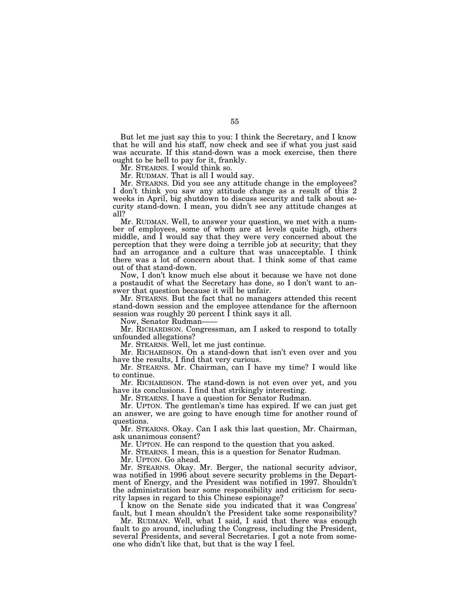But let me just say this to you: I think the Secretary, and I know that he will and his staff, now check and see if what you just said was accurate. If this stand-down was a mock exercise, then there ought to be hell to pay for it, frankly.

Mr. STEARNS. I would think so.

Mr. RUDMAN. That is all I would say.

Mr. STEARNS. Did you see any attitude change in the employees? I don't think you saw any attitude change as a result of this 2 weeks in April, big shutdown to discuss security and talk about security stand-down. I mean, you didn't see any attitude changes at all?

Mr. RUDMAN. Well, to answer your question, we met with a number of employees, some of whom are at levels quite high, others middle, and I would say that they were very concerned about the perception that they were doing a terrible job at security; that they had an arrogance and a culture that was unacceptable. I think there was a lot of concern about that. I think some of that came out of that stand-down.

Now, I don't know much else about it because we have not done a postaudit of what the Secretary has done, so I don't want to answer that question because it will be unfair.

Mr. STEARNS. But the fact that no managers attended this recent stand-down session and the employee attendance for the afternoon session was roughly 20 percent I think says it all.

Now, Senator Rudman——

Mr. RICHARDSON. Congressman, am I asked to respond to totally unfounded allegations?

Mr. STEARNS. Well, let me just continue.

Mr. RICHARDSON. On a stand-down that isn't even over and you have the results, I find that very curious.

Mr. STEARNS. Mr. Chairman, can I have my time? I would like to continue.

Mr. RICHARDSON. The stand-down is not even over yet, and you have its conclusions. I find that strikingly interesting.

Mr. STEARNS. I have a question for Senator Rudman.

Mr. UPTON. The gentleman's time has expired. If we can just get an answer, we are going to have enough time for another round of questions.

Mr. STEARNS. Okay. Can I ask this last question, Mr. Chairman, ask unanimous consent?

Mr. UPTON. He can respond to the question that you asked.

Mr. STEARNS. I mean, this is a question for Senator Rudman.

Mr. UPTON. Go ahead.

Mr. STEARNS. Okay. Mr. Berger, the national security advisor, was notified in 1996 about severe security problems in the Department of Energy, and the President was notified in 1997. Shouldn't the administration bear some responsibility and criticism for security lapses in regard to this Chinese espionage?

I know on the Senate side you indicated that it was Congress' fault, but I mean shouldn't the President take some responsibility?

Mr. RUDMAN. Well, what I said, I said that there was enough fault to go around, including the Congress, including the President, several Presidents, and several Secretaries. I got a note from someone who didn't like that, but that is the way I feel.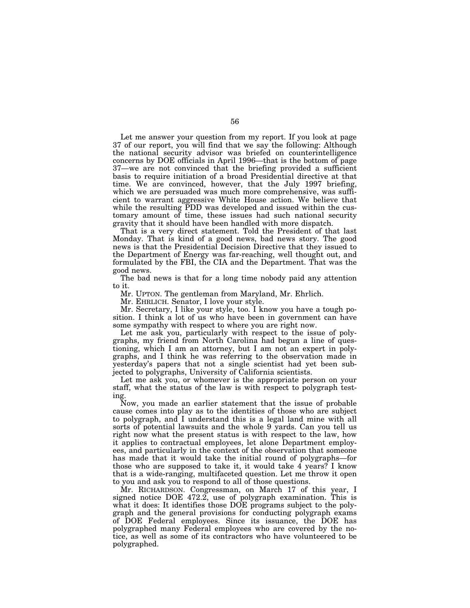Let me answer your question from my report. If you look at page 37 of our report, you will find that we say the following: Although the national security advisor was briefed on counterintelligence concerns by DOE officials in April 1996—that is the bottom of page 37—we are not convinced that the briefing provided a sufficient basis to require initiation of a broad Presidential directive at that time. We are convinced, however, that the July 1997 briefing, which we are persuaded was much more comprehensive, was sufficient to warrant aggressive White House action. We believe that while the resulting PDD was developed and issued within the customary amount of time, these issues had such national security gravity that it should have been handled with more dispatch.

That is a very direct statement. Told the President of that last Monday. That is kind of a good news, bad news story. The good news is that the Presidential Decision Directive that they issued to the Department of Energy was far-reaching, well thought out, and formulated by the FBI, the CIA and the Department. That was the good news.

The bad news is that for a long time nobody paid any attention to it.

Mr. UPTON. The gentleman from Maryland, Mr. Ehrlich.

Mr. EHRLICH. Senator, I love your style.

Mr. Secretary, I like your style, too. I know you have a tough position. I think a lot of us who have been in government can have some sympathy with respect to where you are right now.

Let me ask you, particularly with respect to the issue of polygraphs, my friend from North Carolina had begun a line of questioning, which I am an attorney, but I am not an expert in polygraphs, and I think he was referring to the observation made in yesterday's papers that not a single scientist had yet been subjected to polygraphs, University of California scientists.

Let me ask you, or whomever is the appropriate person on your staff, what the status of the law is with respect to polygraph testing.

Now, you made an earlier statement that the issue of probable cause comes into play as to the identities of those who are subject to polygraph, and I understand this is a legal land mine with all sorts of potential lawsuits and the whole 9 yards. Can you tell us right now what the present status is with respect to the law, how it applies to contractual employees, let alone Department employees, and particularly in the context of the observation that someone has made that it would take the initial round of polygraphs—for those who are supposed to take it, it would take  $\overline{4}$  years? I know that is a wide-ranging, multifaceted question. Let me throw it open to you and ask you to respond to all of those questions.

Mr. RICHARDSON. Congressman, on March 17 of this year, I signed notice DOE 472.2, use of polygraph examination. This is what it does: It identifies those DOE programs subject to the polygraph and the general provisions for conducting polygraph exams of DOE Federal employees. Since its issuance, the DOE has polygraphed many Federal employees who are covered by the notice, as well as some of its contractors who have volunteered to be polygraphed.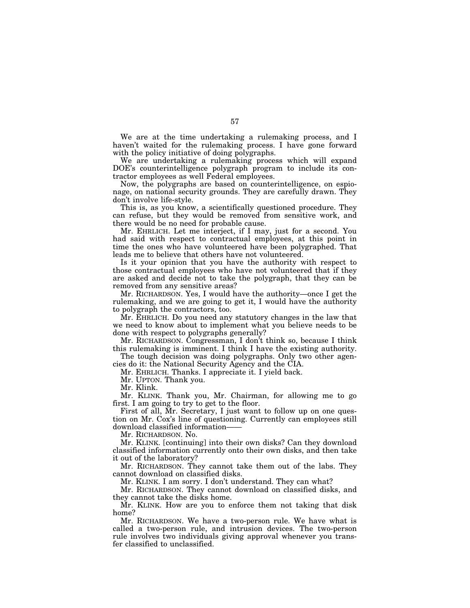We are at the time undertaking a rulemaking process, and I haven't waited for the rulemaking process. I have gone forward with the policy initiative of doing polygraphs.

We are undertaking a rulemaking process which will expand DOE's counterintelligence polygraph program to include its contractor employees as well Federal employees.

Now, the polygraphs are based on counterintelligence, on espionage, on national security grounds. They are carefully drawn. They don't involve life-style.

This is, as you know, a scientifically questioned procedure. They can refuse, but they would be removed from sensitive work, and there would be no need for probable cause.

Mr. EHRLICH. Let me interject, if I may, just for a second. You had said with respect to contractual employees, at this point in time the ones who have volunteered have been polygraphed. That leads me to believe that others have not volunteered.

Is it your opinion that you have the authority with respect to those contractual employees who have not volunteered that if they are asked and decide not to take the polygraph, that they can be removed from any sensitive areas?

Mr. RICHARDSON. Yes, I would have the authority—once I get the rulemaking, and we are going to get it, I would have the authority to polygraph the contractors, too.

Mr. EHRLICH. Do you need any statutory changes in the law that we need to know about to implement what you believe needs to be done with respect to polygraphs generally?

Mr. RICHARDSON. Congressman, I don't think so, because I think this rulemaking is imminent. I think I have the existing authority.

The tough decision was doing polygraphs. Only two other agencies do it: the National Security Agency and the CIA.

Mr. EHRLICH. Thanks. I appreciate it. I yield back.

Mr. UPTON. Thank you.

Mr. Klink.

Mr. KLINK. Thank you, Mr. Chairman, for allowing me to go first. I am going to try to get to the floor.

First of all, Mr. Secretary, I just want to follow up on one question on Mr. Cox's line of questioning. Currently can employees still download classified information——

Mr. RICHARDSON. No.

Mr. KLINK. [continuing] into their own disks? Can they download classified information currently onto their own disks, and then take it out of the laboratory?

Mr. RICHARDSON. They cannot take them out of the labs. They cannot download on classified disks.

Mr. KLINK. I am sorry. I don't understand. They can what?

Mr. RICHARDSON. They cannot download on classified disks, and they cannot take the disks home.

Mr. KLINK. How are you to enforce them not taking that disk home?

Mr. RICHARDSON. We have a two-person rule. We have what is called a two-person rule, and intrusion devices. The two-person rule involves two individuals giving approval whenever you transfer classified to unclassified.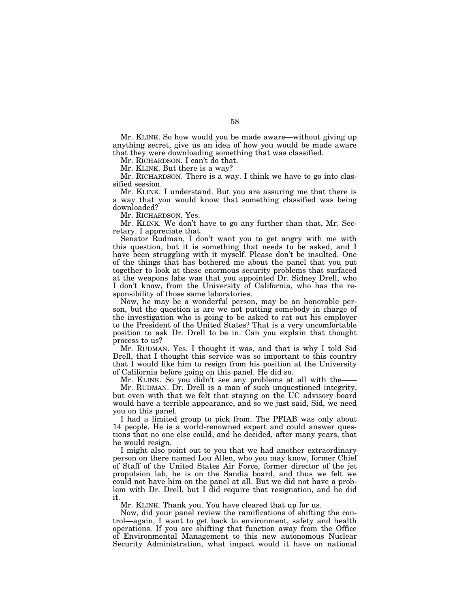Mr. KLINK. So how would you be made aware—without giving up anything secret, give us an idea of how you would be made aware that they were downloading something that was classified.

Mr. RICHARDSON. I can't do that.

Mr. KLINK. But there is a way?

Mr. RICHARDSON. There is a way. I think we have to go into classified session.

Mr. KLINK. I understand. But you are assuring me that there is a way that you would know that something classified was being downloaded?

Mr. RICHARDSON. Yes.

Mr. KLINK. We don't have to go any further than that, Mr. Secretary. I appreciate that.

Senator Rudman, I don't want you to get angry with me with this question, but it is something that needs to be asked, and I have been struggling with it myself. Please don't be insulted. One of the things that has bothered me about the panel that you put together to look at these enormous security problems that surfaced at the weapons labs was that you appointed Dr. Sidney Drell, who I don't know, from the University of California, who has the responsibility of those same laboratories.

Now, he may be a wonderful person, may be an honorable person, but the question is are we not putting somebody in charge of the investigation who is going to be asked to rat out his employer to the President of the United States? That is a very uncomfortable position to ask Dr. Drell to be in. Can you explain that thought process to us?

Mr. RUDMAN. Yes. I thought it was, and that is why I told Sid Drell, that I thought this service was so important to this country that I would like him to resign from his position at the University of California before going on this panel. He did so.

Mr. KLINK. So you didn't see any problems at all with the-

Mr. RUDMAN. Dr. Drell is a man of such unquestioned integrity, but even with that we felt that staying on the UC advisory board would have a terrible appearance, and so we just said, Sid, we need you on this panel.

I had a limited group to pick from. The PFIAB was only about 14 people. He is a world-renowned expert and could answer questions that no one else could, and he decided, after many years, that he would resign.

I might also point out to you that we had another extraordinary person on there named Lou Allen, who you may know, former Chief of Staff of the United States Air Force, former director of the jet propulsion lab, he is on the Sandia board, and thus we felt we could not have him on the panel at all. But we did not have a problem with Dr. Drell, but I did require that resignation, and he did it.

Mr. KLINK. Thank you. You have cleared that up for us.

Now, did your panel review the ramifications of shifting the control—again, I want to get back to environment, safety and health operations. If you are shifting that function away from the Office of Environmental Management to this new autonomous Nuclear Security Administration, what impact would it have on national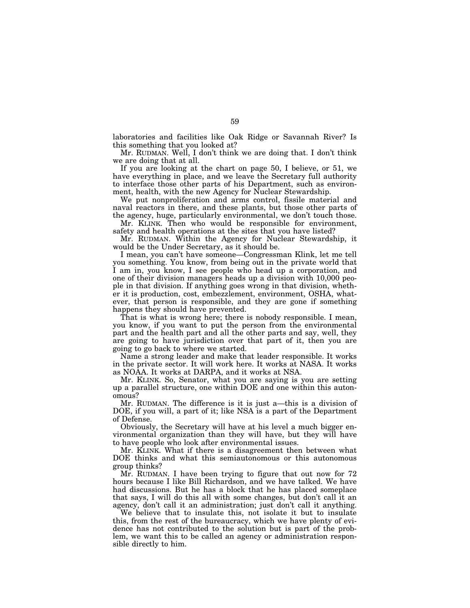laboratories and facilities like Oak Ridge or Savannah River? Is this something that you looked at?

Mr. RUDMAN. Well, I don't think we are doing that. I don't think we are doing that at all.

If you are looking at the chart on page 50, I believe, or 51, we have everything in place, and we leave the Secretary full authority to interface those other parts of his Department, such as environment, health, with the new Agency for Nuclear Stewardship.

We put nonproliferation and arms control, fissile material and naval reactors in there, and these plants, but those other parts of the agency, huge, particularly environmental, we don't touch those.

Mr. KLINK. Then who would be responsible for environment, safety and health operations at the sites that you have listed?

Mr. RUDMAN. Within the Agency for Nuclear Stewardship, it would be the Under Secretary, as it should be.

I mean, you can't have someone—Congressman Klink, let me tell you something. You know, from being out in the private world that I am in, you know, I see people who head up a corporation, and one of their division managers heads up a division with 10,000 people in that division. If anything goes wrong in that division, whether it is production, cost, embezzlement, environment, OSHA, whatever, that person is responsible, and they are gone if something happens they should have prevented.

That is what is wrong here; there is nobody responsible. I mean, you know, if you want to put the person from the environmental part and the health part and all the other parts and say, well, they are going to have jurisdiction over that part of it, then you are going to go back to where we started.

Name a strong leader and make that leader responsible. It works in the private sector. It will work here. It works at NASA. It works as NOAA. It works at DARPA, and it works at NSA.

Mr. KLINK. So, Senator, what you are saying is you are setting up a parallel structure, one within DOE and one within this autonomous?

Mr. RUDMAN. The difference is it is just a—this is a division of DOE, if you will, a part of it; like NSA is a part of the Department of Defense.

Obviously, the Secretary will have at his level a much bigger environmental organization than they will have, but they will have to have people who look after environmental issues.

Mr. KLINK. What if there is a disagreement then between what DOE thinks and what this semiautonomous or this autonomous group thinks?

Mr. RUDMAN. I have been trying to figure that out now for 72 hours because I like Bill Richardson, and we have talked. We have had discussions. But he has a block that he has placed someplace that says, I will do this all with some changes, but don't call it an agency, don't call it an administration; just don't call it anything.

We believe that to insulate this, not isolate it but to insulate this, from the rest of the bureaucracy, which we have plenty of evidence has not contributed to the solution but is part of the problem, we want this to be called an agency or administration responsible directly to him.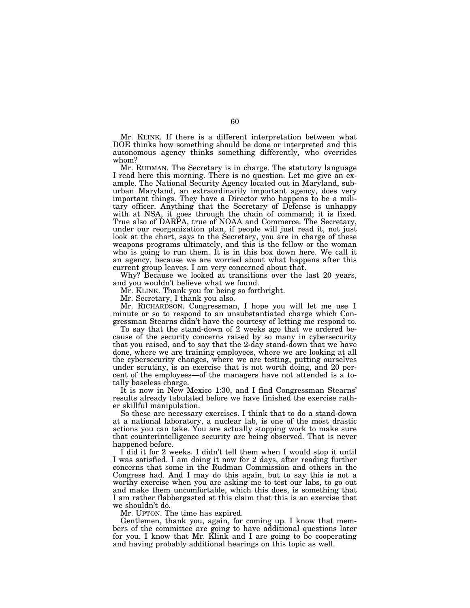Mr. KLINK. If there is a different interpretation between what DOE thinks how something should be done or interpreted and this autonomous agency thinks something differently, who overrides whom?

Mr. RUDMAN. The Secretary is in charge. The statutory language I read here this morning. There is no question. Let me give an example. The National Security Agency located out in Maryland, suburban Maryland, an extraordinarily important agency, does very important things. They have a Director who happens to be a military officer. Anything that the Secretary of Defense is unhappy with at NSA, it goes through the chain of command; it is fixed. True also of DARPA, true of NOAA and Commerce. The Secretary, under our reorganization plan, if people will just read it, not just look at the chart, says to the Secretary, you are in charge of these weapons programs ultimately, and this is the fellow or the woman who is going to run them. It is in this box down here. We call it an agency, because we are worried about what happens after this current group leaves. I am very concerned about that.

Why? Because we looked at transitions over the last 20 years, and you wouldn't believe what we found.

Mr. KLINK. Thank you for being so forthright.

Mr. Secretary, I thank you also.

Mr. RICHARDSON. Congressman, I hope you will let me use 1 minute or so to respond to an unsubstantiated charge which Congressman Stearns didn't have the courtesy of letting me respond to.

To say that the stand-down of 2 weeks ago that we ordered because of the security concerns raised by so many in cybersecurity that you raised, and to say that the 2-day stand-down that we have done, where we are training employees, where we are looking at all the cybersecurity changes, where we are testing, putting ourselves under scrutiny, is an exercise that is not worth doing, and 20 percent of the employees—of the managers have not attended is a totally baseless charge.

It is now in New Mexico 1:30, and I find Congressman Stearns' results already tabulated before we have finished the exercise rather skillful manipulation.

So these are necessary exercises. I think that to do a stand-down at a national laboratory, a nuclear lab, is one of the most drastic actions you can take. You are actually stopping work to make sure that counterintelligence security are being observed. That is never happened before.

I did it for 2 weeks. I didn't tell them when I would stop it until I was satisfied. I am doing it now for 2 days, after reading further concerns that some in the Rudman Commission and others in the Congress had. And I may do this again, but to say this is not a worthy exercise when you are asking me to test our labs, to go out and make them uncomfortable, which this does, is something that I am rather flabbergasted at this claim that this is an exercise that we shouldn't do.

Mr. UPTON. The time has expired.

Gentlemen, thank you, again, for coming up. I know that members of the committee are going to have additional questions later for you. I know that Mr. Klink and I are going to be cooperating and having probably additional hearings on this topic as well.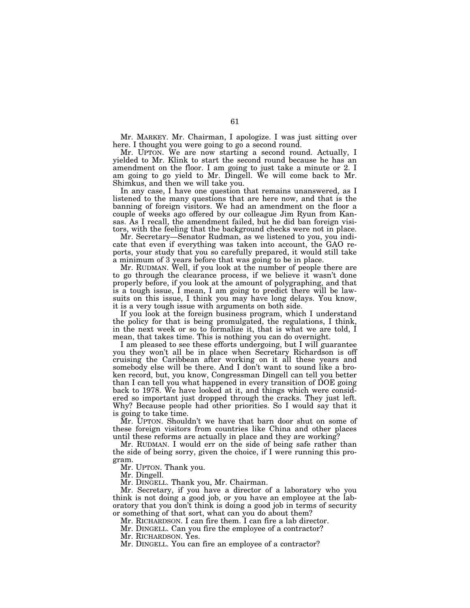Mr. MARKEY. Mr. Chairman, I apologize. I was just sitting over here. I thought you were going to go a second round.

Mr. UPTON. We are now starting a second round. Actually, I yielded to Mr. Klink to start the second round because he has an amendment on the floor. I am going to just take a minute or 2. I am going to go yield to Mr. Dingell. We will come back to Mr. Shimkus, and then we will take you.

In any case, I have one question that remains unanswered, as I listened to the many questions that are here now, and that is the banning of foreign visitors. We had an amendment on the floor a couple of weeks ago offered by our colleague Jim Ryun from Kansas. As I recall, the amendment failed, but he did ban foreign visitors, with the feeling that the background checks were not in place.

Mr. Secretary—Senator Rudman, as we listened to you, you indicate that even if everything was taken into account, the GAO reports, your study that you so carefully prepared, it would still take a minimum of 3 years before that was going to be in place.

Mr. RUDMAN. Well, if you look at the number of people there are to go through the clearance process, if we believe it wasn't done properly before, if you look at the amount of polygraphing, and that is a tough issue, I mean, I am going to predict there will be lawsuits on this issue, I think you may have long delays. You know, it is a very tough issue with arguments on both side.

If you look at the foreign business program, which I understand the policy for that is being promulgated, the regulations, I think, in the next week or so to formalize it, that is what we are told, I mean, that takes time. This is nothing you can do overnight.

I am pleased to see these efforts undergoing, but I will guarantee you they won't all be in place when Secretary Richardson is off cruising the Caribbean after working on it all these years and somebody else will be there. And I don't want to sound like a broken record, but, you know, Congressman Dingell can tell you better than I can tell you what happened in every transition of DOE going back to 1978. We have looked at it, and things which were considered so important just dropped through the cracks. They just left. Why? Because people had other priorities. So I would say that it is going to take time.

Mr. UPTON. Shouldn't we have that barn door shut on some of these foreign visitors from countries like China and other places until these reforms are actually in place and they are working?

Mr. RUDMAN. I would err on the side of being safe rather than the side of being sorry, given the choice, if I were running this program.

Mr. UPTON. Thank you.

Mr. Dingell.

Mr. DINGELL. Thank you, Mr. Chairman.

Mr. Secretary, if you have a director of a laboratory who you think is not doing a good job, or you have an employee at the laboratory that you don't think is doing a good job in terms of security or something of that sort, what can you do about them?

Mr. RICHARDSON. I can fire them. I can fire a lab director.

Mr. DINGELL. Can you fire the employee of a contractor?

Mr. RICHARDSON. Yes.

Mr. DINGELL. You can fire an employee of a contractor?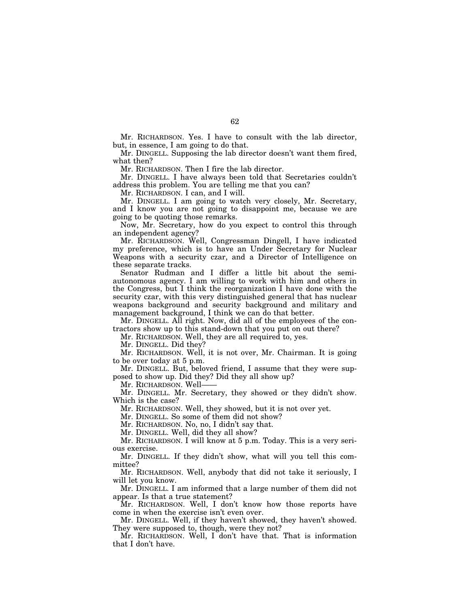Mr. RICHARDSON. Yes. I have to consult with the lab director, but, in essence, I am going to do that.

Mr. DINGELL. Supposing the lab director doesn't want them fired, what then?

Mr. RICHARDSON. Then I fire the lab director.

Mr. DINGELL. I have always been told that Secretaries couldn't address this problem. You are telling me that you can?

Mr. RICHARDSON. I can, and I will.

Mr. DINGELL. I am going to watch very closely, Mr. Secretary, and I know you are not going to disappoint me, because we are going to be quoting those remarks.

Now, Mr. Secretary, how do you expect to control this through an independent agency?

Mr. RICHARDSON. Well, Congressman Dingell, I have indicated my preference, which is to have an Under Secretary for Nuclear Weapons with a security czar, and a Director of Intelligence on these separate tracks.

Senator Rudman and I differ a little bit about the semiautonomous agency. I am willing to work with him and others in the Congress, but I think the reorganization I have done with the security czar, with this very distinguished general that has nuclear weapons background and security background and military and management background, I think we can do that better.

Mr. DINGELL. All right. Now, did all of the employees of the contractors show up to this stand-down that you put on out there?

Mr. RICHARDSON. Well, they are all required to, yes.

Mr. DINGELL. Did they?

Mr. RICHARDSON. Well, it is not over, Mr. Chairman. It is going to be over today at 5 p.m.

Mr. DINGELL. But, beloved friend, I assume that they were supposed to show up. Did they? Did they all show up?

Mr. RICHARDSON. Well-

Mr. DINGELL. Mr. Secretary, they showed or they didn't show. Which is the case?

Mr. RICHARDSON. Well, they showed, but it is not over yet.

Mr. DINGELL. So some of them did not show?

Mr. RICHARDSON. No, no, I didn't say that.

Mr. DINGELL. Well, did they all show?

Mr. RICHARDSON. I will know at 5 p.m. Today. This is a very serious exercise.

Mr. DINGELL. If they didn't show, what will you tell this committee?

Mr. RICHARDSON. Well, anybody that did not take it seriously, I will let you know.

Mr. DINGELL. I am informed that a large number of them did not appear. Is that a true statement?

Mr. RICHARDSON. Well, I don't know how those reports have come in when the exercise isn't even over.

Mr. DINGELL. Well, if they haven't showed, they haven't showed. They were supposed to, though, were they not?

Mr. RICHARDSON. Well, I don't have that. That is information that I don't have.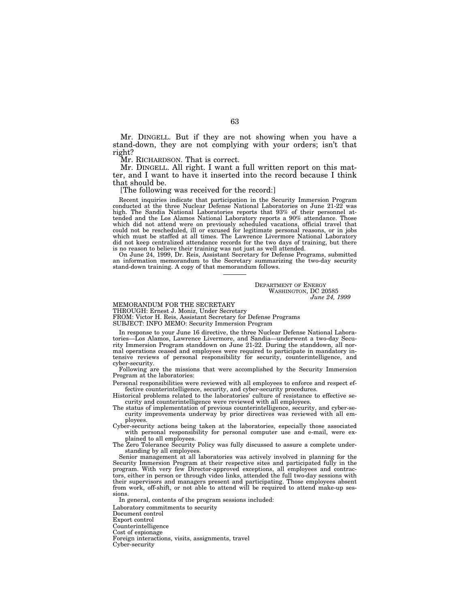Mr. DINGELL. But if they are not showing when you have a stand-down, they are not complying with your orders; isn't that right?

Mr. RICHARDSON. That is correct.

Mr. DINGELL. All right. I want a full written report on this matter, and I want to have it inserted into the record because I think that should be.

[The following was received for the record:]

Recent inquiries indicate that participation in the Security Immersion Program conducted at the three Nuclear Defense National Laboratories on June 21-22 was high. The Sandia National Laboratories reports that 93% of their personnel attended and the Los Alamos National Laboratory reports a 90% attendance. Those which did not attend were on previously scheduled vacations, official travel that could not be rescheduled, ill or excused for legitimate personal reasons, or in jobs which must be staffed at all times. The Lawrence Livermore National Laboratory did not keep centralized attendance records for the two days of training, but there is no reason to believe their training was not just as well attended.

On June 24, 1999, Dr. Reis, Assistant Secretary for Defense Programs, submitted an information memorandum to the Secretary summarizing the two-day security stand-down training. A copy of that memorandum follows.

> DEPARTMENT OF ENERGY WASHINGTON, DC 20585 *June 24, 1999*

MEMORANDUM FOR THE SECRETARY

THROUGH: Ernest J. Moniz, Under Secretary

FROM: Victor H. Reis, Assistant Secretary for Defense Programs

SUBJECT: INFO MEMO: Security Immersion Program

In response to your June 16 directive, the three Nuclear Defense National Laboratories—Los Alamos, Lawrence Livermore, and Sandia—underwent a two-day Security Immersion Program standdown on June 21-22. During the standdown, all normal operations ceased and employees were required to participate in mandatory intensive reviews of personal responsibility for security, counterintelligence, and cyber-security.

Following are the missions that were accomplished by the Security Immersion Program at the laboratories:

Personal responsibilities were reviewed with all employees to enforce and respect effective counterintelligence, security, and cyber-security procedures.

Historical problems related to the laboratories' culture of resistance to effective security and counterintelligence were reviewed with all employees.

The status of implementation of previous counterintelligence, security, and cyber-security improvements underway by prior directives was reviewed with all employees.

Cyber-security actions being taken at the laboratories, especially those associated with personal responsibility for personal computer use and e-mail, were explained to all employees.

The Zero Tolerance Security Policy was fully discussed to assure a complete understanding by all employees.

Senior management at all laboratories was actively involved in planning for the Security Immersion Program at their respective sites and participated fully in the program. With very few Director-approved exceptions, all employees and contractors, either in person or through video links, attended the full two-day sessions with their supervisors and managers present and participating. Those employees absent from work, off-shift, or not able to attend will be required to attend make-up sessions.

In general, contents of the program sessions included:

Laboratory commitments to security Document control Export control Counterintelligence Cost of espionage Foreign interactions, visits, assignments, travel Cyber-security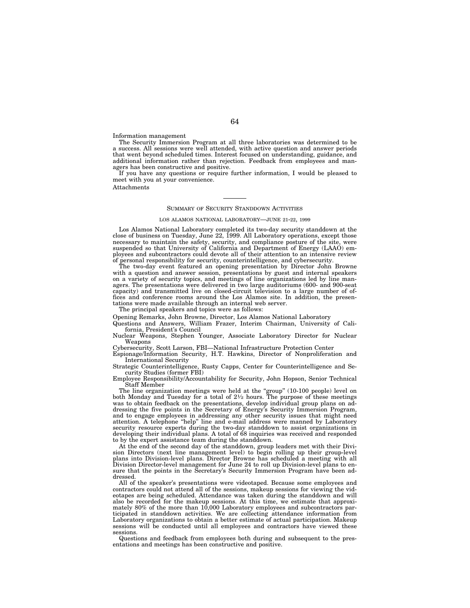Information management

The Security Immersion Program at all three laboratories was determined to be a success. All sessions were well attended, with active question and answer periods that went beyond scheduled times. Interest focused on understanding, guidance, and additional information rather than rejection. Feedback from employees and managers has been constructive and positive.

If you have any questions or require further information, I would be pleased to meet with you at your convenience.

Attachments

#### SUMMARY OF SECURITY STANDDOWN ACTIVITIES

### LOS ALAMOS NATIONAL LABORATORY—JUNE 21-22, 1999

Los Alamos National Laboratory completed its two-day security standdown at the close of business on Tuesday, June 22, 1999. All Laboratory operations, except those necessary to maintain the safety, security, and compliance posture of the site, were suspended so that University of California and Department of Energy (LAAO) employees and subcontractors could devote all of their attention to an intensive review of personal responsibility for security, counterintelligence, and cybersecurity.

The two-day event featured an opening presentation by Director John Browne with a question and answer session, presentations by guest and internal speakers on a variety of security topics, and meetings of line organizations led by line managers. The presentations were delivered in two large auditoriums (600- and 900-seat capacity) and transmitted live on closed-circuit television to a large number of offices and conference rooms around the Los Alamos site. In addition, the presentations were made available through an internal web server.

The principal speakers and topics were as follows:

Opening Remarks, John Browne, Director, Los Alamos National Laboratory

Questions and Answers, William Frazer, Interim Chairman, University of California, President's Council

Nuclear Weapons, Stephen Younger, Associate Laboratory Director for Nuclear Weapons

Cybersecurity, Scott Larson, FBI—National Infrastructure Protection Center

Espionage/Information Security, H.T. Hawkins, Director of Nonproliferation and International Security

Strategic Counterintelligence, Rusty Capps, Center for Counterintelligence and Security Studies (former FBI)

Employee Responsibility/Accountability for Security, John Hopson, Senior Technical Staff Member

The line organization meetings were held at the "group" (10-100 people) level on both Monday and Tuesday for a total of  $2\frac{1}{2}$  hours. The purpose of these meetings was to obtain feedback on the presentations, develop individual group plans on addressing the five points in the Secretary of Energy's Security Immersion Program, and to engage employees in addressing any other security issues that might need attention. A telephone ''help'' line and e-mail address were manned by Laboratory security resource experts during the two-day standdown to assist organizations in developing their individual plans. A total of 68 inquiries was received and responded to by the expert assistance team during the standdown.

At the end of the second day of the standdown, group leaders met with their Division Directors (next line management level) to begin rolling up their group-level plans into Division-level plans. Director Browne has scheduled a meeting with all Division Director-level management for June 24 to roll up Division-level plans to ensure that the points in the Secretary's Security Immersion Program have been addressed.

All of the speaker's presentations were videotaped. Because some employees and contractors could not attend all of the sessions, makeup sessions for viewing the videotapes are being scheduled. Attendance was taken during the standdown and will also be recorded for the makeup sessions. At this time, we estimate that approxi-mately 80% of the more than 10,000 Laboratory employees and subcontractors participated in standdown activities. We are collecting attendance information from Laboratory organizations to obtain a better estimate of actual participation. Makeup sessions will be conducted until all employees and contractors have viewed these sessions.

Questions and feedback from employees both during and subsequent to the presentations and meetings has been constructive and positive.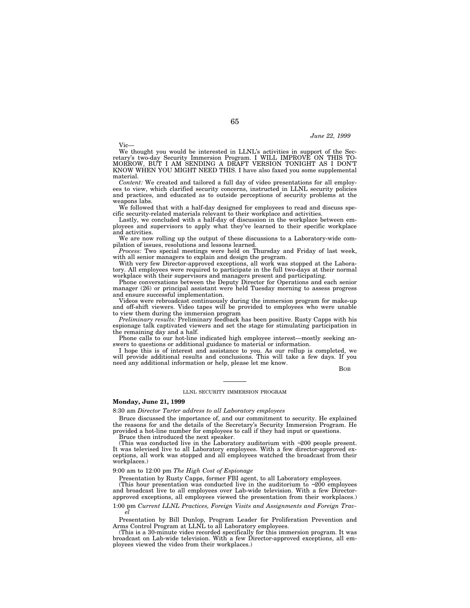*June 22, 1999*

Vic—

We thought you would be interested in LLNL's activities in support of the Secretary's two-day Security Immersion Program. I WILL IMPROVE ON THIS TO-MORROW, BUT I AM SENDING A DRAFT VERSION TONIGHT AS I DON'T KNOW WHEN YOU MIGHT NEED THIS. I have also faxed you some supplemental material.

*Content:* We created and tailored a full day of video presentations for all employees to view, which clarified security concerns, instructed in LLNL security policies and practices, and educated as to outside perceptions of security problems at the weapons labs.

We followed that with a half-day designed for employees to read and discuss specific security-related materials relevant to their workplace and activities.

Lastly, we concluded with a half-day of discussion in the workplace between employees and supervisors to apply what they've learned to their specific workplace and activities.

We are now rolling up the output of these discussions to a Laboratory-wide compilation of issues, resolutions and lessons learned.

*Process:* Two special meetings were held on Thursday and Friday of last week, with all senior managers to explain and design the program.

With very few Director-approved exceptions, all work was stopped at the Laboratory. All employees were required to participate in the full two-days at their normal workplace with their supervisors and managers present and participating.

Phone conversations between the Deputy Director for Operations and each senior manager (26) or principal assistant were held Tuesday morning to assess progress and ensure successful implementation.

Videos were rebroadcast continuously during the immersion program for make-up and off-shift viewers. Video tapes will be provided to employees who were unable to view them during the immersion program

*Preliminary results:* Preliminary feedback has been positive. Rusty Capps with his espionage talk captivated viewers and set the stage for stimulating participation in the remaining day and a half.

Phone calls to our hot-line indicated high employee interest—mostly seeking answers to questions or additional guidance to material or information.

I hope this is of interest and assistance to you. As our rollup is completed, we will provide additional results and conclusions. This will take a few days. If you need any additional information or help, please let me know.

BOB

### LLNL SECURITY IMMERSION PROGRAM

### **Monday, June 21, 1999**

8:30 am *Director Tarter address to all Laboratory employees*

Bruce discussed the importance of, and our commitment to security. He explained the reasons for and the details of the Secretary's Security Immersion Program. He provided a hot-line number for employees to call if they had input or questions.

Bruce then introduced the next speaker.

(This was conducted live in the Laboratory auditorium with ∼200 people present. It was televised live to all Laboratory employees. With a few director-approved exceptions, all work was stopped and all employees watched the broadcast from their workplaces.)

## 9:00 am to 12:00 pm *The High Cost of Espionage*

Presentation by Rusty Capps, former FBI agent, to all Laboratory employees.

(This hour presentation was conducted live in the auditorium to ∼200 employees and broadcast live to all employees over Lab-wide television. With a few Directorapproved exceptions, all employees viewed the presentation from their workplaces.)

1:00 pm *Current LLNL Practices, Foreign Visits and Assignments and Foreign Trav-el*

Presentation by Bill Dunlop, Program Leader for Proliferation Prevention and Arms Control Program at LLNL to all Laboratory employees.

(This is a 30-minute video recorded specifically for this immersion program. It was broadcast on Lab-wide television. With a few Director-approved exceptions, all employees viewed the video from their workplaces.)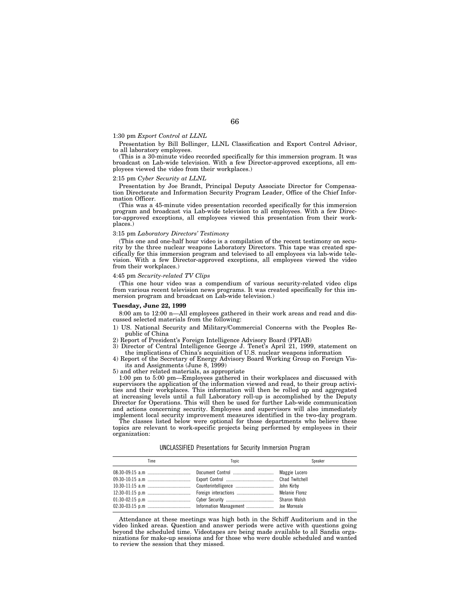### 1:30 pm *Export Control at LLNL*

Presentation by Bill Bollinger, LLNL Classification and Export Control Advisor, to all laboratory employees.

(This is a 30-minute video recorded specifically for this immersion program. It was broadcast on Lab-wide television. With a few Director-approved exceptions, all employees viewed the video from their workplaces.)

## 2:15 pm *Cyber Security at LLNL*

Presentation by Joe Brandt, Principal Deputy Associate Director for Compensation Directorate and Information Security Program Leader, Office of the Chief Information Officer.

(This was a 45-minute video presentation recorded specifically for this immersion program and broadcast via Lab-wide television to all employees. With a few Director-approved exceptions, all employees viewed this presentation from their workplaces.)

### 3:15 pm *Laboratory Directors' Testimony*

(This one and one-half hour video is a compilation of the recent testimony on security by the three nuclear weapons Laboratory Directors. This tape was created specifically for this immersion program and televised to all employees via lab-wide television. With a few Director-approved exceptions, all employees viewed the video from their workplaces.)

### 4:45 pm *Security-related TV Clips*

(This one hour video was a compendium of various security-related video clips from various recent television news programs. It was created specifically for this immersion program and broadcast on Lab-wide television.)

#### **Tuesday, June 22, 1999**

8:00 am to 12:00 n—All employees gathered in their work areas and read and discussed selected materials from the following:

1) US. National Security and Military/Commercial Concerns with the Peoples Republic of China

2) Report of President's Foreign Intelligence Advisory Board (PFIAB)

3) Director of Central Intelligence George J. Tenet's April 21, 1999, statement on the implications of China's acquisition of U.S. nuclear weapons information

4) Report of the Secretary of Energy Advisory Board Working Group on Foreign Visits and Assignments (June 8, 1999)

5) and other related materials, as appropriate

1:00 pm to 5:00 pm—Employees gathered in their workplaces and discussed with supervisors the application of the information viewed and read, to their group activities and their workplaces. This information will then be rolled up and aggregated at increasing levels until a full Laboratory roll-up is accomplished by the Deputy Director for Operations. This will then be used for further Lab-wide communication and actions concerning security. Employees and supervisors will also immediately implement local security improvement measures identified in the two-day program.

The classes listed below were optional for those departments who believe these topics are relevant to work-specific projects being performed by employees in their organization:

|  | UNCLASSIFIED Presentations for Security Immersion Program |  |  |  |  |
|--|-----------------------------------------------------------|--|--|--|--|
|--|-----------------------------------------------------------|--|--|--|--|

| Time | Topic | Speaker |  |  |
|------|-------|---------|--|--|
|      |       |         |  |  |

Attendance at these meetings was high both in the Schiff Auditorium and in the video linked areas. Question and answer periods were active with questions going beyond the scheduled time. Videotapes are being made available to all Sandia organizations for make-up sessions and for those who were double scheduled and wanted to review the session that they missed.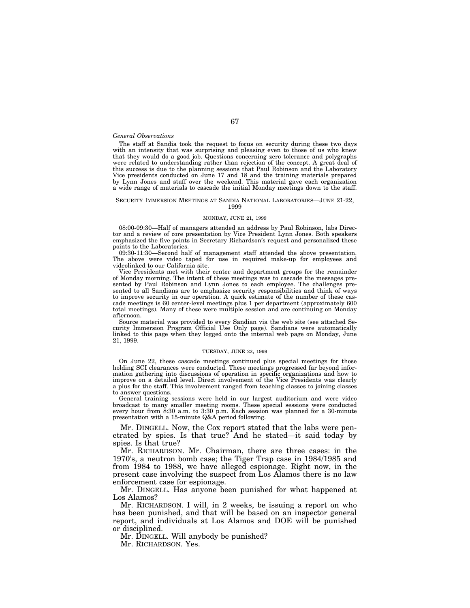### *General Observations*

The staff at Sandia took the request to focus on security during these two days with an intensity that was surprising and pleasing even to those of us who knew that they would do a good job. Questions concerning zero tolerance and polygraphs were related to understanding rather than rejection of the concept. A great deal of this success is due to the planning sessions that Paul Robinson and the Laboratory Vice presidents conducted on June 17 and 18 and the training materials prepared by Lynn Jones and staff over the weekend. This material gave each organization a wide range of materials to cascade the initial Monday meetings down to the staff.

#### SECURITY IMMERSION MEETINGS AT SANDIA NATIONAL LABORATORIES—JUNE 21-22, 1999

# MONDAY, JUNE 21, 1999

08:00-09:30—Half of managers attended an address by Paul Robinson, labs Director and a review of core presentation by Vice President Lynn Jones. Both speakers emphasized the five points in Secretary Richardson's request and personalized these points to the Laboratories.

09:30-11:30—Second half of management staff attended the above presentation. The above were video taped for use in required make-up for employees and videolinked to our California site.

Vice Presidents met with their center and department groups for the remainder of Monday morning. The intent of these meetings was to cascade the messages presented by Paul Robinson and Lynn Jones to each employee. The challenges presented to all Sandians are to emphasize security responsibilities and think of ways to improve security in our operation. A quick estimate of the number of these cascade meetings is 60 center-level meetings plus 1 per department (approximately 600 total meetings). Many of these were multiple session and are continuing on Monday afternoon.

Source material was provided to every Sandian via the web site (see attached Security Immersion Program Official Use Only page). Sandians were automatically linked to this page when they logged onto the internal web page on Monday, June 21, 1999.

#### TUESDAY, JUNE 22, 1999

On June 22, these cascade meetings continued plus special meetings for those holding SCI clearances were conducted. These meetings progressed far beyond information gathering into discussions of operation in specific organizations and how to improve on a detailed level. Direct involvement of the Vice Presidents was clearly a plus for the staff. This involvement ranged from teaching classes to joining classes to answer questions.

General training sessions were held in our largest auditorium and were video broadcast to many smaller meeting rooms. These special sessions were conducted every hour from 8:30 a.m. to 3:30 p.m. Each session was planned for a 30-minute presentation with a 15-minute Q&A period following.

Mr. DINGELL. Now, the Cox report stated that the labs were penetrated by spies. Is that true? And he stated—it said today by spies. Is that true?

Mr. RICHARDSON. Mr. Chairman, there are three cases: in the 1970's, a neutron bomb case; the Tiger Trap case in 1984/1985 and from 1984 to 1988, we have alleged espionage. Right now, in the present case involving the suspect from Los Alamos there is no law enforcement case for espionage.

Mr. DINGELL. Has anyone been punished for what happened at Los Alamos?

Mr. RICHARDSON. I will, in 2 weeks, be issuing a report on who has been punished, and that will be based on an inspector general report, and individuals at Los Alamos and DOE will be punished or disciplined.

Mr. DINGELL. Will anybody be punished?

Mr. RICHARDSON. Yes.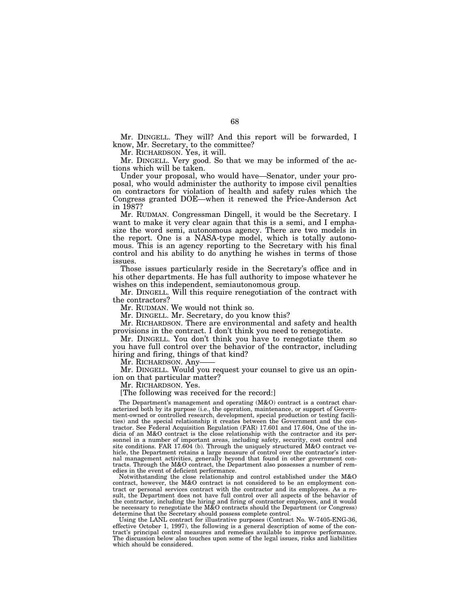Mr. DINGELL. They will? And this report will be forwarded, I know, Mr. Secretary, to the committee?

Mr. RICHARDSON. Yes, it will.

Mr. DINGELL. Very good. So that we may be informed of the actions which will be taken.

Under your proposal, who would have—Senator, under your proposal, who would administer the authority to impose civil penalties on contractors for violation of health and safety rules which the Congress granted DOE—when it renewed the Price-Anderson Act in 1987?

Mr. RUDMAN. Congressman Dingell, it would be the Secretary. I want to make it very clear again that this is a semi, and I emphasize the word semi, autonomous agency. There are two models in the report. One is a NASA-type model, which is totally autonomous. This is an agency reporting to the Secretary with his final control and his ability to do anything he wishes in terms of those issues.

Those issues particularly reside in the Secretary's office and in his other departments. He has full authority to impose whatever he wishes on this independent, semiautonomous group.

Mr. DINGELL. Will this require renegotiation of the contract with the contractors?

Mr. RUDMAN. We would not think so.

Mr. DINGELL. Mr. Secretary, do you know this?

Mr. RICHARDSON. There are environmental and safety and health provisions in the contract. I don't think you need to renegotiate.

Mr. DINGELL. You don't think you have to renegotiate them so you have full control over the behavior of the contractor, including hiring and firing, things of that kind?

Mr. RICHARDSON. Any-

Mr. DINGELL. Would you request your counsel to give us an opinion on that particular matter?

Mr. RICHARDSON. Yes.

[The following was received for the record:]

The Department's management and operating (M&O) contract is a contract characterized both by its purpose (i.e., the operation, maintenance, or support of Government-owned or controlled research, development, special production or testing facilities) and the special relationship it creates between the Government and the contractor. See Federal Acquisition Regulation (FAR) 17.601 and 17.604, One of the indicia of an M&O contract is the close relationship with the contractor and its personnel in a number of important areas, including safety, security, cost control and site conditions. FAR 17.604 (b). Through the uniquely structured M&O contract vehicle, the Department retains a large measure of control over the contractor's internal management activities, generally beyond that found in other government contracts. Through the M&O contract, the Department also possesses a number of remedies in the event of deficient performance.

Notwithstanding the close relationship and control established under the M&O contract, however, the M&O contract is not considered to be an employment contract or personal services contract with the contractor and its employees. As a result, the Department does not have full control over all aspects of the behavior of the contractor, including the hiring and firing of contractor employees, and it would be necessary to renegotiate the M&O contracts should the Department (or Congress) determine that the Secretary should possess complete control.

Using the LANL contract for illustrative purposes (Contract No. W-7405-ENG-36, effective October 1, 1997), the following is a general description of some of the contract's principal control measures and remedies available to improve performance. The discussion below also touches upon some of the legal issues, risks and liabilities which should be considered.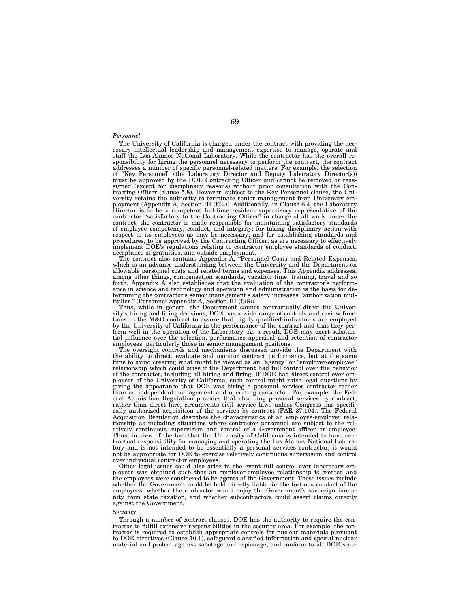#### *Personnel*

The University of California is charged under the contract with providing the necessary intellectual leadership and management expertise to manage, operate and staff the Los Alamos National Laboratory. While the contractor has the overall responsibility for hiring the personnel necessary to perform the contract, the contract addresses a number of specific personnel-related matters. For example, the selection of ''Key Personnel'' (the Laboratory Director and Deputy Laboratory Director(s)) must be approved by the DOE Contracting Officer and cannot be removed or reassigned (except for disciplinary reasons) without prior consultation with the Con-tracting Officer (clause 5.8). However, subject to the Key Personnel clause, the University retains the authority to terminate senior management from University employment (Appendix A, Section III (f)(4)). Additionally, in Clause 6.4, the Laboratory Director is to be a competent full-time resident supervisory representative of the contractor ''satisfactory to the Contracting Officer'' in charge of all work under the contract, the contractor is made responsible for maintaining satisfactory standards of employee competency, conduct, and integrity; for taking disciplinary action with respect to its employees as may be necessary, and for establishing standards and procedures, to be approved by the Contracting Officer, as are necessary to effectively implement DOE's regulations relating to contractor employee standards of conduct,

acceptance of gratuities, and outside employment. The contract also contains Appendix A, ''Personnel Costs and Related Expenses, which is an advance understanding between the University and the Department on allowable personnel costs and related terms and expenses. This Appendix addresses, among other things, compensation standards, vacation time, training, travel and so forth. Appendix  $\tilde{A}$  also establishes that the evaluation of the contractor's performance in science and technology and operation and administration is the basis for determining the contractor's senior management's salary increases ''authorization mul-tiplier.'' (Personnel Appendix A, Section III (f)(8)).

Thus, while in general the Department cannot contractually direct the University's hiring and firing decisions, DOE has a wide range of controls and review functions in the M&O contract to assure that highly qualified individuals are employed by the University of California in the performance of the contract and that they perform well in the operation of the Laboratory. As a result, DOE may exert substantial influence over the selection, performance appraisal and retention of contractor employees, particularly those in senior management positions.

The oversight controls and mechanisms discussed provide the Department with the ability to direct, evaluate and monitor contract performance, but at the same time to avoid creating what might be viewed as an "agency" or "employer-employee' relationship which could arise if the Department had full control over the behavior of the contractor, including all hiring and firing. If DOE had direct control over employees of the University of California, such control might raise legal questions by giving the appearance that DOE was hiring a personal services contractor rather than an independent management and operating contractor. For example, the Federal Acquisition Regulation provides that obtaining personal services by contract, rather than direct hire, circumvents civil service laws unless Congress has specifically authorized acquisition of the services by contract (FAR 37.104). The Federal Acquisition Regulation describes the characteristics of an employee-employer relationship as including situations where contractor personnel are subject to the relatively continuous supervision and control of a Government officer or employee. Thus, in view of the fact that the University of California is intended to have contractual responsibility for managing and operating the Los Alamos National Laboratory and is not intended to be essentially a personal services contractor, it would not be appropriate for DOE to exercise relatively continuous supervision and control over individual contractor employees.

Other legal issues could also arise in the event full control over laboratory employees was obtained such that an employer-employee relationship is created and the employees were considered to be agents of the Government. These issues include whether the Government could be held directly liable for the tortious conduct of the employees, whether the contractor would enjoy the Government's sovereign immunity from state taxation, and whether subcontractors could assert claims directly against the Government.

#### *Security*

Through a number of contract clauses, DOE has the authority to require the contractor to fulfill extensive responsibilities in the security area. For example, the contractor is required to establish appropriate controls for nuclear materials pursuant to DOE directives (Clause 10.1), safeguard classified information and special nuclear material and protect against sabotage and espionage, and conform to all DOE secu-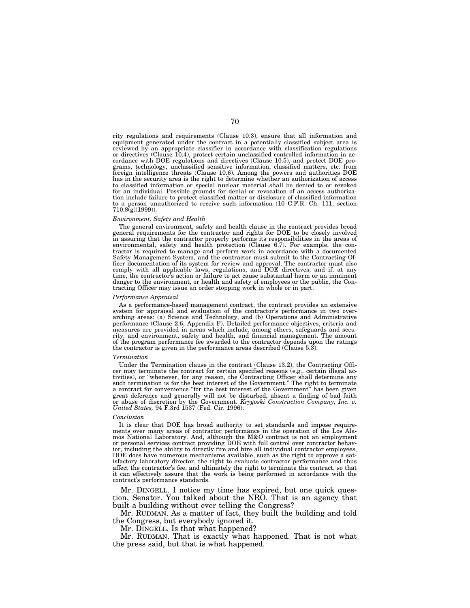rity regulations and requirements (Clause 10.3), ensure that all information and equipment generated under the contract in a potentially classified subject area is reviewed by an appropriate classifier in accordance with classification regulations or directives (Clause 10.4), protect certain unclassified controlled information in accordance with DOE regulations and directives (Clause 10.5), and protect DOE programs, technology, unclassified sensitive information, classified matters, etc. from foreign intelligence threats (Clause 10.6). Among the powers and authorities DOE has in the security area is the right to determine whether an authorization of access to classified information or special nuclear material shall be denied to or revoked for an individual. Possible grounds for denial or revocation of an access authorization include failure to protect classified matter or disclosure of classified information to a person unauthorized to receive such information (10 C.F.R. Ch. 111, section 710.8(g)(1999)).

#### *Environment, Safety and Health*

The general environment, safety and health clause in the contract provides broad general requirements for the contractor and rights for DOE to be closely involved in assuring that the contractor properly performs its responsibilities in the areas of environmental, safety and health protection (Clause 6.7). For example, the contractor is required to manage and perform work in accordance with a documented Safety Management System, and the contractor must submit to the Contracting Officer documentation of its system for review and approval. The contractor must also comply with all applicable laws, regulations, and DOE directives; and if, at any time, the contractor's action or failure to act cause substantial harm or an imminent danger to the environment, or health and safety of employees or the public, the Contracting Officer may issue an order stopping work in whole or in part.

#### *Performance Appraisal*

As a performance-based management contract, the contract provides an extensive system for appraisal and evaluation of the contractor's performance in two overarching areas: (a) Science and Technology, and (b) Operations and Administrative performance (Clause 2.6; Appendix F). Detailed performance objectives, criteria and measures are provided in areas which include, among others, safeguards and security, and environment, safety and health, and financial management. The amount of the program performance fee awarded to the contractor depends upon the ratings the contractor is given in the performance areas described (Clause 5.3).

#### *Termination*

Under the Termination clause in the contract (Clause 13.2), the Contracting Officer may terminate the contract for certain specified reasons (e.g., certain illegal activities), or ''whenever, for any reason, the Contracting Officer shall determine any such termination is for the best interest of the Government.'' The right to terminate a contract for convenience ''for the best interest of the Government'' has been given great deference and generally will not be disturbed, absent a finding of bad faith or abuse of discretion by the Government. *Krygoski Construction Company, Inc. v. United States,* 94 F.3rd 1537 (Fed. Cir. 1996).

#### *Conclusion*

It is clear that DOE has broad authority to set standards and impose requirements over many areas of contractor performance in the operation of the Los Alamos National Laboratory. And, although the M&O contract is not an employment or personal services contract providing DOE with full control over contractor behavior, including the ability to directly fire and hire all individual contractor employees, DOE does have numerous mechanisms available, such as the right to approve a satisfactory laboratory director, the right to evaluate contractor performance and thus affect the contractor's fee, and ultimately the right to terminate the contract, so that it can effectively assure that the work is being performed in accordance with the contract's performance standards.

Mr. DINGELL. I notice my time has expired, but one quick question, Senator. You talked about the NRO. That is an agency that built a building without ever telling the Congress?

Mr. RUDMAN. As a matter of fact, they built the building and told the Congress, but everybody ignored it.

Mr. DINGELL. Is that what happened?

Mr. RUDMAN. That is exactly what happened. That is not what the press said, but that is what happened.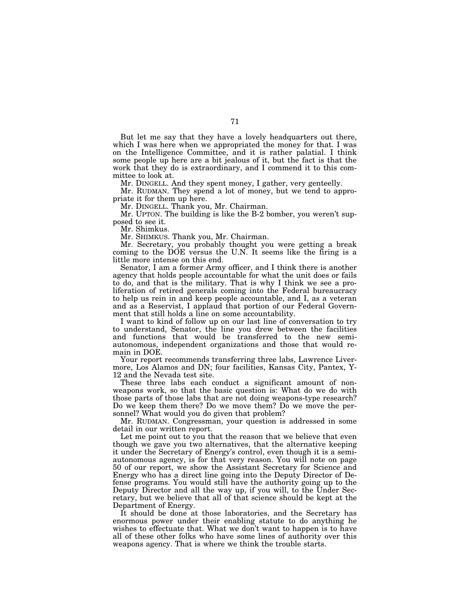But let me say that they have a lovely headquarters out there, which I was here when we appropriated the money for that. I was on the Intelligence Committee, and it is rather palatial. I think some people up here are a bit jealous of it, but the fact is that the work that they do is extraordinary, and I commend it to this committee to look at.

Mr. DINGELL. And they spent money, I gather, very genteelly.

Mr. RUDMAN. They spend a lot of money, but we tend to appropriate it for them up here.

Mr. DINGELL. Thank you, Mr. Chairman.

Mr. UPTON. The building is like the B-2 bomber, you weren't supposed to see it.

Mr. Shimkus.

Mr. SHIMKUS. Thank you, Mr. Chairman.

Mr. Secretary, you probably thought you were getting a break coming to the DOE versus the U.N. It seems like the firing is a little more intense on this end.

Senator, I am a former Army officer, and I think there is another agency that holds people accountable for what the unit does or fails to do, and that is the military. That is why I think we see a proliferation of retired generals coming into the Federal bureaucracy to help us rein in and keep people accountable, and I, as a veteran and as a Reservist, I applaud that portion of our Federal Government that still holds a line on some accountability.

I want to kind of follow up on our last line of conversation to try to understand, Senator, the line you drew between the facilities and functions that would be transferred to the new semiautonomous, independent organizations and those that would remain in DOE.

Your report recommends transferring three labs, Lawrence Livermore, Los Alamos and DN; four facilities, Kansas City, Pantex, Y-12 and the Nevada test site.

These three labs each conduct a significant amount of nonweapons work, so that the basic question is: What do we do with those parts of those labs that are not doing weapons-type research? Do we keep them there? Do we move them? Do we move the personnel? What would you do given that problem?

Mr. RUDMAN. Congressman, your question is addressed in some detail in our written report.

Let me point out to you that the reason that we believe that even though we gave you two alternatives, that the alternative keeping it under the Secretary of Energy's control, even though it is a semiautonomous agency, is for that very reason. You will note on page 50 of our report, we show the Assistant Secretary for Science and Energy who has a direct line going into the Deputy Director of Defense programs. You would still have the authority going up to the Deputy Director and all the way up, if you will, to the Under Secretary, but we believe that all of that science should be kept at the Department of Energy.

It should be done at those laboratories, and the Secretary has enormous power under their enabling statute to do anything he wishes to effectuate that. What we don't want to happen is to have all of these other folks who have some lines of authority over this weapons agency. That is where we think the trouble starts.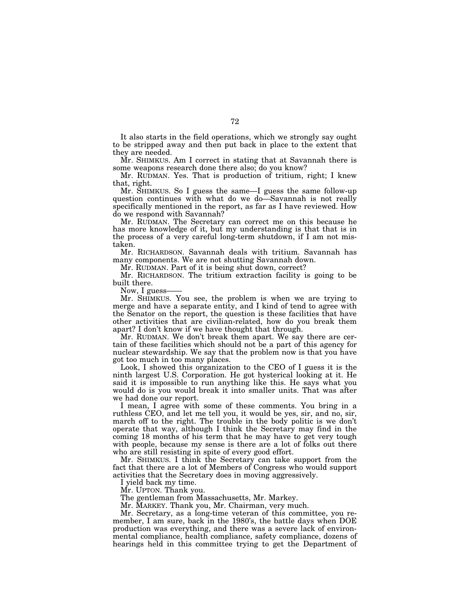It also starts in the field operations, which we strongly say ought to be stripped away and then put back in place to the extent that they are needed.

Mr. SHIMKUS. Am I correct in stating that at Savannah there is some weapons research done there also; do you know?

Mr. RUDMAN. Yes. That is production of tritium, right; I knew that, right.

Mr. SHIMKUS. So I guess the same—I guess the same follow-up question continues with what do we do—Savannah is not really specifically mentioned in the report, as far as I have reviewed. How do we respond with Savannah?

Mr. RUDMAN. The Secretary can correct me on this because he has more knowledge of it, but my understanding is that that is in the process of a very careful long-term shutdown, if I am not mistaken.

Mr. RICHARDSON. Savannah deals with tritium. Savannah has many components. We are not shutting Savannah down.

Mr. RUDMAN. Part of it is being shut down, correct?

Mr. RICHARDSON. The tritium extraction facility is going to be built there.

Now, I guess-

Mr. SHIMKUS. You see, the problem is when we are trying to merge and have a separate entity, and I kind of tend to agree with the Senator on the report, the question is these facilities that have other activities that are civilian-related, how do you break them apart? I don't know if we have thought that through.

Mr. RUDMAN. We don't break them apart. We say there are certain of these facilities which should not be a part of this agency for nuclear stewardship. We say that the problem now is that you have got too much in too many places.

Look, I showed this organization to the CEO of I guess it is the ninth largest U.S. Corporation. He got hysterical looking at it. He said it is impossible to run anything like this. He says what you would do is you would break it into smaller units. That was after we had done our report.

I mean, I agree with some of these comments. You bring in a ruthless CEO, and let me tell you, it would be yes, sir, and no, sir, march off to the right. The trouble in the body politic is we don't operate that way, although I think the Secretary may find in the coming 18 months of his term that he may have to get very tough with people, because my sense is there are a lot of folks out there who are still resisting in spite of every good effort.

Mr. SHIMKUS. I think the Secretary can take support from the fact that there are a lot of Members of Congress who would support activities that the Secretary does in moving aggressively.

I yield back my time.

Mr. UPTON. Thank you.

The gentleman from Massachusetts, Mr. Markey.

Mr. MARKEY. Thank you, Mr. Chairman, very much.

Mr. Secretary, as a long-time veteran of this committee, you remember, I am sure, back in the 1980's, the battle days when DOE production was everything, and there was a severe lack of environmental compliance, health compliance, safety compliance, dozens of hearings held in this committee trying to get the Department of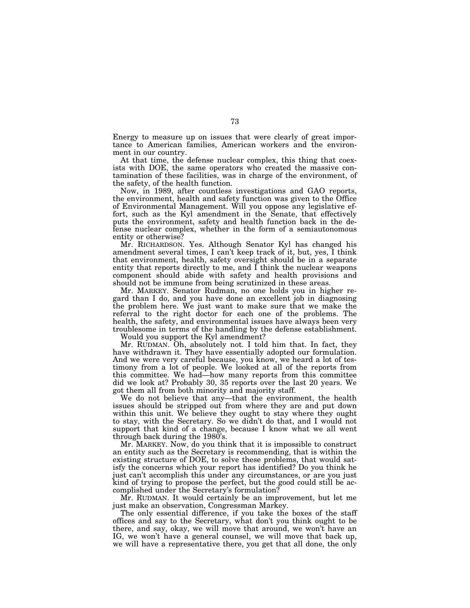Energy to measure up on issues that were clearly of great importance to American families, American workers and the environment in our country.

At that time, the defense nuclear complex, this thing that coexists with DOE, the same operators who created the massive contamination of these facilities, was in charge of the environment, of the safety, of the health function.

Now, in 1989, after countless investigations and GAO reports, the environment, health and safety function was given to the Office of Environmental Management. Will you oppose any legislative effort, such as the Kyl amendment in the Senate, that effectively puts the environment, safety and health function back in the defense nuclear complex, whether in the form of a semiautonomous entity or otherwise?

Mr. RICHARDSON. Yes. Although Senator Kyl has changed his amendment several times, I can't keep track of it, but, yes, I think that environment, health, safety oversight should be in a separate entity that reports directly to me, and I think the nuclear weapons component should abide with safety and health provisions and should not be immune from being scrutinized in these areas.

Mr. MARKEY. Senator Rudman, no one holds you in higher regard than I do, and you have done an excellent job in diagnosing the problem here. We just want to make sure that we make the referral to the right doctor for each one of the problems. The health, the safety, and environmental issues have always been very troublesome in terms of the handling by the defense establishment.

Would you support the Kyl amendment?

Mr. RUDMAN. Oh, absolutely not. I told him that. In fact, they have withdrawn it. They have essentially adopted our formulation. And we were very careful because, you know, we heard a lot of testimony from a lot of people. We looked at all of the reports from this committee. We had—how many reports from this committee did we look at? Probably 30, 35 reports over the last 20 years. We got them all from both minority and majority staff.

We do not believe that any—that the environment, the health issues should be stripped out from where they are and put down within this unit. We believe they ought to stay where they ought to stay, with the Secretary. So we didn't do that, and I would not support that kind of a change, because I know what we all went through back during the 1980's.

Mr. MARKEY. Now, do you think that it is impossible to construct an entity such as the Secretary is recommending, that is within the existing structure of DOE, to solve these problems, that would satisfy the concerns which your report has identified? Do you think he just can't accomplish this under any circumstances, or are you just kind of trying to propose the perfect, but the good could still be accomplished under the Secretary's formulation?

Mr. RUDMAN. It would certainly be an improvement, but let me just make an observation, Congressman Markey.

The only essential difference, if you take the boxes of the staff offices and say to the Secretary, what don't you think ought to be there, and say, okay, we will move that around, we won't have an IG, we won't have a general counsel, we will move that back up, we will have a representative there, you get that all done, the only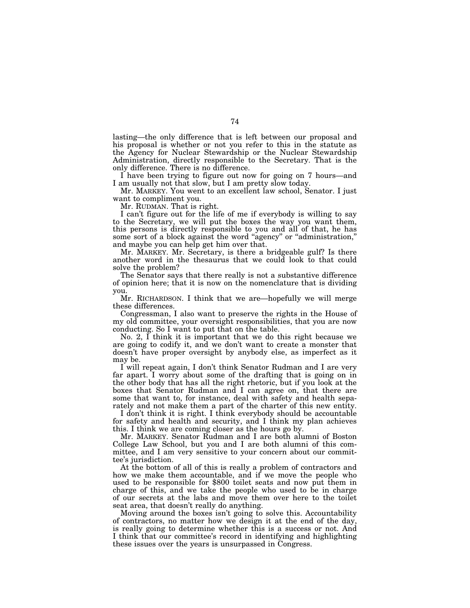lasting—the only difference that is left between our proposal and his proposal is whether or not you refer to this in the statute as the Agency for Nuclear Stewardship or the Nuclear Stewardship Administration, directly responsible to the Secretary. That is the only difference. There is no difference.

I have been trying to figure out now for going on 7 hours—and I am usually not that slow, but I am pretty slow today.

Mr. MARKEY. You went to an excellent law school, Senator. I just want to compliment you.

Mr. RUDMAN. That is right.

I can't figure out for the life of me if everybody is willing to say to the Secretary, we will put the boxes the way you want them, this persons is directly responsible to you and all of that, he has some sort of a block against the word ''agency'' or ''administration,'' and maybe you can help get him over that.

Mr. MARKEY. Mr. Secretary, is there a bridgeable gulf? Is there another word in the thesaurus that we could look to that could solve the problem?

The Senator says that there really is not a substantive difference of opinion here; that it is now on the nomenclature that is dividing you.

Mr. RICHARDSON. I think that we are—hopefully we will merge these differences.

Congressman, I also want to preserve the rights in the House of my old committee, your oversight responsibilities, that you are now conducting. So I want to put that on the table.

No. 2, I think it is important that we do this right because we are going to codify it, and we don't want to create a monster that doesn't have proper oversight by anybody else, as imperfect as it may be.

I will repeat again, I don't think Senator Rudman and I are very far apart. I worry about some of the drafting that is going on in the other body that has all the right rhetoric, but if you look at the boxes that Senator Rudman and I can agree on, that there are some that want to, for instance, deal with safety and health separately and not make them a part of the charter of this new entity.

I don't think it is right. I think everybody should be accountable for safety and health and security, and I think my plan achieves this. I think we are coming closer as the hours go by.

Mr. MARKEY. Senator Rudman and I are both alumni of Boston College Law School, but you and I are both alumni of this committee, and I am very sensitive to your concern about our committee's jurisdiction.

At the bottom of all of this is really a problem of contractors and how we make them accountable, and if we move the people who used to be responsible for \$800 toilet seats and now put them in charge of this, and we take the people who used to be in charge of our secrets at the labs and move them over here to the toilet seat area, that doesn't really do anything.

Moving around the boxes isn't going to solve this. Accountability of contractors, no matter how we design it at the end of the day, is really going to determine whether this is a success or not. And I think that our committee's record in identifying and highlighting these issues over the years is unsurpassed in Congress.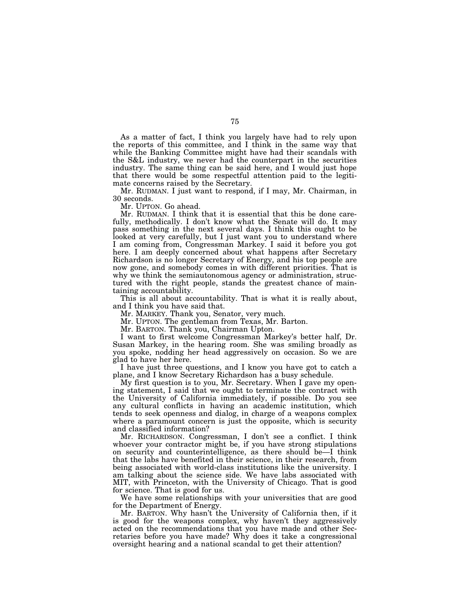As a matter of fact, I think you largely have had to rely upon the reports of this committee, and I think in the same way that while the Banking Committee might have had their scandals with the S&L industry, we never had the counterpart in the securities industry. The same thing can be said here, and I would just hope that there would be some respectful attention paid to the legitimate concerns raised by the Secretary.

Mr. RUDMAN. I just want to respond, if I may, Mr. Chairman, in 30 seconds.

Mr. UPTON. Go ahead.

Mr. RUDMAN. I think that it is essential that this be done carefully, methodically. I don't know what the Senate will do. It may pass something in the next several days. I think this ought to be looked at very carefully, but I just want you to understand where I am coming from, Congressman Markey. I said it before you got here. I am deeply concerned about what happens after Secretary Richardson is no longer Secretary of Energy, and his top people are now gone, and somebody comes in with different priorities. That is why we think the semiautonomous agency or administration, structured with the right people, stands the greatest chance of maintaining accountability.

This is all about accountability. That is what it is really about, and I think you have said that.

Mr. MARKEY. Thank you, Senator, very much.

Mr. UPTON. The gentleman from Texas, Mr. Barton.

Mr. BARTON. Thank you, Chairman Upton.

I want to first welcome Congressman Markey's better half, Dr. Susan Markey, in the hearing room. She was smiling broadly as you spoke, nodding her head aggressively on occasion. So we are glad to have her here.

I have just three questions, and I know you have got to catch a plane, and I know Secretary Richardson has a busy schedule.

My first question is to you, Mr. Secretary. When I gave my opening statement, I said that we ought to terminate the contract with the University of California immediately, if possible. Do you see any cultural conflicts in having an academic institution, which tends to seek openness and dialog, in charge of a weapons complex where a paramount concern is just the opposite, which is security and classified information?

Mr. RICHARDSON. Congressman, I don't see a conflict. I think whoever your contractor might be, if you have strong stipulations on security and counterintelligence, as there should be—I think that the labs have benefited in their science, in their research, from being associated with world-class institutions like the university. I am talking about the science side. We have labs associated with MIT, with Princeton, with the University of Chicago. That is good for science. That is good for us.

We have some relationships with your universities that are good for the Department of Energy.

Mr. BARTON. Why hasn't the University of California then, if it is good for the weapons complex, why haven't they aggressively acted on the recommendations that you have made and other Secretaries before you have made? Why does it take a congressional oversight hearing and a national scandal to get their attention?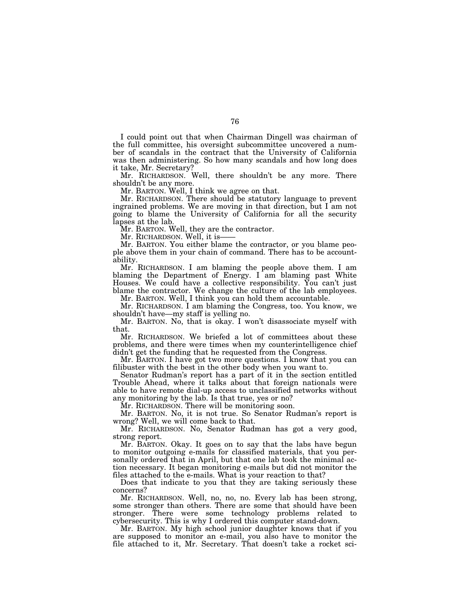I could point out that when Chairman Dingell was chairman of the full committee, his oversight subcommittee uncovered a number of scandals in the contract that the University of California was then administering. So how many scandals and how long does it take, Mr. Secretary?

Mr. RICHARDSON. Well, there shouldn't be any more. There shouldn't be any more.

Mr. BARTON. Well, I think we agree on that.

Mr. RICHARDSON. There should be statutory language to prevent ingrained problems. We are moving in that direction, but I am not going to blame the University of California for all the security lapses at the lab.

Mr. BARTON. Well, they are the contractor.

Mr. RICHARDSON. Well, it is-

Mr. BARTON. You either blame the contractor, or you blame people above them in your chain of command. There has to be accountability.

Mr. RICHARDSON. I am blaming the people above them. I am blaming the Department of Energy. I am blaming past White Houses. We could have a collective responsibility. You can't just blame the contractor. We change the culture of the lab employees.

Mr. BARTON. Well, I think you can hold them accountable.

Mr. RICHARDSON. I am blaming the Congress, too. You know, we shouldn't have—my staff is yelling no.

Mr. BARTON. No, that is okay. I won't disassociate myself with that.

Mr. RICHARDSON. We briefed a lot of committees about these problems, and there were times when my counterintelligence chief didn't get the funding that he requested from the Congress.

Mr. BARTON. I have got two more questions. I know that you can filibuster with the best in the other body when you want to.

Senator Rudman's report has a part of it in the section entitled Trouble Ahead, where it talks about that foreign nationals were able to have remote dial-up access to unclassified networks without any monitoring by the lab. Is that true, yes or no?

Mr. RICHARDSON. There will be monitoring soon.

Mr. BARTON. No, it is not true. So Senator Rudman's report is wrong? Well, we will come back to that.

Mr. RICHARDSON. No, Senator Rudman has got a very good, strong report.

Mr. BARTON. Okay. It goes on to say that the labs have begun to monitor outgoing e-mails for classified materials, that you personally ordered that in April, but that one lab took the minimal action necessary. It began monitoring e-mails but did not monitor the files attached to the e-mails. What is your reaction to that?

Does that indicate to you that they are taking seriously these concerns?

Mr. RICHARDSON. Well, no, no, no. Every lab has been strong, some stronger than others. There are some that should have been stronger. There were some technology problems related to cybersecurity. This is why I ordered this computer stand-down.

Mr. BARTON. My high school junior daughter knows that if you are supposed to monitor an e-mail, you also have to monitor the file attached to it, Mr. Secretary. That doesn't take a rocket sci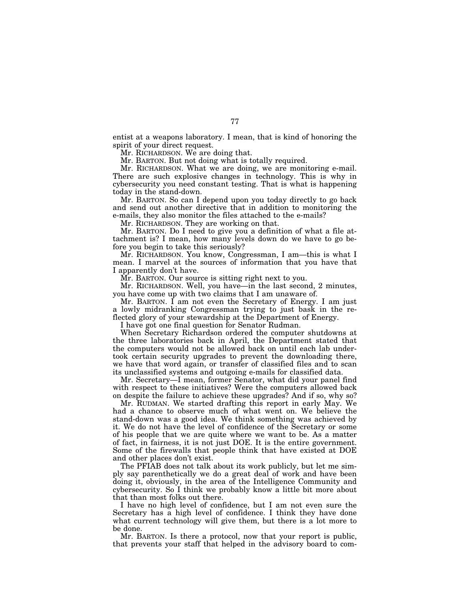entist at a weapons laboratory. I mean, that is kind of honoring the spirit of your direct request.

Mr. RICHARDSON. We are doing that.

Mr. BARTON. But not doing what is totally required.

Mr. RICHARDSON. What we are doing, we are monitoring e-mail. There are such explosive changes in technology. This is why in cybersecurity you need constant testing. That is what is happening today in the stand-down.

Mr. BARTON. So can I depend upon you today directly to go back and send out another directive that in addition to monitoring the e-mails, they also monitor the files attached to the e-mails?

Mr. RICHARDSON. They are working on that.

Mr. BARTON. Do I need to give you a definition of what a file attachment is? I mean, how many levels down do we have to go before you begin to take this seriously?

Mr. RICHARDSON. You know, Congressman, I am—this is what I mean. I marvel at the sources of information that you have that I apparently don't have.

Mr. BARTON. Our source is sitting right next to you.

Mr. RICHARDSON. Well, you have—in the last second, 2 minutes, you have come up with two claims that I am unaware of.

Mr. BARTON. I am not even the Secretary of Energy. I am just a lowly midranking Congressman trying to just bask in the reflected glory of your stewardship at the Department of Energy.

I have got one final question for Senator Rudman.

When Secretary Richardson ordered the computer shutdowns at the three laboratories back in April, the Department stated that the computers would not be allowed back on until each lab undertook certain security upgrades to prevent the downloading there, we have that word again, or transfer of classified files and to scan its unclassified systems and outgoing e-mails for classified data.

Mr. Secretary—I mean, former Senator, what did your panel find with respect to these initiatives? Were the computers allowed back on despite the failure to achieve these upgrades? And if so, why so?

Mr. RUDMAN. We started drafting this report in early May. We had a chance to observe much of what went on. We believe the stand-down was a good idea. We think something was achieved by it. We do not have the level of confidence of the Secretary or some of his people that we are quite where we want to be. As a matter of fact, in fairness, it is not just DOE. It is the entire government. Some of the firewalls that people think that have existed at DOE and other places don't exist.

The PFIAB does not talk about its work publicly, but let me simply say parenthetically we do a great deal of work and have been doing it, obviously, in the area of the Intelligence Community and cybersecurity. So I think we probably know a little bit more about that than most folks out there.

I have no high level of confidence, but I am not even sure the Secretary has a high level of confidence. I think they have done what current technology will give them, but there is a lot more to be done.

Mr. BARTON. Is there a protocol, now that your report is public, that prevents your staff that helped in the advisory board to com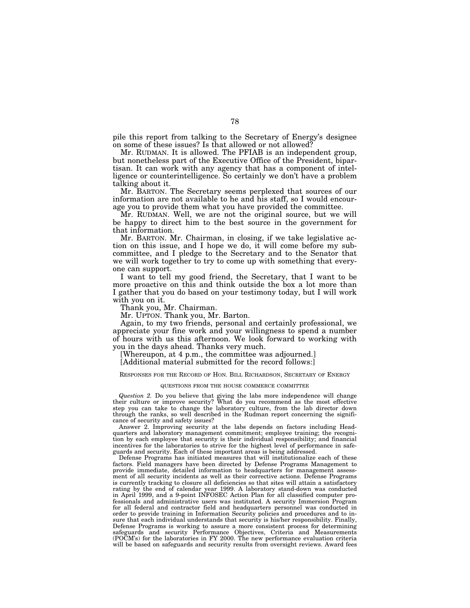pile this report from talking to the Secretary of Energy's designee on some of these issues? Is that allowed or not allowed?

Mr. RUDMAN. It is allowed. The PFIAB is an independent group, but nonetheless part of the Executive Office of the President, bipartisan. It can work with any agency that has a component of intelligence or counterintelligence. So certainly we don't have a problem talking about it.

Mr. BARTON. The Secretary seems perplexed that sources of our information are not available to he and his staff, so I would encourage you to provide them what you have provided the committee.

Mr. RUDMAN. Well, we are not the original source, but we will be happy to direct him to the best source in the government for that information.

Mr. BARTON. Mr. Chairman, in closing, if we take legislative action on this issue, and I hope we do, it will come before my subcommittee, and I pledge to the Secretary and to the Senator that we will work together to try to come up with something that everyone can support.

I want to tell my good friend, the Secretary, that I want to be more proactive on this and think outside the box a lot more than I gather that you do based on your testimony today, but I will work with you on it.

Thank you, Mr. Chairman.

Mr. UPTON. Thank you, Mr. Barton.

Again, to my two friends, personal and certainly professional, we appreciate your fine work and your willingness to spend a number of hours with us this afternoon. We look forward to working with you in the days ahead. Thanks very much.

[Whereupon, at 4 p.m., the committee was adjourned.]

[Additional material submitted for the record follows:]

## RESPONSES FOR THE RECORD OF HON. BILL RICHARDSON, SECRETARY OF ENERGY

## QUESTIONS FROM THE HOUSE COMMERCE COMMITTEE

*Question 2.* Do you believe that giving the labs more independence will change their culture or improve security? What do you recommend as the most effective step you can take to change the laboratory culture, from the lab director down through the ranks, so well described in the Rudman report concerning the significance of security and safety issues?

Answer 2. Improving security at the labs depends on factors including Headquarters and laboratory management commitment; employee training; the recognition by each employee that security is their individual responsibility; and financial incentives for the laboratories to strive for the highest level of performance in safeguards and security. Each of these important areas is being addressed.

Defense Programs has initiated measures that will institutionalize each of these factors. Field managers have been directed by Defense Programs Management to provide immediate, detailed information to headquarters for management assessment of all security incidents as well as their corrective actions. Defense Programs is currently tracking to closure all deficiencies so that sites will attain a satisfactory rating by the end of calendar year 1999. A laboratory stand-down was conducted in April 1999, and a 9-point INFOSEC Action Plan for all classified computer professionals and administrative users was instituted. A security Immersion Program for all federal and contractor field and headquarters personnel was conducted in order to provide training in Information Security policies and procedures and to insure that each individual understands that security is his/her responsibility. Finally, Defense Programs is working to assure a more consistent process for determining safeguards and security Performance Objectives, Criteria and Measurements (POCM's) for the laboratories in FY 2000. The new performance evaluation criteria will be based on safeguards and security results from oversight reviews. Award fees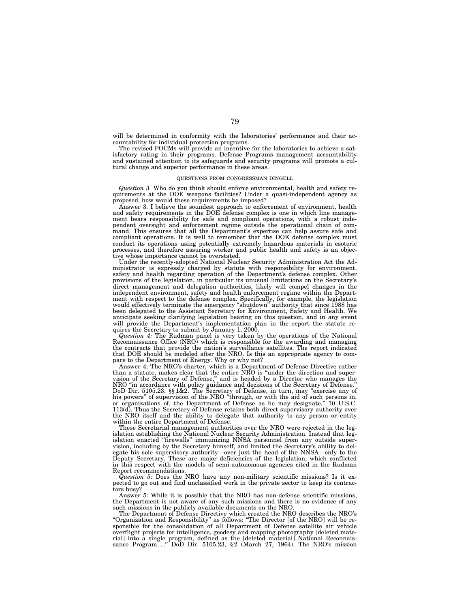will be determined in conformity with the laboratories' performance and their accountability for individual protection programs.

The revised POCMs will provide an incentive for the laboratories to achieve a satisfactory rating in their programs. Defense Programs management accountability and sustained attention to its safeguards and security programs will promote a cultural change and superior performance in these areas.

#### QUESTIONS FROM CONGRESSMAN DINGELL

*Question 3.* Who do you think should enforce environmental, health and safety requirements at the DOE weapons facilities? Under a quasi-independent agency as proposed, how would these requirements be imposed?

Answer 3. I believe the soundest approach to enforcement of environment, health and safety requirements in the DOE defense complex is one in which line management bears responsibility for safe and compliant operations, with a robust independent oversight and enforcement regime outside the operational chain of command. This ensures that all the Department's expertise can help assure safe and compliant operations. It is well to remember that the DOE defense complex must conduct its operations using potentially extremely hazardous materials in esoteric processes, and therefore assuring worker and public health and safety is an objective whose importance cannot be overstated.

Under the recently-adopted National Nuclear Security Administration Act the Administrator is expressly charged by statute with responsibility for environment, safety and health regarding operation of the Department's defense complex. Other provisions of the legislation, in particular its unusual limitations on the Secretary's direct management and delegation authorities, likely will compel changes in the independent environment, safety and health enforcement regime within the Department with respect to the defense complex. Specifically, for example, the legislation would effectively terminate the emergency ''shutdown'' authority that since 1988 has been delegated to the Assistant Secretary for Environment, Safety and Health. We anticipate seeking clarifying legislation bearing on this question, and in any event will provide the Department's implementation plan in the report the statute requires the Secretary to submit by January 1, 2000.

*Question 4:* The Rudman panel is very taken by the operations of the National Reconnaissance Office (NRO) which is responsible for the awarding and managing the contracts that provide the nation's surveillance satellites. The report indicated that DOE should be modeled after the NRO. Is this an appropriate agency to compare to the Department of Energy. Why or why not?

Answer 4: The NRO's charter, which is a Department of Defense Directive rather than a statute, makes clear that the entire NRO is ''under the direction and supervision of the Secretary of Defense," and is headed by a Director who manages the NRO ''in accordance with policy guidance and decisions of the Secretary of Defense.'' DoD Dir. 5105.23, §§ 1&2. The Secretary of Defense, in turn, may "exercise any of<br>his powers" of supervision of the NRO "through, or with the aid of such persons in, or organizations of, the Department of Defense as he may designate.'' 10 U.S.C. 113(d). Thus the Secretary of Defense retains both direct supervisory authority over the NRO itself and the ability to delegate that authority to any person or entity within the entire Department of Defense.

These Secretarial management authorities over the NRO were rejected in the legislation establishing the National Nuclear Security Administration. Instead that legislation enacted ''firewalls'' immunizing NNSA personnel from any outside supervision, including by the Secretary himself, and limited the Secretary's ability to delegate his sole supervisory authority—over just the head of the NNSA—only to the Deputy Secretary. These are major deficiencies of the legislation, which conflicted in this respect with the models of semi-autonomous agencies cited in the Rudman Report recommendations.

*Question 5:* Does the NRO have any non-military scientific missions? Is it expected to go out and find unclassified work in the private sector to keep its contractors busy?

Answer 5: While it is possible that the NRO has non-defense scientific missions, the Department is not aware of any such missions and there is no evidence of any such missions in the publicly available documents on the NRO.

The Department of Defense Directive which created the NRO describes the NRO's ''Organization and Responsibility'' as follows: ''The Director [of the NRO] will be responsible for the consolidation of all Department of Defense satellite air vehicle overflight projects for intelligence, geodesy and mapping photography [deleted material] into a single program, defined as the [deleted material] National Reconnaissance Program..." DoD Dir. 5105.23, § 2 (March 27, 1964). The NRO's mission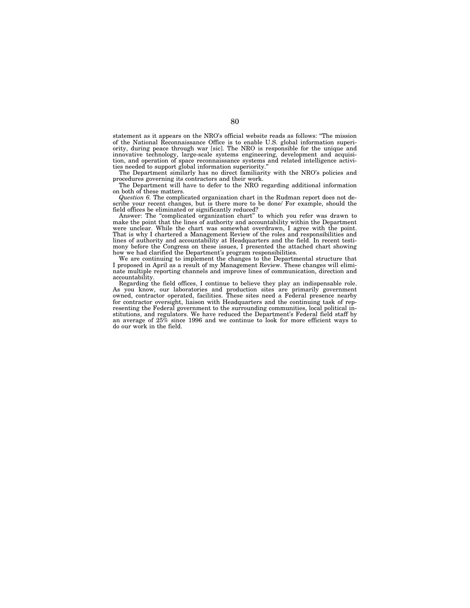statement as it appears on the NRO's official website reads as follows: ''The mission of the National Reconnaissance Office is to enable U.S. global information superiority, during peace through war [sic]. The NRO is responsible for the unique and innovative technology, large-scale systems engineering, development and acquisition, and operation of space reconnaissance systems and related intelligence activities needed to support global information superiority.''

The Department similarly has no direct familiarity with the NRO's policies and procedures governing its contractors and their work.

The Department will have to defer to the NRO regarding additional information on both of these matters.

*Question 6.* The complicated organization chart in the Rudman report does not describe your recent changes, but is there more to be done/ For example, should the field offices be eliminated or significantly reduced?

Answer: The ''complicated organization chart'' to which you refer was drawn to make the point that the lines of authority and accountability within the Department were unclear. While the chart was somewhat overdrawn, I agree with the point. That is why I chartered a Management Review of the roles and responsibilities and lines of authority and accountability at Headquarters and the field. In recent testimony before the Congress on these issues, I presented the attached chart showing how we had clarified the Department's program responsibilities.

We are continuing to implement the changes to the Departmental structure that I proposed in April as a result of my Management Review. These changes will eliminate multiple reporting channels and improve lines of communication, direction and accountability.

Regarding the field offices, I continue to believe they play an indispensable role. As you know, our laboratories and production sites are primarily government owned, contractor operated, facilities. These sites need a Federal presence nearby for contractor oversight, liaison with Headquarters and the continuing task of representing the Federal government to the surrounding communities, local political institutions, and regulators. We have reduced the Department's Federal field staff by an average of 25% since 1996 and we continue to look for more efficient ways to do our work in the field.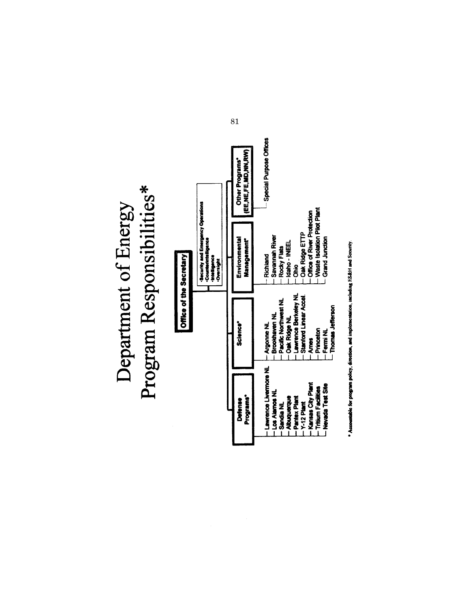# Program Responsibilities\* Department of Energy



\* Accountable for program policy, direction, and implementation, including FS&H and Security.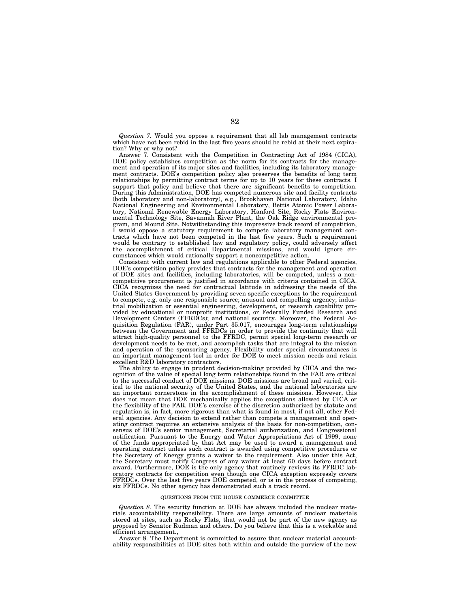*Question 7.* Would you oppose a requirement that all lab management contracts which have not been rebid in the last five years should be rebid at their next expiration? Why or why not?

Answer 7. Consistent with the Competition in Contracting Act of 1984 (CICA), DOE policy establishes competition as the norm for its contracts for the management and operation of its major sites and facilities, including its laboratory management contracts. DOE's competition policy also preserves the benefits of long term relationships by permitting contract terms for up to 10 years for these contracts. I support that policy and believe that there are significant benefits to competition. During this Administration, DOE has competed numerous site and facility contracts (both laboratory and non-laboratory), e.g., Brookhaven National Laboratory, Idaho National Engineering and Environmental Laboratory, Bettis Atomic Power Laboratory, National Renewable Energy Laboratory, Hanford Site, Rocky Flats Environmental Technology Site, Savannah River Plant, the Oak Ridge environmental program, and Mound Site. Notwithstanding this impressive track record of competition,<br>I would onnose a statutowy position of the simplessive track record of competition, would oppose a statutory requirement to compete laboratory management contracts which have not been competed in the last five years. Such a requirement would be contrary to established law and regulatory policy, could adversely affect the accomplishment of critical Departmental missions, and would ignore circumstances which would rationally support a noncompetitive action.

Consistent with current law and regulations applicable to other Federal agencies, DOE's competition policy provides that contracts for the management and operation of DOE sites and facilities, including laboratories, will be competed, unless a noncompetitive procurement is justified in accordance with criteria contained in CICA. CICA recognizes the need for contractual latitude in addressing the needs of the United States Government by providing seven specific exceptions to the requirement to compete, e.g. only one responsible source; unusual and compelling urgency; industrial mobilization or essential engineering, development, or research capability provided by educational or nonprofit institutions, or Federally Funded Research and Development Centers (FFRDCs); and national security. Moreover, the Federal Acquisition Regulation (FAR), under Part 35.017, encourages long-term relationships between the Government and FFRDCs in order to provide the continuity that will attract high-quality personnel to the FFRDC, permit special long-term research or development needs to be met, and accomplish tasks that are integral to the mission and operation of the sponsoring agency. Flexibility under special circumstances is an important management tool in order for DOE to meet mission needs and retain excellent R&D laboratory contractors.

The ability to engage in prudent decision-making provided by CICA and the recognition of the value of special long term relationships found in the FAR are critical to the successful conduct of DOE missions. DOE missions are broad and varied, critical to the national security of the United States, and the national laboratories are an important cornerstone in the accomplishment of these missions. However, this does not mean that DOE mechanically applies the exceptions allowed by CICA or the flexibility of the FAR. DOE's exercise of the discretion authorized by statute and regulation is, in fact, more rigorous than what is found in most, if not all, other Federal agencies. Any decision to extend rather than compete a management and operating contract requires an extensive analysis of the basis for non-competition, consensus of DOE's senior management, Secretarial authorization, and Congressional notification. Pursuant to the Energy and Water Appropriations Act of 1999, none of the funds appropriated by that Act may be used to award a management and operating contract unless such contract is awarded using competitive procedures or the Secretary of Energy grants a waiver to the requirement. Also under this Act, the Secretary must notify Congress of any waiver at least 60 days before contract award. Furthermore, DOE is the only agency that routinely reviews its FFRDC laboratory contracts for competition even though one CICA exception expressly covers FFRDCs. Over the last five years DOE competed, or is in the process of competing, six FFRDCs. No other agency has demonstrated such a track record.

#### QUESTIONS FROM THE HOUSE COMMERCE COMMITTEE

*Question 8.* The security function at DOE has always included the nuclear materials accountability responsibility. There are large amounts of nuclear materials stored at sites, such as Rocky Flats, that would not be part of the new agency as proposed by Senator Rudman and others. Do you believe that this is a workable and efficient arrangement.,

Answer 8. The Department is committed to assure that nuclear material accountability responsibilities at DOE sites both within and outside the purview of the new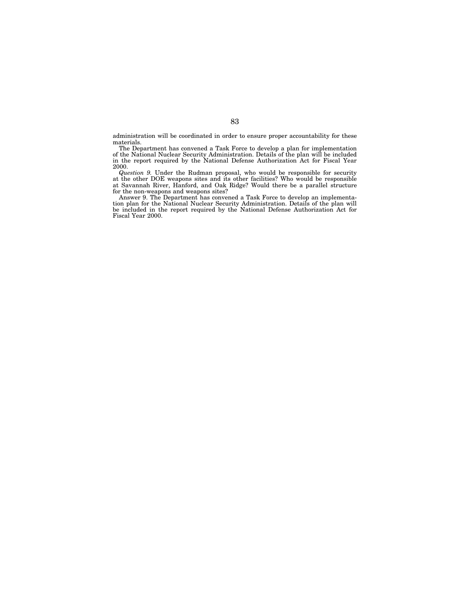administration will be coordinated in order to ensure proper accountability for these materials.

The Department has convened a Task Force to develop a plan for implementation of the National Nuclear Security Administration. Details of the plan will be included in the report required by the National Defense Authorization Act for Fiscal Year 2000.

*Question 9.* Under the Rudman proposal, who would be responsible for security at the other DOE weapons sites and its other facilities? Who would be responsible at Savannah River, Hanford, and Oak Ridge? Would there be a parallel structure for the non-weapons and weapons sites?

Answer 9. The Department has convened a Task Force to develop an implementation plan for the National Nuclear Security Administration. Details of the plan will be included in the report required by the National Defense Authorization Act for Fiscal Year 2000.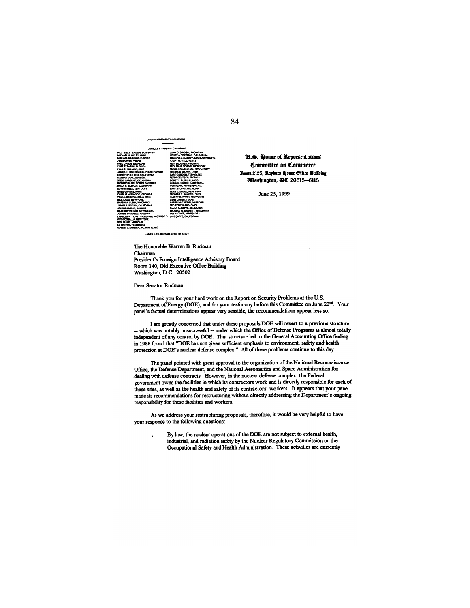**TO SIXTH COI** 

| TOM BLILEY, VIRGINIA, CHAIRMAN                                                                                                                                                                                                                                                                                                                                                                                                                                                                                                                                                                                                                                                                                                                                                                              |                                                                                                                                                                                                                                                                                                                                                                                                                                                                                                                                                                                                                                                                                                 |
|-------------------------------------------------------------------------------------------------------------------------------------------------------------------------------------------------------------------------------------------------------------------------------------------------------------------------------------------------------------------------------------------------------------------------------------------------------------------------------------------------------------------------------------------------------------------------------------------------------------------------------------------------------------------------------------------------------------------------------------------------------------------------------------------------------------|-------------------------------------------------------------------------------------------------------------------------------------------------------------------------------------------------------------------------------------------------------------------------------------------------------------------------------------------------------------------------------------------------------------------------------------------------------------------------------------------------------------------------------------------------------------------------------------------------------------------------------------------------------------------------------------------------|
| W.J. "BILLY" TAUZIN, LOUISIANA<br>MICHAEL G. OXLEY, OHIO<br>MICHAEL BILIRAKIS, FLORIDA<br>JOE BARTON, TEXAS<br>FRED UPTON, MICHIGAN<br>CLIFF STEARING, FLORIDA<br>PAUL E. GILLMOR, OHIO<br>JAMES C. GREENWOOD, PENKSYLVANIA<br>CHRISTOPHER COX. CALIFORNIA<br>NATHAN DEAL GEORGIA<br>STEVE LARGENT, OKLANDMA<br>RICHARD BURR, HORTH CAROLINA<br>BRIAN P. BILBRAY, CALIFORNIA<br>ED WHITEFILD, KENTUCKY<br>GREG GANSKE, IOWA<br>CHARLIE NORWOOD, GEORGIA<br>TOM A COINER OKLAHOMA<br>RICK LAZIO, NEW YORK<br><b>BARRARA CURIN, WYOMING</b><br>JAMES E, ROGAN, CALIFORNIA<br><b>JOHN SHIMKUS, KLINOIS</b><br>HEATHER WILSON, NEW MEXICO<br>JOHN 8. SHADEGG, ARCONA<br>CHARLES W. "CHIP" PICKERING, MISSISSIPPI<br><b>WTO FOREFILL A NEW YORK</b><br><b>ROY BLUNT, MISSOURI</b><br><b>ED BRYANT, TENNESSEE</b> | JOHN O. DINGELL MICHIGAN<br>HENRY A WAXMAN, CALIFORNIA<br>FUNARD J. MARIEV. MASSACHUSETTS<br><b>RALPH M. HALL, TEXAS</b><br>RICK BOUCHER, VIRGINIA<br>FOOLPHUS TOWNS, NEW YORK<br>FRANK PALLONE. JR. NEW JERSEY<br>SHERROD BROWN, OHIO<br><b>RART GORDON, TENNESSEE</b><br>PETER DEUTSCH, FLORIDA<br>BOBBY L-RUSH SLINOIS<br>ANNA G. ESHOO, CALIFORNIA<br>RON KLINK, PENNSYLVANIA<br><b>BART STUPAK, MICHIGAN</b><br>FLICIT I . ENGEL . NEW YORK<br>THOMAS C. SAWYER, OHIO<br>ALBERT R. WYNN, MARYLAND<br>GENE GREEN, TEXAS<br>KAREN MCCARTIVY, MISSOURI<br>TED STREET AND, CHIC<br>DIANA DEGETTE, COLORADO<br>THOMAS M. BARRETT, WISCONSIN<br>BILL LUTHER, MINNESOTA<br>LOIS CAPPS, CALIFORNIA |
| ROBERT L. EHRLICH, IR., MARYLAND                                                                                                                                                                                                                                                                                                                                                                                                                                                                                                                                                                                                                                                                                                                                                                            |                                                                                                                                                                                                                                                                                                                                                                                                                                                                                                                                                                                                                                                                                                 |

JAMES E. DERDERIAN, CHIEF OF STAFF

**U.S. House of Representatibes** Committee on Commerce Room 2125, Rayburn House Office Puilding **Wlashington, DC** 20515-6115

June 25, 1999

The Honorable Warren B. Rudman Chairman President's Foreign Intelligence Advisory Board Room 340, Old Executive Office Building Washington, D.C. 20502

Dear Senator Rudman:

Thank you for your hard work on the Report on Security Problems at the U.S. Department of Energy (DOE), and for your testimony before this Committee on June 22<sup>nd</sup>. Your panel's factual determinations appear very sensible; the recommendations appear less so.

I am greatly concerned that under these proposals DOE will revert to a previous structure -- which was notably unsuccessful -- under which the Office of Defense Programs is almost totally independent of any control by DOE. That structure led to the General Accounting Office finding in 1988 found that "DOE has not given sufficient emphasis to environment, safety and health protection at DOE's nuclear defense complex." All of these problems continue to this day.

The panel pointed with great approval to the organization of the National Reconnaissance Office, the Defense Department, and the National Aeronautics and Space Administration for dealing with defense contracts. However, in the nuclear defense complex, the Federal government owns the facilities in which its contractors work and is directly responsible for each of these sites, as well as the health and safety of its contractors' workers. It appears that your panel made its recommendations for restructuring without directly addressing the Department's ongoing responsibility for these facilities and workers.

As we address your restructuring proposals, therefore, it would be very helpful to have your response to the following questions:

By law, the nuclear operations of the DOE are not subject to external health,  $\mathbf{1}$ . industrial, and radiation safety by the Nuclear Regulatory Commission or the Occupational Safety and Health Administration. These activities are currently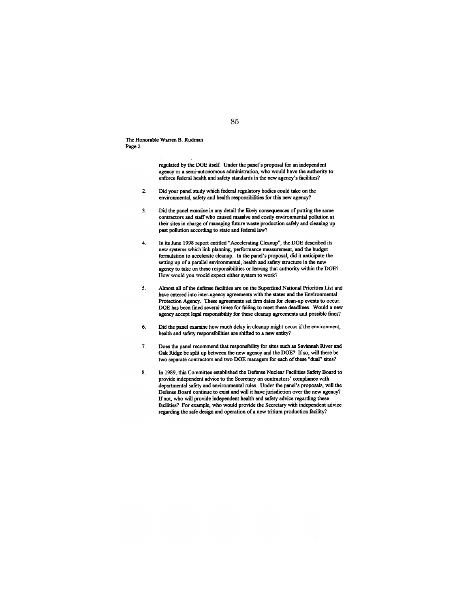The Honorable Warren B. Rudman Page 2

> regulated by the DOE itself. Under the panel's proposal for an independent agency or a semi-autonomous administration, who would have the authority to enforce federal health and safety standards in the new agency's facilities?

- Did your panel study which federal regulatory bodies could take on the  $2.$ environmental, safety and health responsibilities for this new agency?
- Did the panel examine in any detail the likely consequences of putting the same  $3.$ contractors and staff who caused massive and costly environmental pollution at their sites in charge of managing future waste production safely and cleaning up past pollution according to state and federal law?
- In its June 1998 report entitled "Accelerating Cleanup", the DOE described its 4. new systems which link planning, performance measurement, and the budget formulation to accelerate cleanup. In the panel's proposal, did it anticipate the setting up of a parallel environmental, health and safety structure in the new agency to take on these responsibilities or leaving that authority within the DOE? How would you would expect either system to work?
- Almost all of the defense facilities are on the Superfund National Priorities List and  $5.$ have entered into inter-agency agreements with the states and the Environmental Protection Agency. These agreements set firm dates for clean-up events to occur. DOE has been fined several times for failing to meet these deadlines. Would a new agency accept legal responsibility for these cleanup agreements and possible fines?
- Did the panel examine how much delay in cleanup might occur if the environment, 6. health and safety responsibilities are shifted to a new entity?
- Does the panel recommend that responsibility for sites such as Savannah River and 7. Oak Ridge be split up between the new agency and the DOE? If so, will there be two separate contractors and two DOE managers for each of these "dual" sites?
- In 1989, this Committee established the Defense Nuclear Facilities Safety Board to 8. provide independent advice to the Secretary on contractors' compliance with departmental safety and environmental rules. Under the panel's proposals, will the Defense Board continue to exist and will it have jurisdiction over the new agency? If not, who will provide independent health and safety advice regarding these facilities? For example, who would provide the Secretary with independent advice regarding the safe design and operation of a new tritium production facility?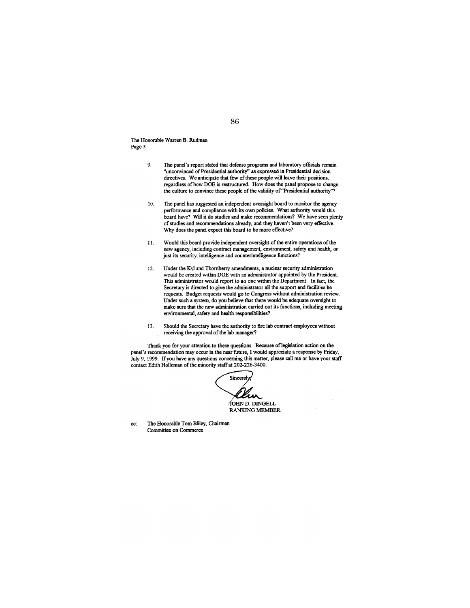The Honorable Warren B. Rudman Page 3

- The panel's report stated that defense programs and laboratory officials remain 9, "unconvinced of Presidential authority" as expressed in Presidential decision<br>directives. We anticipate that few of these people will leave their positions, regardless of how DOE is restructured. How does the panel propose to change the culture to convince these people of the validity of "Presidential authority"?
- 10. The panel has suggested an independent oversight board to monitor the agency performance and compliance with its own policies. What authority would this board have? Will it do studies and make recommendations? We have seen plenty of studies and recommendations already, and they haven't been very effective. Why does the panel expect this board to be more effective?
- Would this board provide independent oversight of the entire operations of the 11. new agency, including contract management, environment, safety and health, or just its security, intelligence and counterintelligence functions?
- Under the Kyl and Thornberry amendments, a nuclear security administration 12. would be created within DOE with an administrator appointed by the President. This administrator would report to no one within the Department. In fact, the Secretary is directed to give the administrator all the support and facilities he requests. Budget requests would go to Congress without administration review. Under such a system, do you believe that there would be adequate oversight to make sure that the new administration carried out its functions, including meeting environmental, safety and health responsibilities?
- 13. Should the Secretary have the authority to fire lab contract employees without receiving the approval of the lab manager?

Thank you for your attention to these questions. Because of legislation action on the panel's recommendation may occur in the near future, I would appreciate a response by Friday, July 9, 1999. If you have any questions concerning this matter, please call me or have your staff contact Edith Holleman of the minority staff at 202-226-3400.

Sincerely άΛλ JOHN D. DINGELL **RANKING MEMBER** 

The Honorable Tom Bliley, Chairman cc: Committee on Commerce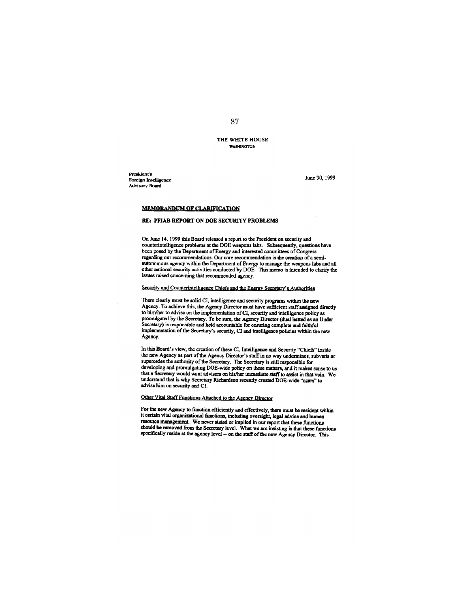THE WHITE HOUSE **WASHINGTON** 

President's Foreign Intelligence Advisory Board

June 30, 1999

## **MEMORANDUM OF CLARIFICATION**

## RE: PFIAB REPORT ON DOE SECURITY PROBLEMS

On June 14, 1999 this Board released a report to the President on security and counterintelligence problems at the DOE weapons labs. Subsequently, questions have been posed by the Department of Energy and interested committees of Congress regarding our recommendations. Our core recommendation is the creation of a semiautonomous agency within the Department of Energy to manage the weapons labs and all other national security activities conducted by DOE. This memo is intended to clarify the issues raised concerning that recommended agency.

## Security and Counterintelligence Chiefs and the Energy Secretary's Authorities

There clearly must be solid CI, intelligence and security programs within the new Agency. To achieve this, the Agency Director must have sufficient staff assigned directly to him/her to advise on the implementation of CI, security and intelligence policy as promulgated by the Secretary. To be sure, the Agency Director (dual hatted as an Under Secretary) is responsible and held accountable for ensuring complete and faithful implementation of the Secretary's security, CI and intelligence policies within the new Agency.

In this Board's view, the creation of these CI, Intelligence and Security "Chiefs" inside the new Agency as part of the Agency Director's staff in no way undermines, subverts or supercedes the authority of the Secretary. The Secretary is still responsible for developing and promulgating DOE-wide policy on these matters, and it makes sense to us that a Secretary would want advisers on his/her immediate staff to assist in that vein. We understand that is why Secretary Richardson recently created DOE-wide "czars" to advise him on security and CI.

# Other Vital Staff Functions Attached to the Agency Director

For the new Agency to function efficiently and effectively, there must be resident within it certain vital organizational functions, including oversight, legal advice and human resource management. We never stated or implied in our report that these functions should be removed from the Secretary level. What we are insisting is that these functions specifically reside at the agency level -- on the staff of the new Agency Director. This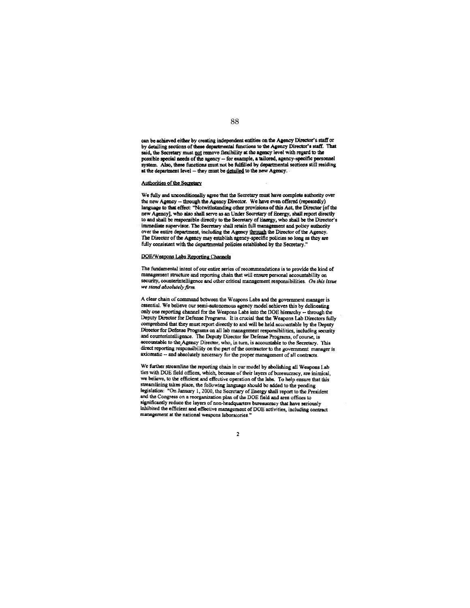can be achieved either by creating independent entities on the Agency Director's staff or<br>by detailing sections of these departmental functions to the Agency Director's staff. That said, the Secretary must not remove flexibility at the agency level with regard to the possible special needs of the agency -- for example, a tailored, agency-specific personnel system. Also, these functions must not be fulfilled by departmental sections still residing at the department level - they must be detailed to the new Agency.

#### Authorities of the Secretary

We fully and unconditionally agree that the Secretary must have complete authority over the new Agency -- through the Agency Director. We have even offered (repeatedly) language to that effect: "Notwithstanding other provisions of this Act, the Director [of the new Agency], who also shall serve as an Under Secretary of Energy, shall report directly to and shall be responsible directly to the Secretary of Energy, who shall be the Director's immediate supervisor. The Secretary shall retain full management and policy authority over the entire department, including the Agency through the Director of the Agency. The Director of the Agency may establish agency specific policies so long as they are fully consistent with the departmental policies established by the Secretary."

## DOE/Weapons Labs Reporting Channels

The fundamental intent of our entire series of recommendations is to provide the kind of management structure and reporting chain that will ensure personal accountability on security, counterintelligence and other critical management responsibilities. On this issue we stand absolutely firm.

A clear chain of command between the Weapons Labs and the government manager is essential. We believe our semi-autonomous agency model achieves this by delineating only one reporting channel for the Weapons Labs into the DOE hierarchy -- through the Deputy Director for Defense Programs. It is crucial that the Weapons Lab Directors fully comprehend that they must report directly to and will be held accountable by the Deputy Director for Defense Programs on all lab management responsibilities, including security and counterintelligence. The Deputy Director for Defense Programs, of course, is accountable to the Agency Director, who, in turn, is accountable to the Secretary. This direct reporting responsibility on the part of the contractor to the government manager is axiomatic -- and absolutely necessary for the proper management of all contracts.

We further streamline the reporting chain in our model by abolishing all Weapons Lab ties with DOE field offices, which, because of their layers of bureaucracy, are inimical, we believe, to the efficient and effective operation of the labs. To help ensure that this streamlining takes place, the following language should be added to the pending legislation: "On January 1, 2000, the Secretary of Energy shall report to the President and the Congress on a reorganization plan of the DOE field and area offices to significantly reduce the layers of non-headquarters bureaucracy that have seriously inhibited the efficient and effective management of DOE activities, including contract management at the national weapons laboratories."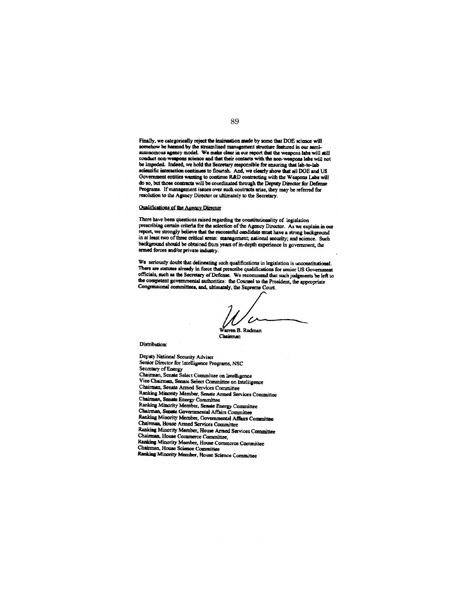Finally, we categorically reject the insinuation made by some that DOE science will runary, we causgo nearly report we wanted management structure featured in our semi-<br>somehow be harmed by the streamlined management structure featured in our semi-<br>autonomous agency model. We make clear in our report that conduct non-weapons science and that their contacts with the non-weapons labs will not be impeded. Indeed, we hold the Secretary responsible for ensuring that lab-to-lab scientific interaction continues to flourish. And, we clearly show that all DOE and US Government entities wanting to continue R&D contracting with the Weapons Labs will do so, but those contracts will be coordinated through the Deputy Director for Defense Programs. If management issues over such contracts arise, they may be referred for resolution to the Agency Director or ultimately to the Secretary.

## Qualifications of the Agency Director

There have been questions raised regarding the constitutionality of legislation prescribing certain criteria for the selection of the Agency Director. As we explain in our report, we strongly believe that the successful ca in at least two of three critical areas: management; national security; and science. Such background should be obtained from years of in-depth experience in government, the armed forces and/or private industry.

We seriously doubt that delineating such qualifications in legislation is unconstitutional. There are statutes already in force that prescribe qualifications for senior US Government officials, such as the Secretary of Defense. We recommend that such judgments be left to the competent governmental authorities: the Counsel to the President, the appropriate Congressional committees, and, ultimately, the Supreme Court.

ren B. Rudman

Chairman

Distribution:

Deputy National Security Adviser Senior Director for Intelligence Programs, NSC Secretary of Energy Chairman, Senate Select Committee on Intelligence Vice Chairman, Senate Select Committee on Intelligence Chairman, Senate Armed Services Committee Ranking Minority Member, Senate Armed Services Committee Chairman, Senate Energy Committee Ranking Minority Member, Senate Energy Committee Chairman, Senate Governmental Affairs Committee Ranking Minority Member, Governmental Affairs Committee Chairman, House Armed Services Committee Ranking Minority Member, House Armed Services Committee Chairman, House Commerce Committee, Ranking Minority Member, House Commerce Committee Chairman, House Science Committee Ranking Minority Member, House Science Committee